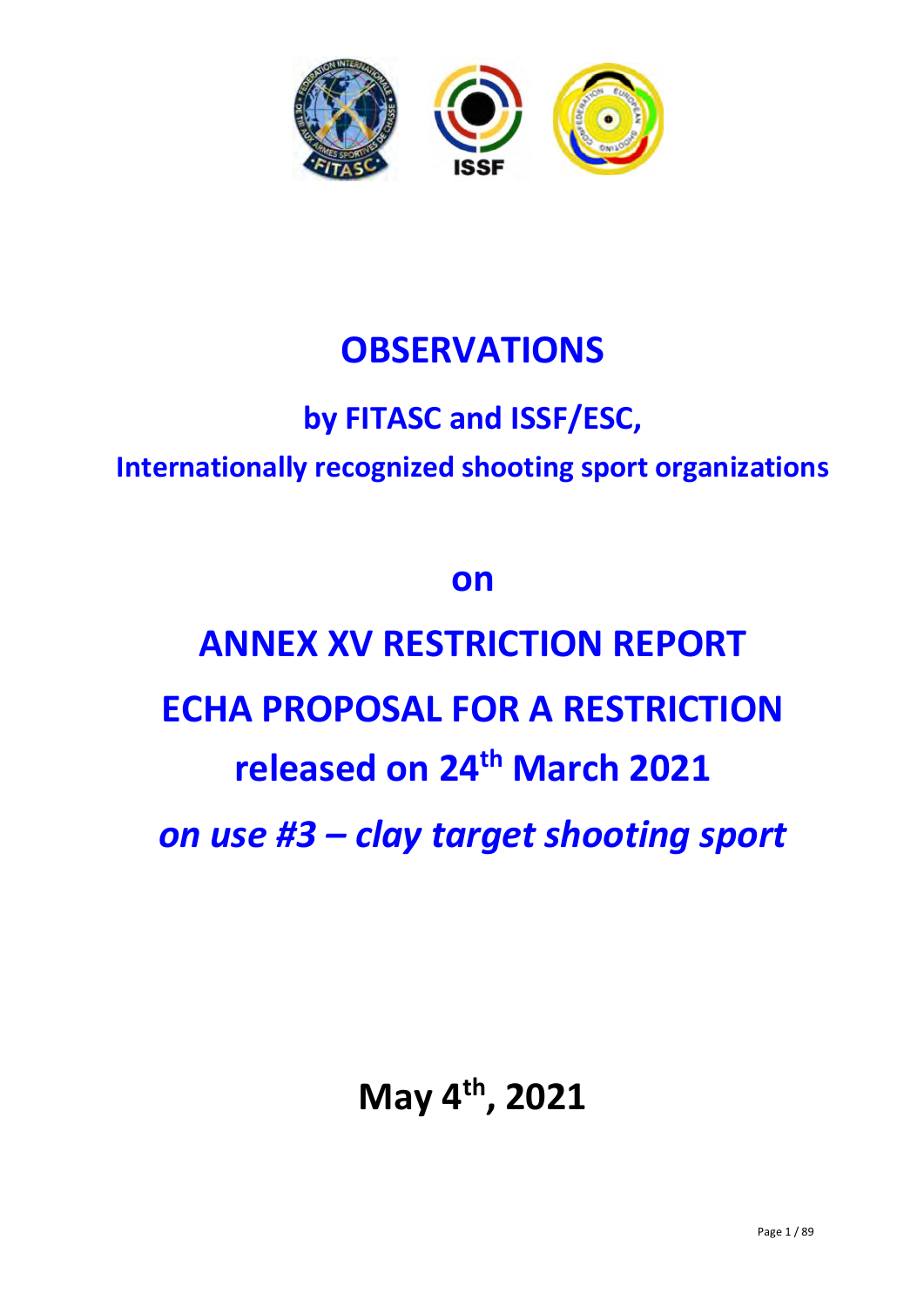

## **OBSERVATIONS**

## **by FITASC and ISSF/ESC, Internationally recognized shooting sport organizations**

## **on**

# **ANNEX XV RESTRICTION REPORT ECHA PROPOSAL FOR A RESTRICTION released on 24th March 2021** *on use #3 – clay target shooting sport*

# **May 4th , 2021**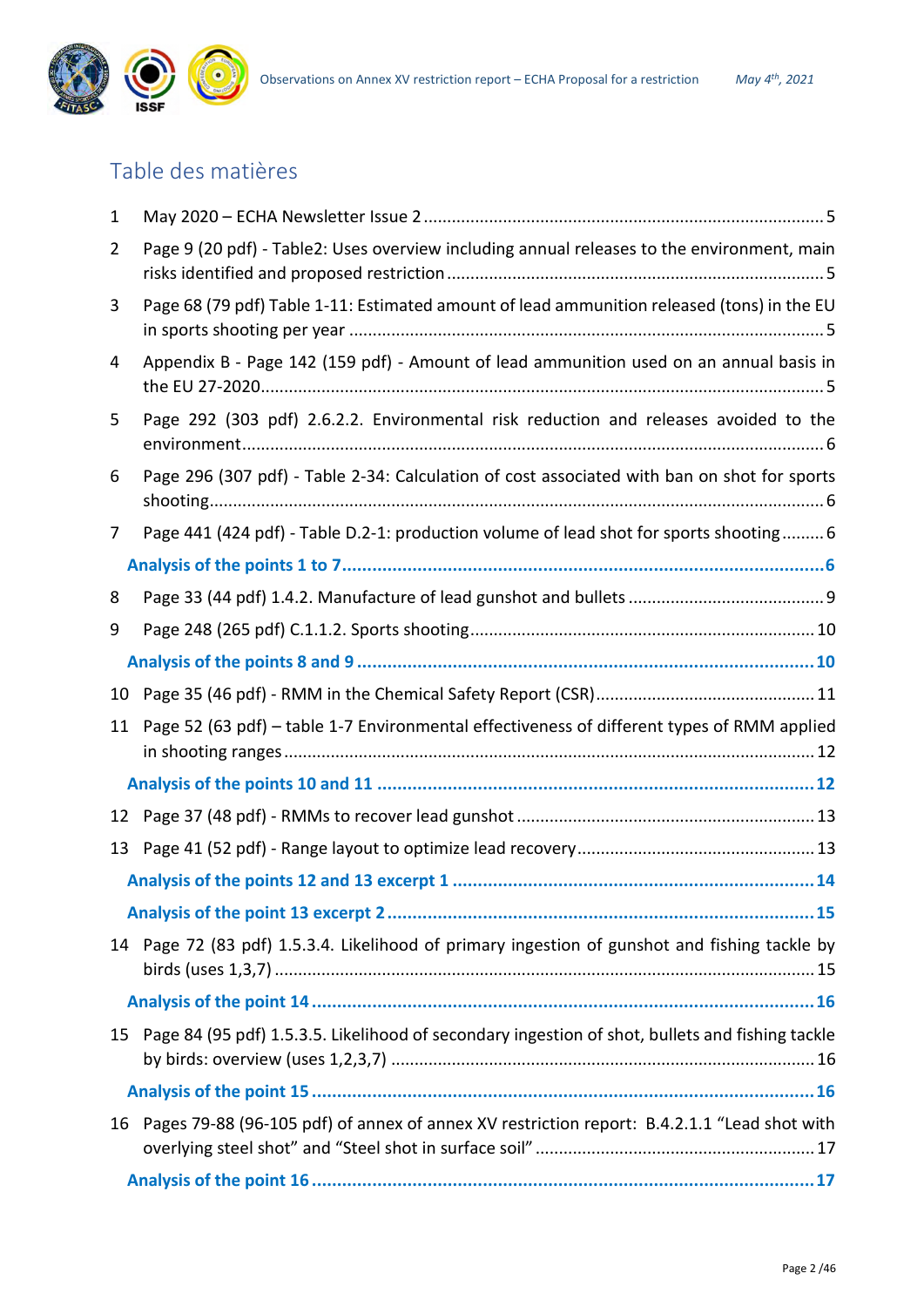



## Table des matières

| 1              |                                                                                                    |
|----------------|----------------------------------------------------------------------------------------------------|
| $\overline{2}$ | Page 9 (20 pdf) - Table2: Uses overview including annual releases to the environment, main         |
| 3              | Page 68 (79 pdf) Table 1-11: Estimated amount of lead ammunition released (tons) in the EU         |
| 4              | Appendix B - Page 142 (159 pdf) - Amount of lead ammunition used on an annual basis in             |
| 5              | Page 292 (303 pdf) 2.6.2.2. Environmental risk reduction and releases avoided to the               |
| 6              | Page 296 (307 pdf) - Table 2-34: Calculation of cost associated with ban on shot for sports        |
| 7              | Page 441 (424 pdf) - Table D.2-1: production volume of lead shot for sports shooting 6             |
|                |                                                                                                    |
| 8              |                                                                                                    |
| 9              |                                                                                                    |
|                |                                                                                                    |
| 10             |                                                                                                    |
| 11             | Page 52 (63 pdf) - table 1-7 Environmental effectiveness of different types of RMM applied         |
|                |                                                                                                    |
| 12             |                                                                                                    |
| 13             |                                                                                                    |
|                |                                                                                                    |
|                |                                                                                                    |
|                | 14 Page 72 (83 pdf) 1.5.3.4. Likelihood of primary ingestion of gunshot and fishing tackle by      |
|                |                                                                                                    |
|                | 15 Page 84 (95 pdf) 1.5.3.5. Likelihood of secondary ingestion of shot, bullets and fishing tackle |
|                |                                                                                                    |
| 16             | Pages 79-88 (96-105 pdf) of annex of annex XV restriction report: B.4.2.1.1 "Lead shot with        |
|                |                                                                                                    |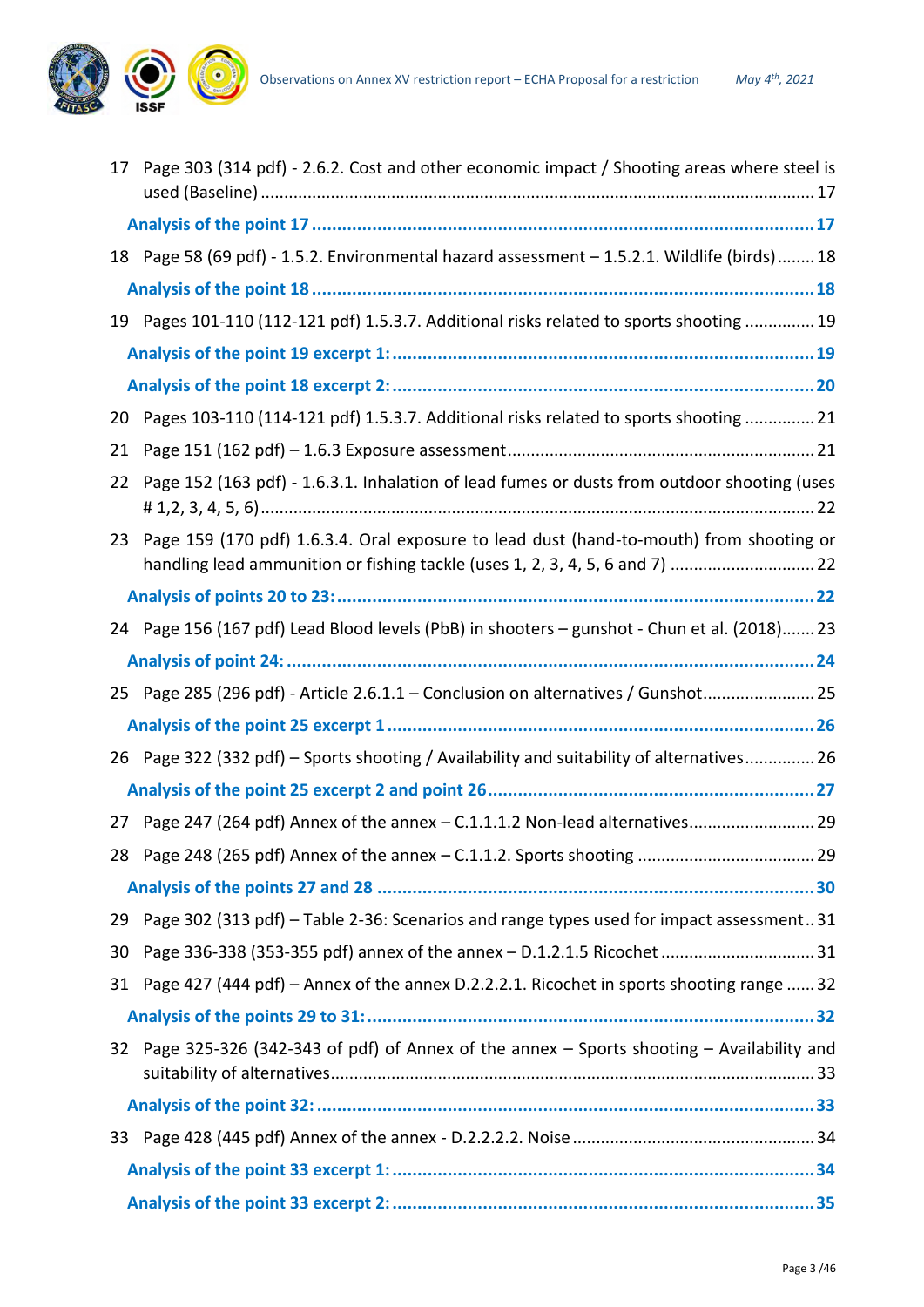

| 17 | Page 303 (314 pdf) - 2.6.2. Cost and other economic impact / Shooting areas where steel is                                                                              |
|----|-------------------------------------------------------------------------------------------------------------------------------------------------------------------------|
|    |                                                                                                                                                                         |
|    | 18 Page 58 (69 pdf) - 1.5.2. Environmental hazard assessment - 1.5.2.1. Wildlife (birds) 18                                                                             |
|    |                                                                                                                                                                         |
|    | 19 Pages 101-110 (112-121 pdf) 1.5.3.7. Additional risks related to sports shooting  19                                                                                 |
|    |                                                                                                                                                                         |
|    |                                                                                                                                                                         |
| 20 | Pages 103-110 (114-121 pdf) 1.5.3.7. Additional risks related to sports shooting  21                                                                                    |
| 21 |                                                                                                                                                                         |
| 22 | Page 152 (163 pdf) - 1.6.3.1. Inhalation of lead fumes or dusts from outdoor shooting (uses                                                                             |
| 23 | Page 159 (170 pdf) 1.6.3.4. Oral exposure to lead dust (hand-to-mouth) from shooting or<br>handling lead ammunition or fishing tackle (uses 1, 2, 3, 4, 5, 6 and 7)  22 |
|    |                                                                                                                                                                         |
|    | 24 Page 156 (167 pdf) Lead Blood levels (PbB) in shooters - gunshot - Chun et al. (2018) 23                                                                             |
|    |                                                                                                                                                                         |
|    | 25 Page 285 (296 pdf) - Article 2.6.1.1 - Conclusion on alternatives / Gunshot 25                                                                                       |
|    |                                                                                                                                                                         |
|    | 26 Page 322 (332 pdf) - Sports shooting / Availability and suitability of alternatives 26                                                                               |
|    |                                                                                                                                                                         |
| 27 | Page 247 (264 pdf) Annex of the annex - C.1.1.1.2 Non-lead alternatives 29                                                                                              |
|    |                                                                                                                                                                         |
|    |                                                                                                                                                                         |
| 29 | Page 302 (313 pdf) - Table 2-36: Scenarios and range types used for impact assessment31                                                                                 |
| 30 |                                                                                                                                                                         |
| 31 | Page 427 (444 pdf) – Annex of the annex D.2.2.2.1. Ricochet in sports shooting range  32                                                                                |
|    |                                                                                                                                                                         |
| 32 | Page 325-326 (342-343 of pdf) of Annex of the annex - Sports shooting - Availability and                                                                                |
|    |                                                                                                                                                                         |
|    |                                                                                                                                                                         |
|    |                                                                                                                                                                         |
|    |                                                                                                                                                                         |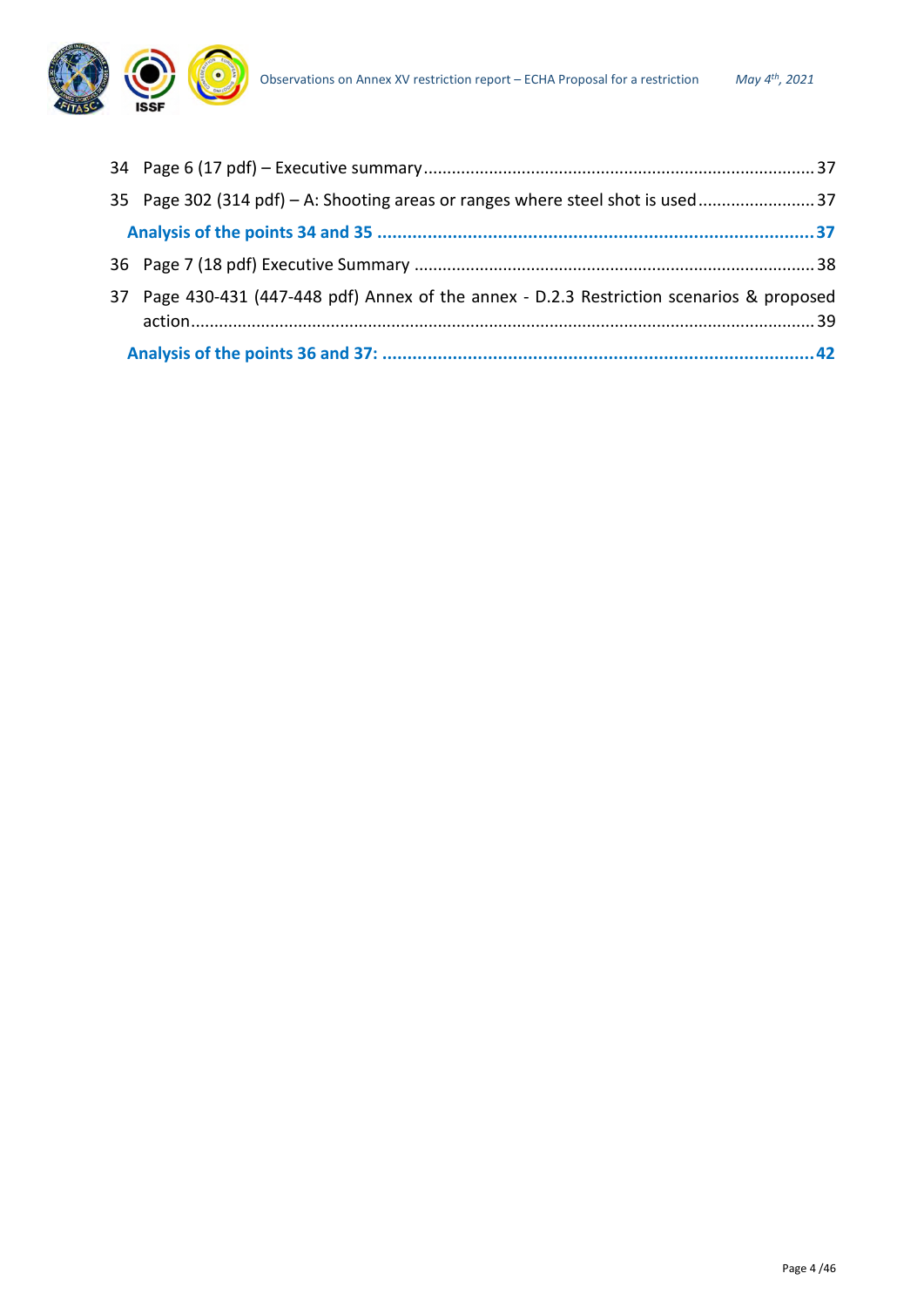

| 35 Page 302 (314 pdf) - A: Shooting areas or ranges where steel shot is used37            |  |
|-------------------------------------------------------------------------------------------|--|
|                                                                                           |  |
|                                                                                           |  |
| 37 Page 430-431 (447-448 pdf) Annex of the annex - D.2.3 Restriction scenarios & proposed |  |
|                                                                                           |  |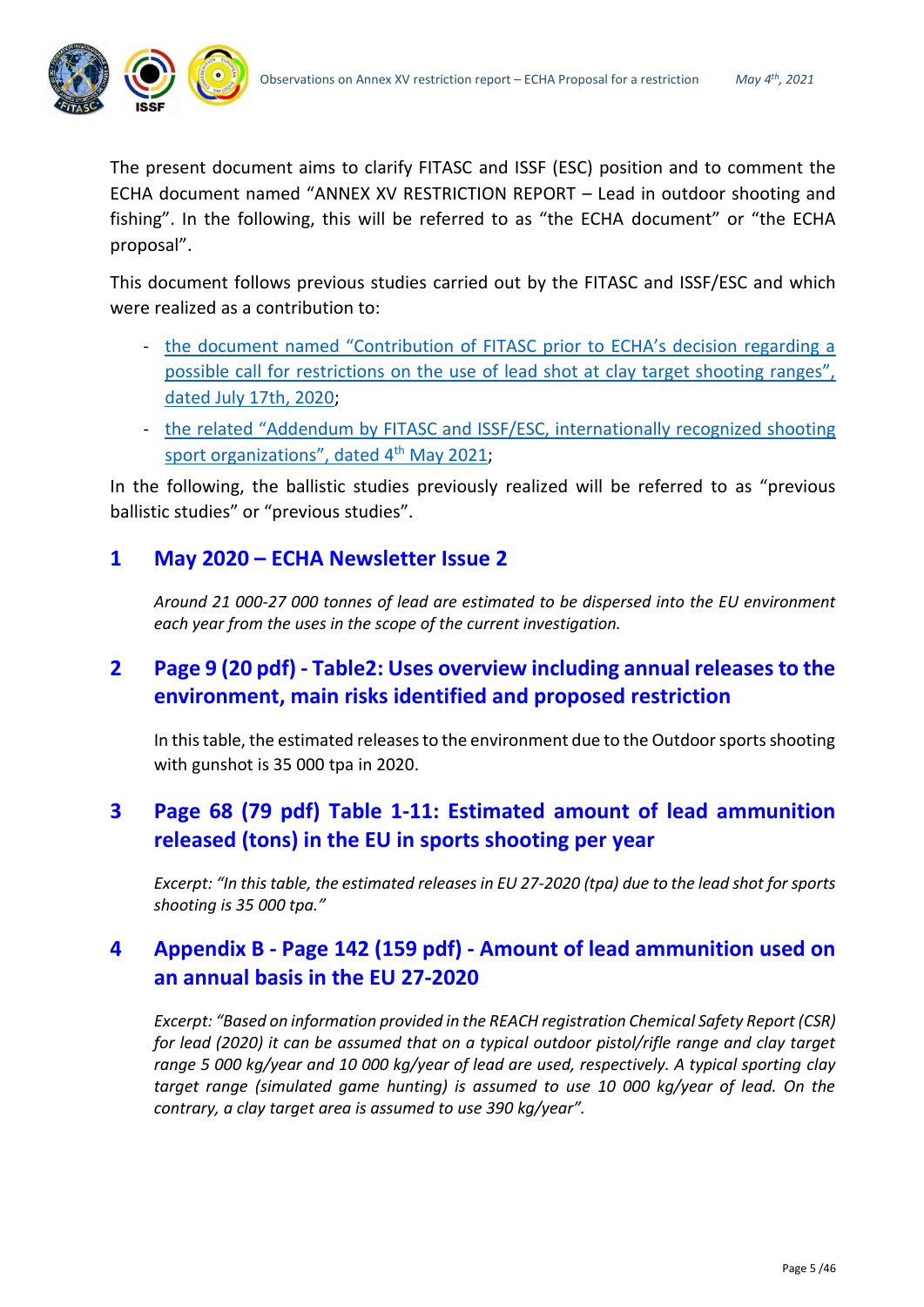

The present document aims to clarify FITASC and ISSF (ESC) position and to comment the ECHA document named "ANNEX XV RESTRICTION REPORT – Lead in outdoor shooting and fishing". In the following, this will be referred to as "the ECHA document" or "the ECHA proposal".

This document follows previous studies carried out by the FITASC and ISSF/ESC and which were realized as a contribution to:

- [the document named "Contribution of FITASC prior to ECHA's decision regarding a](https://www.fitasc.com/upload/images/echa_mai_2021/20200720_eng_fitasc_doc_contribution_echa.pdf)  [possible call for restrictions on the use of lead shot at clay target shooting ranges",](https://www.fitasc.com/upload/images/echa_mai_2021/20200720_eng_fitasc_doc_contribution_echa.pdf)  [dated July 17th, 2020;](https://www.fitasc.com/upload/images/echa_mai_2021/20200720_eng_fitasc_doc_contribution_echa.pdf)
- the related "Addendum [by FITASC and ISSF/ESC, internationally recognized shooting](https://www.fitasc.com/upload/images/echa_mai_2021/20210504_addendum_may21_to_fitasc_contribution_july20.pdf)  [sport organizations",](https://www.fitasc.com/upload/images/echa_mai_2021/20210504_addendum_may21_to_fitasc_contribution_july20.pdf) dated 4<sup>th</sup> May 2021;

In the following, the ballistic studies previously realized will be referred to as "previous ballistic studies" or "previous studies".

### <span id="page-4-0"></span>**1 May 2020 – ECHA Newsletter Issue 2**

*Around 21 000-27 000 tonnes of lead are estimated to be dispersed into the EU environment each year from the uses in the scope of the current investigation.*

### <span id="page-4-1"></span>**2 Page 9 (20 pdf) - Table2: Uses overview including annual releases to the environment, main risks identified and proposed restriction**

In this table, the estimated releases to the environment due to the Outdoor sports shooting with gunshot is 35 000 tpa in 2020.

### <span id="page-4-2"></span>**3 Page 68 (79 pdf) Table 1-11: Estimated amount of lead ammunition released (tons) in the EU in sports shooting per year**

*Excerpt: "In this table, the estimated releases in EU 27-2020 (tpa) due to the lead shot for sports shooting is 35 000 tpa."*

### <span id="page-4-3"></span>**4 Appendix B - Page 142 (159 pdf) - Amount of lead ammunition used on an annual basis in the EU 27-2020**

*Excerpt: "Based on information provided in the REACH registration Chemical Safety Report (CSR) for lead (2020) it can be assumed that on a typical outdoor pistol/rifle range and clay target range 5 000 kg/year and 10 000 kg/year of lead are used, respectively. A typical sporting clay target range (simulated game hunting) is assumed to use 10 000 kg/year of lead. On the contrary, a clay target area is assumed to use 390 kg/year".*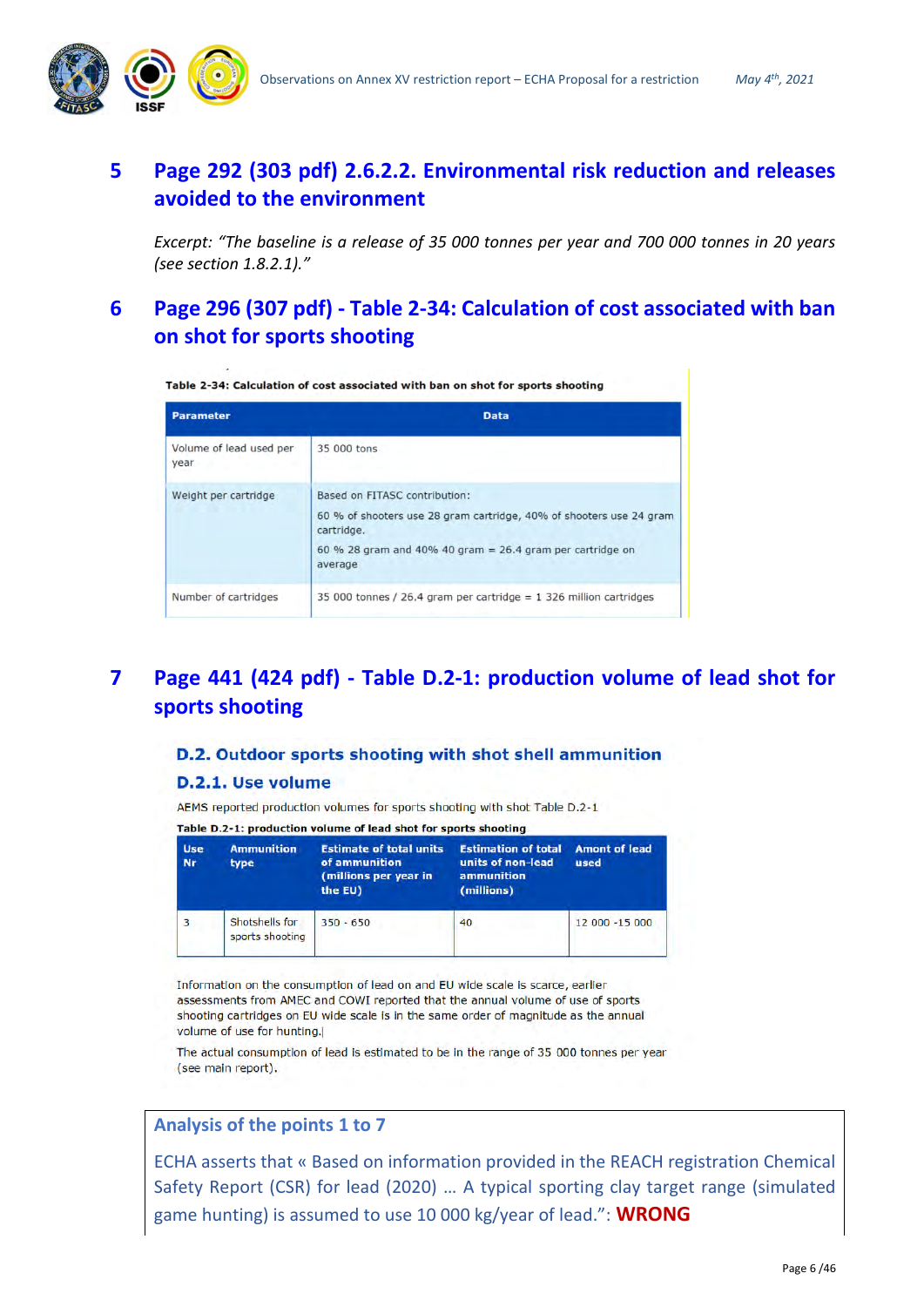

### <span id="page-5-0"></span>**5 Page 292 (303 pdf) 2.6.2.2. Environmental risk reduction and releases avoided to the environment**

*Excerpt: "The baseline is a release of 35 000 tonnes per year and 700 000 tonnes in 20 years (see section 1.8.2.1)."*

### <span id="page-5-1"></span>**6 Page 296 (307 pdf) - Table 2-34: Calculation of cost associated with ban on shot for sports shooting**

Table 2-34: Calculation of cost associated with ban on shot for sports shooting

| <b>Parameter</b>                | <b>Data</b>                                                                                                                                                                                  |  |  |
|---------------------------------|----------------------------------------------------------------------------------------------------------------------------------------------------------------------------------------------|--|--|
| Volume of lead used per<br>year | 35 000 tons                                                                                                                                                                                  |  |  |
| Weight per cartridge            | Based on FITASC contribution:<br>60 % of shooters use 28 gram cartridge, 40% of shooters use 24 gram<br>cartridge.<br>60 % 28 gram and 40% 40 gram $= 26.4$ gram per cartridge on<br>average |  |  |
| Number of cartridges            | 35 000 tonnes / 26.4 gram per cartridge = $1$ 326 million cartridges                                                                                                                         |  |  |

### <span id="page-5-2"></span>**7 Page 441 (424 pdf) - Table D.2-1: production volume of lead shot for sports shooting**

#### D.2. Outdoor sports shooting with shot shell ammunition

#### D.2.1. Use volume

AEMS reported production volumes for sports shooting with shot Table D.2-1

Table D.2-1: production volume of lead shot for sports shooting

| <b>Use</b><br>Nr | <b>Ammunition</b><br>type         | <b>Estimate of total units</b><br>of ammunition<br>(millions per year in<br>the EU) | <b>Estimation of total</b><br>units of non-lead<br>ammunition<br>(millions) | <b>Amont of lead</b><br>used |
|------------------|-----------------------------------|-------------------------------------------------------------------------------------|-----------------------------------------------------------------------------|------------------------------|
| 3                | Shotshells for<br>sports shooting | $350 - 650$                                                                         | 40                                                                          | 12 000 -15 000               |

Information on the consumption of lead on and EU wide scale is scarce, earlier assessments from AMEC and COWI reported that the annual volume of use of sports shooting cartridges on EU wide scale is in the same order of magnitude as the annual volume of use for hunting.

The actual consumption of lead is estimated to be in the range of 35 000 tonnes per year (see main report).

#### <span id="page-5-3"></span>**Analysis of the points 1 to 7**

ECHA asserts that « Based on information provided in the REACH registration Chemical Safety Report (CSR) for lead (2020) … A typical sporting clay target range (simulated game hunting) is assumed to use 10 000 kg/year of lead.": **WRONG**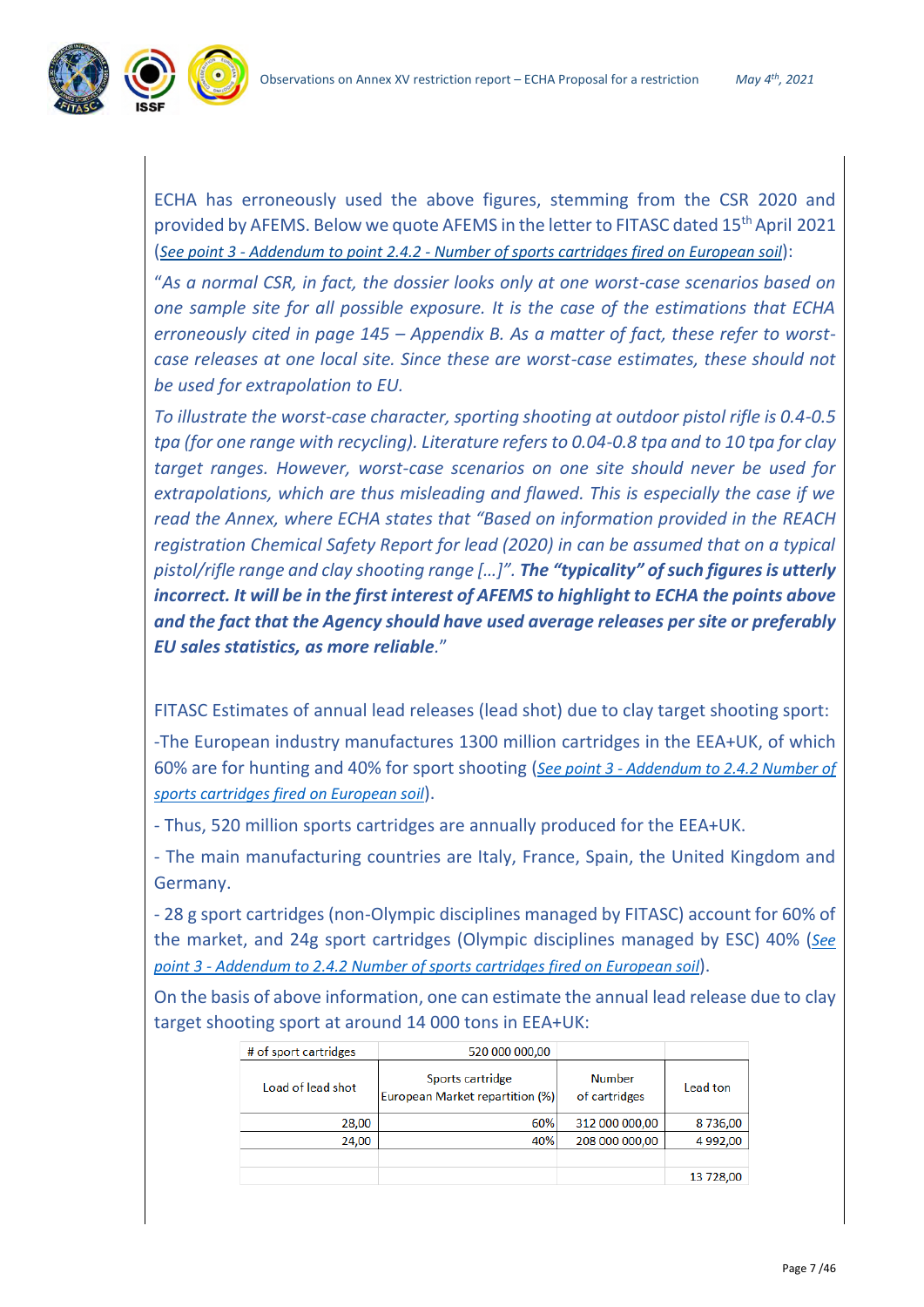



ECHA has erroneously used the above figures, stemming from the CSR 2020 and provided by AFEMS. Below we quote AFEMS in the letter to FITASC dated 15<sup>th</sup> April 2021 (*See point 3 - Addendum to point 2.4.2 - [Number of sports cartridges fired on European soil](https://www.fitasc.com/upload/images/echa_mai_2021/20210504_addendum_may21_to_fitasc_contribution_july20.pdf)*):

"*As a normal CSR, in fact, the dossier looks only at one worst-case scenarios based on one sample site for all possible exposure. It is the case of the estimations that ECHA erroneously cited in page 145 – Appendix B. As a matter of fact, these refer to worstcase releases at one local site. Since these are worst-case estimates, these should not be used for extrapolation to EU.*

*To illustrate the worst-case character, sporting shooting at outdoor pistol rifle is 0.4-0.5 tpa (for one range with recycling). Literature refers to 0.04-0.8 tpa and to 10 tpa for clay target ranges. However, worst-case scenarios on one site should never be used for extrapolations, which are thus misleading and flawed. This is especially the case if we read the Annex, where ECHA states that "Based on information provided in the REACH registration Chemical Safety Report for lead (2020) in can be assumed that on a typical pistol/rifle range and clay shooting range […]". The "typicality" of such figures is utterly incorrect. It will be in the first interest of AFEMS to highlight to ECHA the points above and the fact that the Agency should have used average releases per site or preferably EU sales statistics, as more reliable.*"

FITASC Estimates of annual lead releases (lead shot) due to clay target shooting sport:

-The European industry manufactures 1300 million cartridges in the EEA+UK, of which 60% are for hunting and 40% for sport shooting (*See point 3 - [Addendum to 2.4.2 Number of](https://www.fitasc.com/upload/images/echa_mai_2021/20210504_addendum_may21_to_fitasc_contribution_july20.pdf)  [sports cartridges fired on European soil](https://www.fitasc.com/upload/images/echa_mai_2021/20210504_addendum_may21_to_fitasc_contribution_july20.pdf)*).

- Thus, 520 million sports cartridges are annually produced for the EEA+UK.

- The main manufacturing countries are Italy, France, Spain, the United Kingdom and Germany.

- 28 g sport cartridges (non-Olympic disciplines managed by FITASC) account for 60% of the market, and 24g sport cartridges (Olympic disciplines managed by ESC) 40% (*[See](https://www.fitasc.com/upload/images/echa_mai_2021/20210504_addendum_may21_to_fitasc_contribution_july20.pdf)  point 3 - [Addendum to 2.4.2 Number of sports cartridges fired on European soil](https://www.fitasc.com/upload/images/echa_mai_2021/20210504_addendum_may21_to_fitasc_contribution_july20.pdf)*).

On the basis of above information, one can estimate the annual lead release due to clay target shooting sport at around 14 000 tons in EEA+UK:

| # of sport cartridges | 520 000 000,00                                             |                                |            |
|-----------------------|------------------------------------------------------------|--------------------------------|------------|
| Load of lead shot     | Sports cartridge<br><b>European Market repartition (%)</b> | <b>Number</b><br>of cartridges | Lead ton   |
| 28,00                 | 60%                                                        | 312 000 000,00                 | 8736,00    |
| 24,00                 | 40%                                                        | 208 000 000,00                 | 4 9 9 2,00 |
|                       |                                                            |                                |            |
|                       |                                                            |                                | 13 728,00  |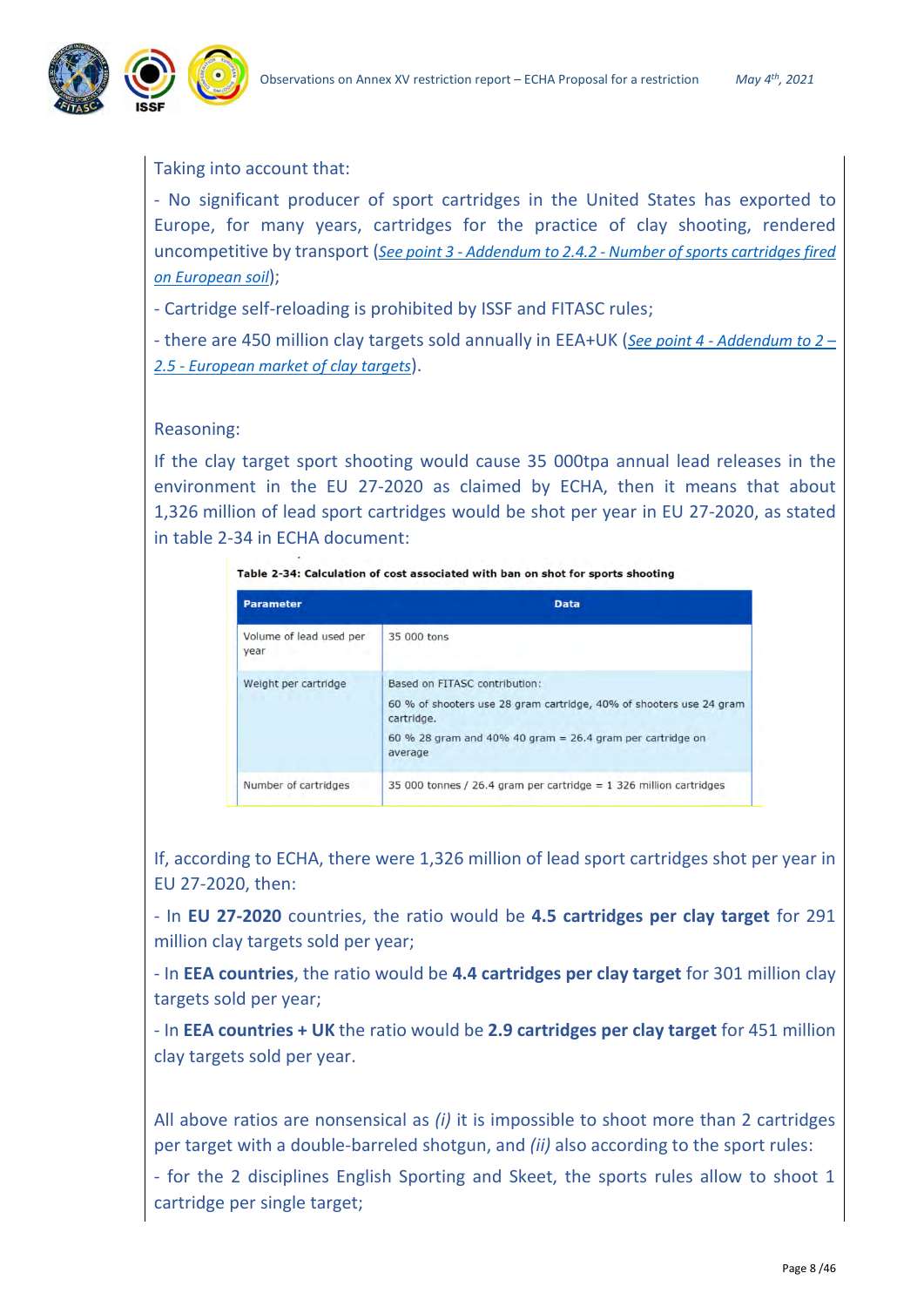

Taking into account that:

- No significant producer of sport cartridges in the United States has exported to Europe, for many years, cartridges for the practice of clay shooting, rendered uncompetitive by transport (*See point 3 - Addendum to 2.4.2 - [Number of sports cartridges fired](https://www.fitasc.com/upload/images/echa_mai_2021/20210504_addendum_may21_to_fitasc_contribution_july20.pdf)  [on European](https://www.fitasc.com/upload/images/echa_mai_2021/20210504_addendum_may21_to_fitasc_contribution_july20.pdf) soil*);

- Cartridge self-reloading is prohibited by ISSF and FITASC rules;

- there are 450 million clay targets sold annually in EEA+UK (*See point 4 - [Addendum to 2](https://www.fitasc.com/upload/images/echa_mai_2021/20210504_addendum_may21_to_fitasc_contribution_july20.pdf) – 2.5 - [European market of clay targets](https://www.fitasc.com/upload/images/echa_mai_2021/20210504_addendum_may21_to_fitasc_contribution_july20.pdf)*).

### Reasoning:

If the clay target sport shooting would cause 35 000tpa annual lead releases in the environment in the EU 27-2020 as claimed by ECHA, then it means that about 1,326 million of lead sport cartridges would be shot per year in EU 27-2020, as stated in table 2-34 in ECHA document:

Table 2-34: Calculation of cost associated with ban on shot for sports shooting

| <b>Parameter</b>                | <b>Data</b>                                                                                                                                                                                  |  |  |
|---------------------------------|----------------------------------------------------------------------------------------------------------------------------------------------------------------------------------------------|--|--|
| Volume of lead used per<br>year | 35 000 tons                                                                                                                                                                                  |  |  |
| Weight per cartridge            | Based on FITASC contribution:<br>60 % of shooters use 28 gram cartridge, 40% of shooters use 24 gram<br>cartridge.<br>60 % 28 gram and 40% 40 gram $=$ 26.4 gram per cartridge on<br>average |  |  |
| Number of cartridges            | 35 000 tonnes / 26.4 gram per cartridge = $1$ 326 million cartridges                                                                                                                         |  |  |

If, according to ECHA, there were 1,326 million of lead sport cartridges shot per year in EU 27-2020, then:

- In **EU 27-2020** countries, the ratio would be **4.5 cartridges per clay target** for 291 million clay targets sold per year;

- In **EEA countries**, the ratio would be **4.4 cartridges per clay target** for 301 million clay targets sold per year;

- In **EEA countries + UK** the ratio would be **2.9 cartridges per clay target** for 451 million clay targets sold per year.

All above ratios are nonsensical as *(i)* it is impossible to shoot more than 2 cartridges per target with a double-barreled shotgun, and *(ii)* also according to the sport rules:

- for the 2 disciplines English Sporting and Skeet, the sports rules allow to shoot 1 cartridge per single target;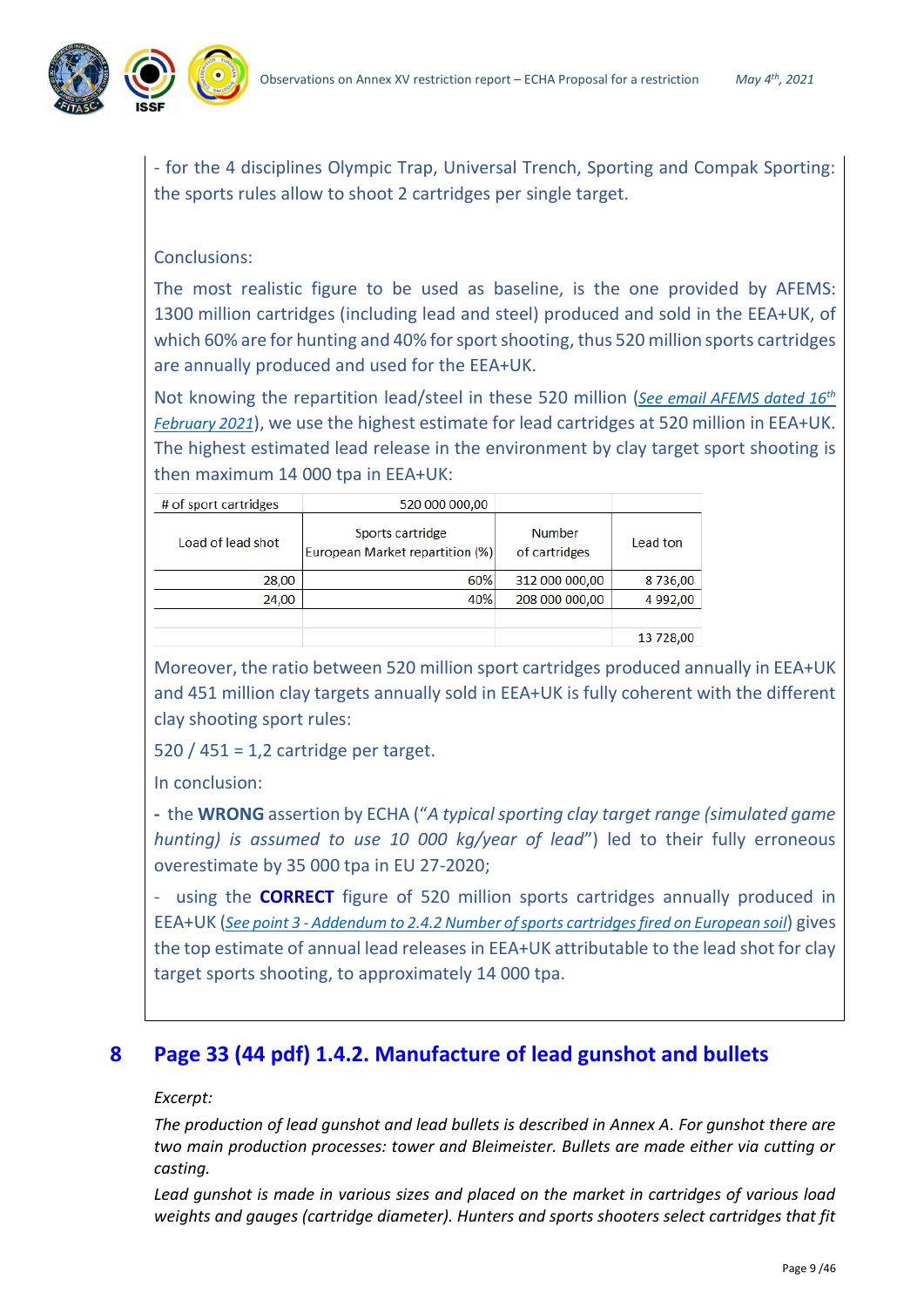



- for the 4 disciplines Olympic Trap, Universal Trench, Sporting and Compak Sporting: the sports rules allow to shoot 2 cartridges per single target.

### Conclusions:

The most realistic figure to be used as baseline, is the one provided by AFEMS: 1300 million cartridges (including lead and steel) produced and sold in the EEA+UK, of which 60% are for hunting and 40% for sport shooting, thus 520 million sports cartridges are annually produced and used for the EEA+UK.

Not knowing the repartition lead/steel in these 520 million (*[See email AFEMS dated 16](https://www.fitasc.com/upload/images/echa_mai_2021/obs_1_7_20210216_rp_afems_considerations_on_lead_releases.pdf)th [February 2021](https://www.fitasc.com/upload/images/echa_mai_2021/obs_1_7_20210216_rp_afems_considerations_on_lead_releases.pdf)*), we use the highest estimate for lead cartridges at 520 million in EEA+UK. The highest estimated lead release in the environment by clay target sport shooting is then maximum 14 000 tpa in EEA+UK:

| # of sport cartridges | 520 000 000,00                                             |                                |            |
|-----------------------|------------------------------------------------------------|--------------------------------|------------|
| Load of lead shot     | Sports cartridge<br><b>European Market repartition (%)</b> | <b>Number</b><br>of cartridges | Lead ton   |
| 28,00                 | 60%                                                        | 312 000 000,00                 | 8736,00    |
| 24,00                 | 40%                                                        | 208 000 000,00                 | 4 9 9 2,00 |
|                       |                                                            |                                |            |
|                       |                                                            |                                | 13 728,00  |

Moreover, the ratio between 520 million sport cartridges produced annually in EEA+UK and 451 million clay targets annually sold in EEA+UK is fully coherent with the different clay shooting sport rules:

520 / 451 = 1,2 cartridge per target.

In conclusion:

**-** the **WRONG** assertion by ECHA ("*A typical sporting clay target range (simulated game hunting) is assumed to use 10 000 kg/year of lead*") led to their fully erroneous overestimate by 35 000 tpa in EU 27-2020;

- using the **CORRECT** figure of 520 million sports cartridges annually produced in EEA+UK (*See point 3 - Addendum to [2.4.2 Number of sports cartridges fired on European soil](https://www.fitasc.com/upload/images/echa_mai_2021/20210504_addendum_may21_to_fitasc_contribution_july20.pdf)*) gives the top estimate of annual lead releases in EEA+UK attributable to the lead shot for clay target sports shooting, to approximately 14 000 tpa.

### <span id="page-8-0"></span>**8 Page 33 (44 pdf) 1.4.2. Manufacture of lead gunshot and bullets**

### *Excerpt:*

*The production of lead gunshot and lead bullets is described in Annex A. For gunshot there are two main production processes: tower and Bleimeister. Bullets are made either via cutting or casting.*

*Lead gunshot is made in various sizes and placed on the market in cartridges of various load weights and gauges (cartridge diameter). Hunters and sports shooters select cartridges that fit*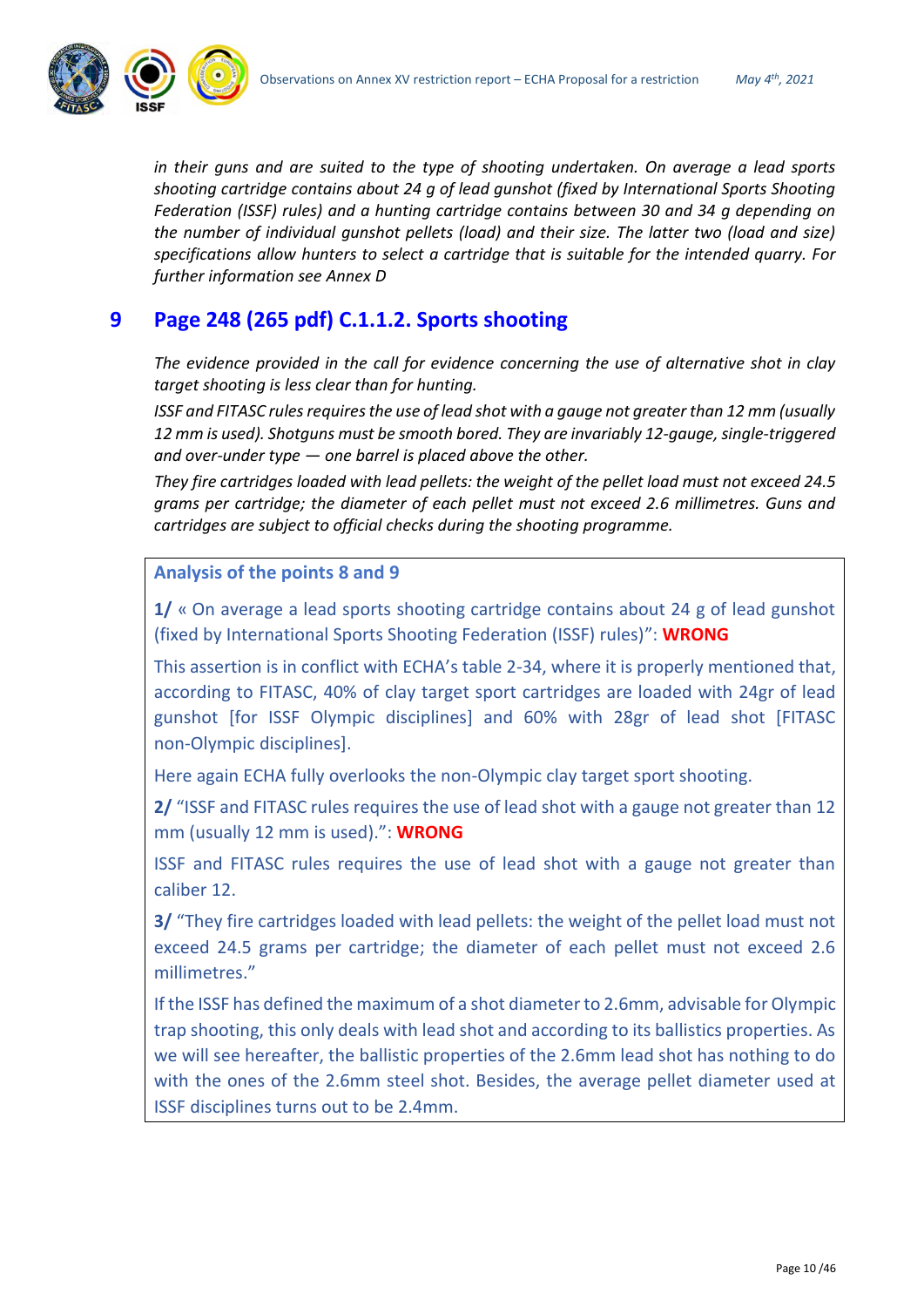

*in their guns and are suited to the type of shooting undertaken. On average a lead sports shooting cartridge contains about 24 g of lead gunshot (fixed by International Sports Shooting Federation (ISSF) rules) and a hunting cartridge contains between 30 and 34 g depending on the number of individual gunshot pellets (load) and their size. The latter two (load and size) specifications allow hunters to select a cartridge that is suitable for the intended quarry. For further information see Annex D*

### <span id="page-9-0"></span>**9 Page 248 (265 pdf) C.1.1.2. Sports shooting**

*The evidence provided in the call for evidence concerning the use of alternative shot in clay target shooting is less clear than for hunting.*

*ISSF and FITASC rules requires the use of lead shot with a gauge not greater than 12 mm (usually 12 mm is used). Shotguns must be smooth bored. They are invariably 12-gauge, single-triggered and over-under type — one barrel is placed above the other.*

*They fire cartridges loaded with lead pellets: the weight of the pellet load must not exceed 24.5 grams per cartridge; the diameter of each pellet must not exceed 2.6 millimetres. Guns and cartridges are subject to official checks during the shooting programme.*

### <span id="page-9-1"></span>**Analysis of the points 8 and 9**

**1/** « On average a lead sports shooting cartridge contains about 24 g of lead gunshot (fixed by International Sports Shooting Federation (ISSF) rules)": **WRONG**

This assertion is in conflict with ECHA's table 2-34, where it is properly mentioned that, according to FITASC, 40% of clay target sport cartridges are loaded with 24gr of lead gunshot [for ISSF Olympic disciplines] and 60% with 28gr of lead shot [FITASC non-Olympic disciplines].

Here again ECHA fully overlooks the non-Olympic clay target sport shooting.

**2/** "ISSF and FITASC rules requires the use of lead shot with a gauge not greater than 12 mm (usually 12 mm is used).": **WRONG**

ISSF and FITASC rules requires the use of lead shot with a gauge not greater than caliber 12.

**3/** "They fire cartridges loaded with lead pellets: the weight of the pellet load must not exceed 24.5 grams per cartridge; the diameter of each pellet must not exceed 2.6 millimetres."

If the ISSF has defined the maximum of a shot diameter to 2.6mm, advisable for Olympic trap shooting, this only deals with lead shot and according to its ballistics properties. As we will see hereafter, the ballistic properties of the 2.6mm lead shot has nothing to do with the ones of the 2.6mm steel shot. Besides, the average pellet diameter used at ISSF disciplines turns out to be 2.4mm.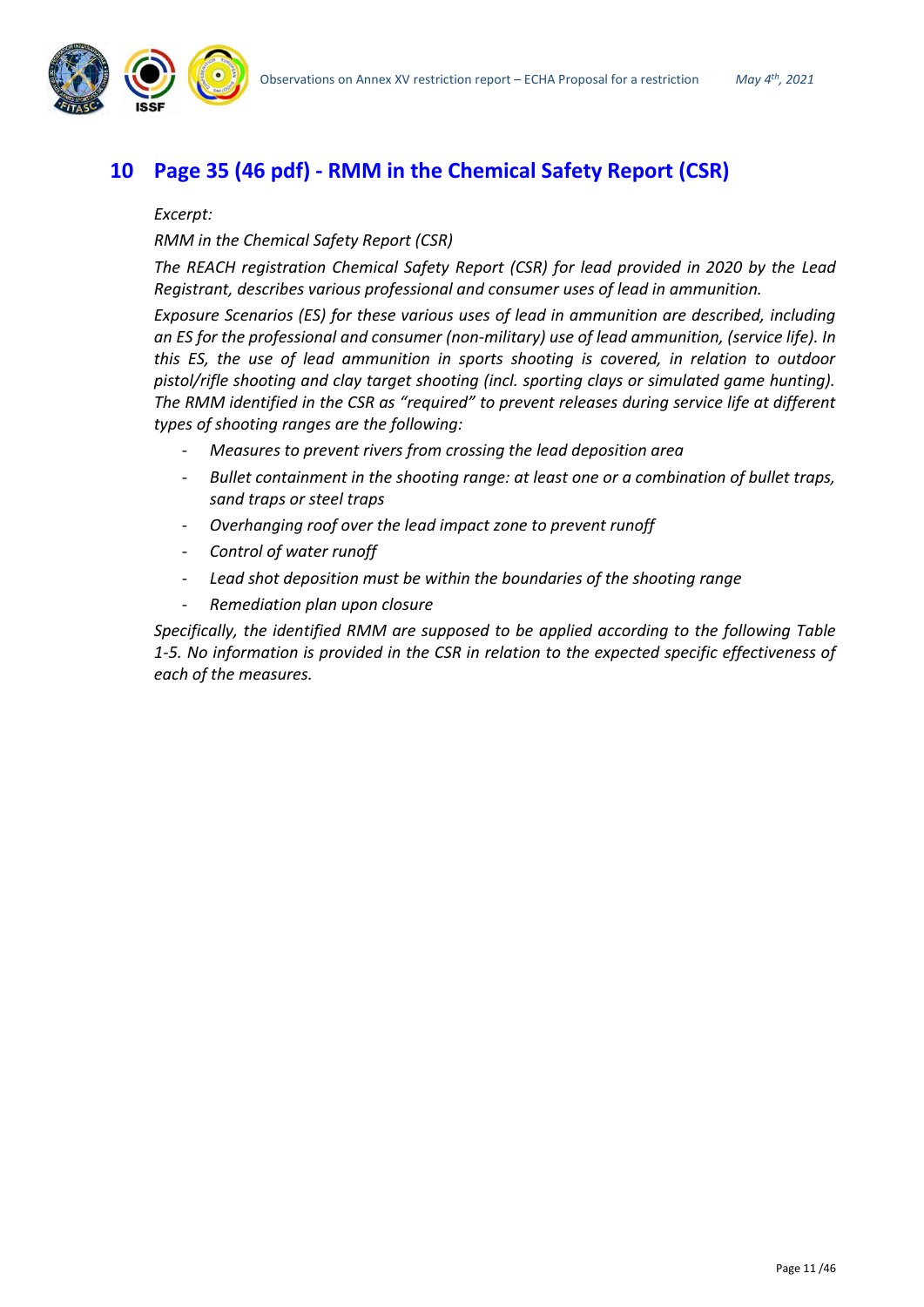

### <span id="page-10-0"></span>**10 Page 35 (46 pdf) - RMM in the Chemical Safety Report (CSR)**

#### *Excerpt:*

#### *RMM in the Chemical Safety Report (CSR)*

*The REACH registration Chemical Safety Report (CSR) for lead provided in 2020 by the Lead Registrant, describes various professional and consumer uses of lead in ammunition.*

*Exposure Scenarios (ES) for these various uses of lead in ammunition are described, including an ES for the professional and consumer (non-military) use of lead ammunition, (service life). In this ES, the use of lead ammunition in sports shooting is covered, in relation to outdoor pistol/rifle shooting and clay target shooting (incl. sporting clays or simulated game hunting). The RMM identified in the CSR as "required" to prevent releases during service life at different types of shooting ranges are the following:*

- *Measures to prevent rivers from crossing the lead deposition area*
- *Bullet containment in the shooting range: at least one or a combination of bullet traps, sand traps or steel traps*
- *Overhanging roof over the lead impact zone to prevent runoff*
- *Control of water runoff*
- *Lead shot deposition must be within the boundaries of the shooting range*
- *Remediation plan upon closure*

*Specifically, the identified RMM are supposed to be applied according to the following Table 1-5. No information is provided in the CSR in relation to the expected specific effectiveness of each of the measures.*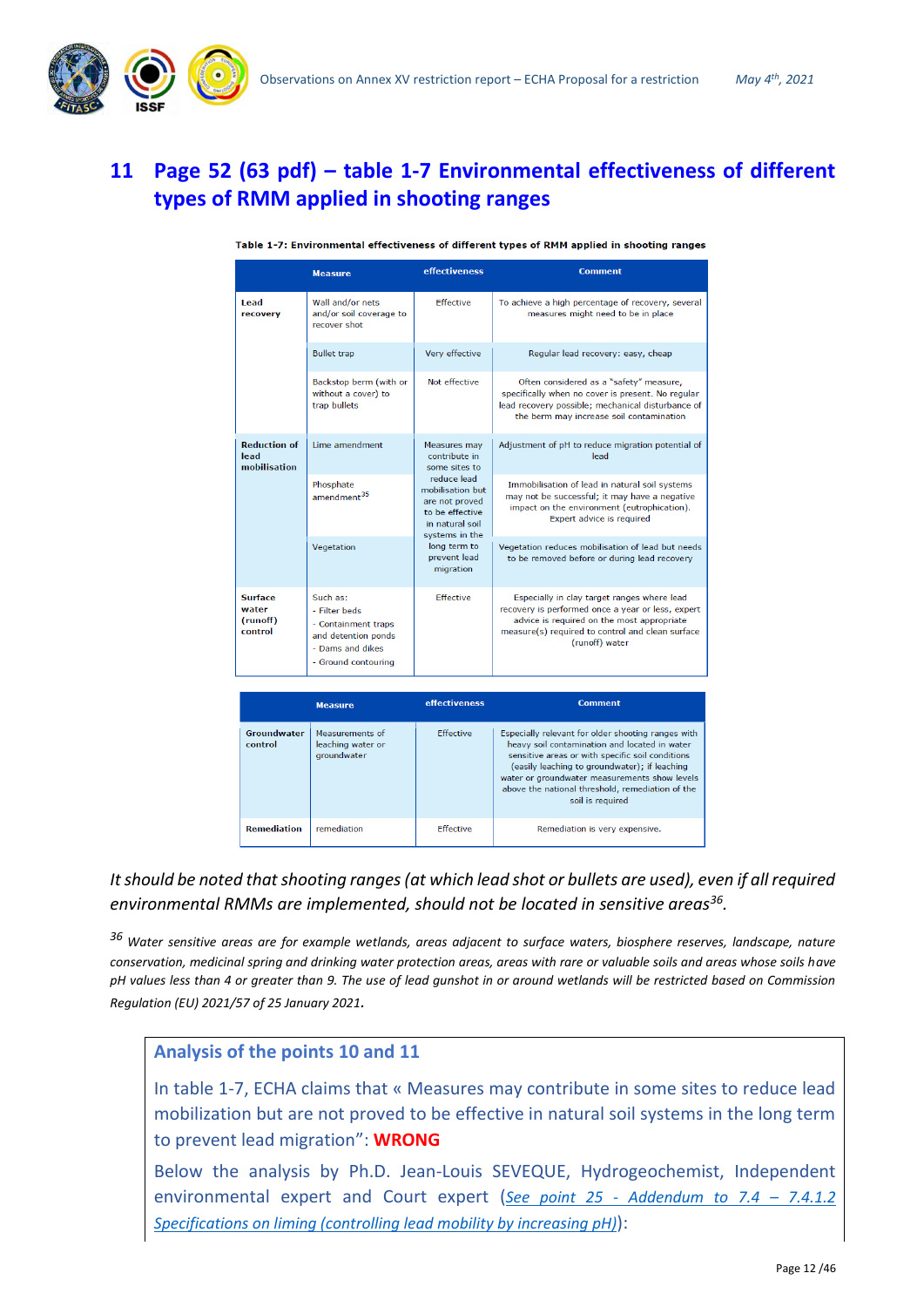



### <span id="page-11-0"></span>**11 Page 52 (63 pdf) – table 1-7 Environmental effectiveness of different types of RMM applied in shooting ranges**

Table 1-7: Environmental effectiveness of different types of RMM applied in shooting ranges

|                                                | <b>Measure</b>                                                                                                     | effectiveness                                                                                                                                                                                            | <b>Comment</b>                                                                                                                                                                                                       |                                                                                                                                                                             |
|------------------------------------------------|--------------------------------------------------------------------------------------------------------------------|----------------------------------------------------------------------------------------------------------------------------------------------------------------------------------------------------------|----------------------------------------------------------------------------------------------------------------------------------------------------------------------------------------------------------------------|-----------------------------------------------------------------------------------------------------------------------------------------------------------------------------|
| Lead<br>recovery                               | Wall and/or nets<br>and/or soil coverage to<br>recover shot                                                        | <b>Effective</b>                                                                                                                                                                                         | To achieve a high percentage of recovery, several<br>measures might need to be in place                                                                                                                              |                                                                                                                                                                             |
|                                                | <b>Bullet trap</b>                                                                                                 | Very effective                                                                                                                                                                                           | Regular lead recovery: easy, cheap                                                                                                                                                                                   |                                                                                                                                                                             |
|                                                | Backstop berm (with or<br>without a cover) to<br>trap bullets                                                      | Not effective                                                                                                                                                                                            | Often considered as a "safety" measure,<br>specifically when no cover is present. No regular<br>lead recovery possible; mechanical disturbance of<br>the berm may increase soil contamination                        |                                                                                                                                                                             |
| <b>Reduction of</b><br>lead<br>mobilisation    | Lime amendment                                                                                                     | Measures may<br>contribute in<br>some sites to<br>reduce lead<br>mobilisation but<br>are not proved<br>to be effective<br>in natural soil<br>systems in the<br>long term to<br>prevent lead<br>migration |                                                                                                                                                                                                                      | Adjustment of pH to reduce migration potential of<br>lead                                                                                                                   |
|                                                | Phosphate<br>amendment <sup>35</sup>                                                                               |                                                                                                                                                                                                          |                                                                                                                                                                                                                      | Immobilisation of lead in natural soil systems<br>may not be successful; it may have a negative<br>impact on the environment (eutrophication).<br>Expert advice is required |
|                                                | Vegetation                                                                                                         |                                                                                                                                                                                                          | Vegetation reduces mobilisation of lead but needs<br>to be removed before or during lead recovery                                                                                                                    |                                                                                                                                                                             |
| <b>Surface</b><br>water<br>(runoff)<br>control | Such as:<br>- Filter beds<br>- Containment traps<br>and detention ponds<br>- Dams and dikes<br>- Ground contouring | <b>Effective</b>                                                                                                                                                                                         | Especially in clay target ranges where lead<br>recovery is performed once a year or less, expert<br>advice is required on the most appropriate<br>measure(s) required to control and clean surface<br>(runoff) water |                                                                                                                                                                             |
|                                                |                                                                                                                    |                                                                                                                                                                                                          |                                                                                                                                                                                                                      |                                                                                                                                                                             |

|                        | <b>Measure</b>                                      | <b>effectiveness</b> | <b>Comment</b>                                                                                                                                                                                                                                                                                                                    |
|------------------------|-----------------------------------------------------|----------------------|-----------------------------------------------------------------------------------------------------------------------------------------------------------------------------------------------------------------------------------------------------------------------------------------------------------------------------------|
| Groundwater<br>control | Measurements of<br>leaching water or<br>groundwater | Effective            | Especially relevant for older shooting ranges with<br>heavy soil contamination and located in water<br>sensitive areas or with specific soil conditions<br>(easily leaching to groundwater); if leaching<br>water or groundwater measurements show levels<br>above the national threshold, remediation of the<br>soil is required |
| <b>Remediation</b>     | remediation                                         | <b>Effective</b>     | Remediation is very expensive.                                                                                                                                                                                                                                                                                                    |

### *It should be noted that shooting ranges (at which lead shot or bullets are used), even if all required environmental RMMs are implemented, should not be located in sensitive areas<sup>36</sup> .*

*<sup>36</sup>Water sensitive areas are for example wetlands, areas adjacent to surface waters, biosphere reserves, landscape, nature conservation, medicinal spring and drinking water protection areas, areas with rare or valuable soils and areas whose soils have pH values less than 4 or greater than 9. The use of lead gunshot in or around wetlands will be restricted based on Commission Regulation (EU) 2021/57 of 25 January 2021.*

### <span id="page-11-1"></span>**Analysis of the points 10 and 11**

In table 1-7, ECHA claims that « Measures may contribute in some sites to reduce lead mobilization but are not proved to be effective in natural soil systems in the long term to prevent lead migration": **WRONG**

Below the analysis by Ph.D. Jean-Louis SEVEQUE, Hydrogeochemist, Independent environmental expert and Court expert (*See point 25 - [Addendum to 7.4](https://www.fitasc.com/upload/images/echa_mai_2021/20210504_addendum_may21_to_fitasc_contribution_july20.pdf) – 7.4.1.2 [Specifications on liming \(controlling lead mobility by increasing pH\)](https://www.fitasc.com/upload/images/echa_mai_2021/20210504_addendum_may21_to_fitasc_contribution_july20.pdf)*):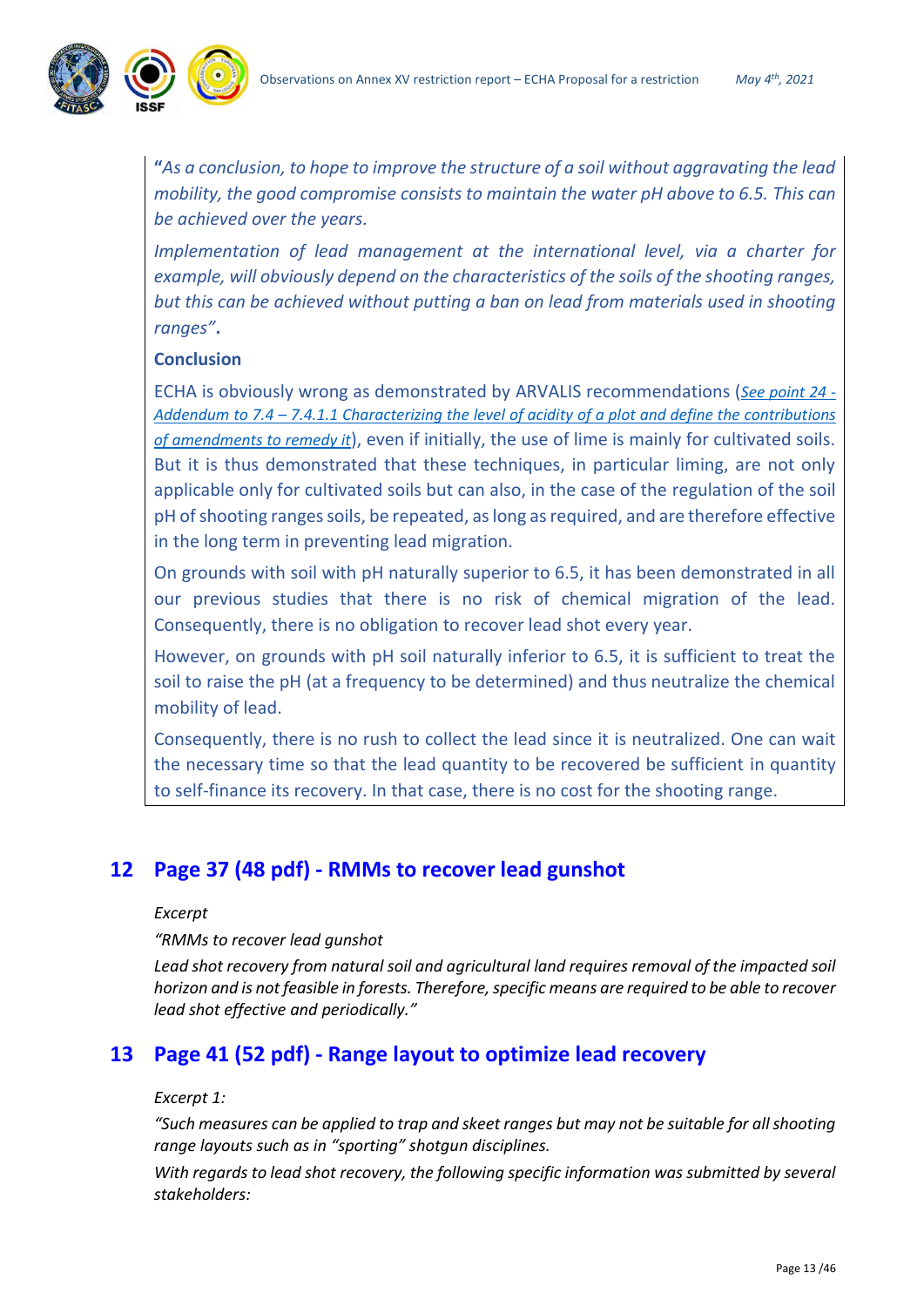

**"***As a conclusion, to hope to improve the structure of a soil without aggravating the lead mobility, the good compromise consists to maintain the water pH above to 6.5. This can be achieved over the years.*

*Implementation of lead management at the international level, via a charter for example, will obviously depend on the characteristics of the soils of the shooting ranges, but this can be achieved without putting a ban on lead from materials used in shooting ranges"***.**

### **Conclusion**

ECHA is obviously wrong as demonstrated by ARVALIS recommendations (*[See point 24](https://www.fitasc.com/upload/images/echa_mai_2021/20210504_addendum_may21_to_fitasc_contribution_july20.pdf) - Addendum to 7.4 – [7.4.1.1 Characterizing the level of acidity of a plot and define the contributions](https://www.fitasc.com/upload/images/echa_mai_2021/20210504_addendum_may21_to_fitasc_contribution_july20.pdf)  [of amendments to remedy it](https://www.fitasc.com/upload/images/echa_mai_2021/20210504_addendum_may21_to_fitasc_contribution_july20.pdf)*), even if initially, the use of lime is mainly for cultivated soils. But it is thus demonstrated that these techniques, in particular liming, are not only applicable only for cultivated soils but can also, in the case of the regulation of the soil pH of shooting ranges soils, be repeated, as long as required, and are therefore effective in the long term in preventing lead migration.

On grounds with soil with pH naturally superior to 6.5, it has been demonstrated in all our previous studies that there is no risk of chemical migration of the lead. Consequently, there is no obligation to recover lead shot every year.

However, on grounds with pH soil naturally inferior to 6.5, it is sufficient to treat the soil to raise the pH (at a frequency to be determined) and thus neutralize the chemical mobility of lead.

Consequently, there is no rush to collect the lead since it is neutralized. One can wait the necessary time so that the lead quantity to be recovered be sufficient in quantity to self-finance its recovery. In that case, there is no cost for the shooting range.

### <span id="page-12-0"></span>**12 Page 37 (48 pdf) - RMMs to recover lead gunshot**

### *Excerpt*

*"RMMs to recover lead gunshot*

*Lead shot recovery from natural soil and agricultural land requires removal of the impacted soil horizon and is not feasible in forests. Therefore, specific means are required to be able to recover lead shot effective and periodically."*

### <span id="page-12-1"></span>**13 Page 41 (52 pdf) - Range layout to optimize lead recovery**

#### *Excerpt 1:*

*"Such measures can be applied to trap and skeet ranges but may not be suitable for all shooting range layouts such as in "sporting" shotgun disciplines.*

With regards to lead shot recovery, the following specific information was submitted by several *stakeholders:*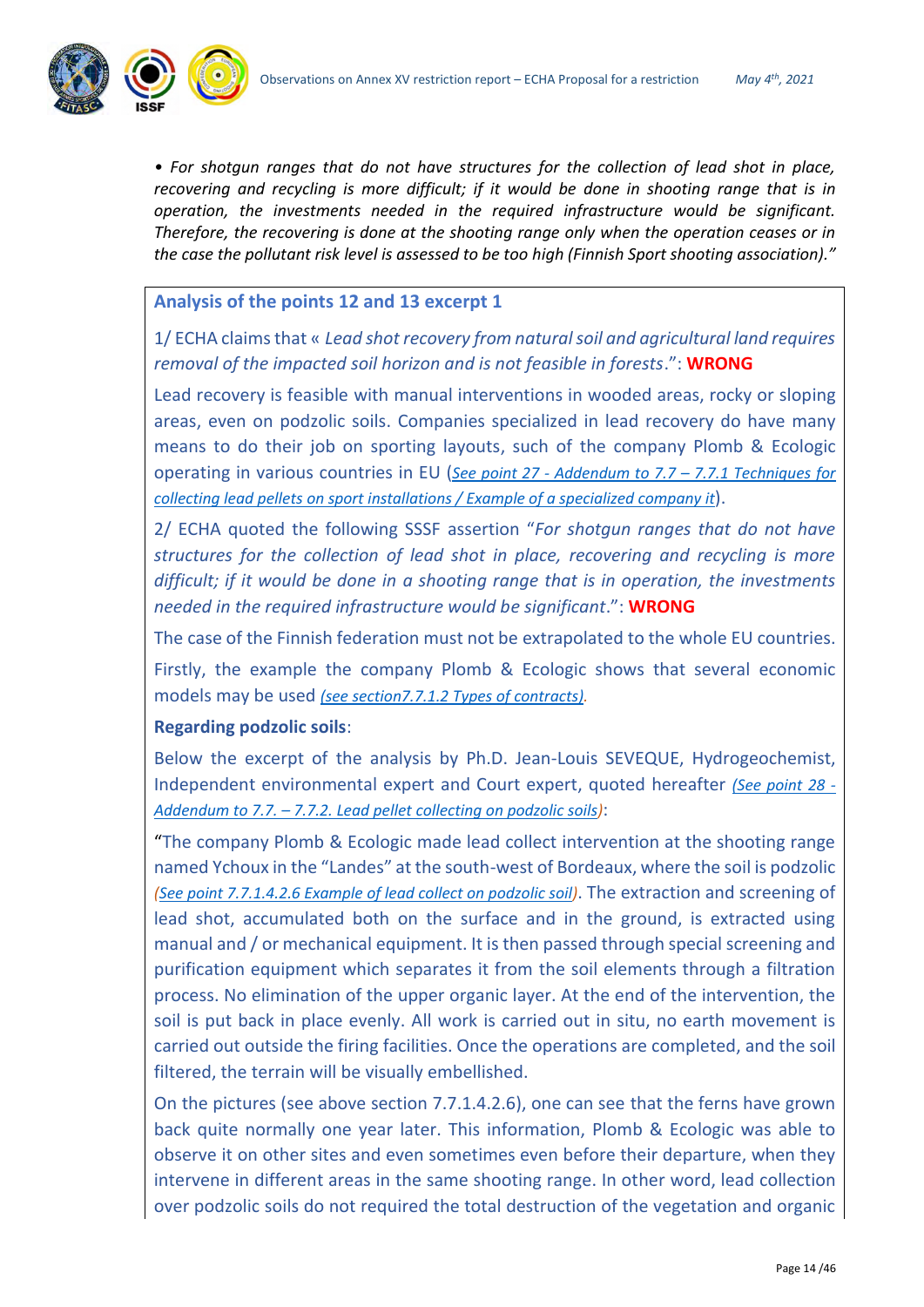

*• For shotgun ranges that do not have structures for the collection of lead shot in place, recovering and recycling is more difficult; if it would be done in shooting range that is in operation, the investments needed in the required infrastructure would be significant. Therefore, the recovering is done at the shooting range only when the operation ceases or in the case the pollutant risk level is assessed to be too high (Finnish Sport shooting association)."*

### <span id="page-13-0"></span>**Analysis of the points 12 and 13 excerpt 1**

1/ ECHA claims that « *Lead shot recovery from natural soil and agricultural land requires removal of the impacted soil horizon and is not feasible in forests*.": **WRONG**

Lead recovery is feasible with manual interventions in wooded areas, rocky or sloping areas, even on podzolic soils. Companies specialized in lead recovery do have many means to do their job on sporting layouts, such of the company Plomb & Ecologic operating in various countries in EU (*See point 27 - Addendum to 7.7 – [7.7.1 Techniques for](https://www.fitasc.com/upload/images/echa_mai_2021/20210504_addendum_may21_to_fitasc_contribution_july20.pdf)  [collecting lead pellets on sport installations / Example of a specialized company it](https://www.fitasc.com/upload/images/echa_mai_2021/20210504_addendum_may21_to_fitasc_contribution_july20.pdf)*).

2/ ECHA quoted the following SSSF assertion "*For shotgun ranges that do not have structures for the collection of lead shot in place, recovering and recycling is more difficult; if it would be done in a shooting range that is in operation, the investments needed in the required infrastructure would be significant*.": **WRONG**

The case of the Finnish federation must not be extrapolated to the whole EU countries. Firstly, the example the company Plomb & Ecologic shows that several economic models may be used *[\(see section7.7.1.2 Types of contracts\).](https://www.fitasc.com/upload/images/echa_mai_2021/20210504_addendum_may21_to_fitasc_contribution_july20.pdf)*

### **Regarding podzolic soils**:

Below the excerpt of the analysis by Ph.D. Jean-Louis SEVEQUE, Hydrogeochemist, Independent environmental expert and Court expert, quoted hereafter *[\(See point 28](https://www.fitasc.com/upload/images/echa_mai_2021/20210504_addendum_may21_to_fitasc_contribution_july20.pdf) - Addendum to 7.7. – [7.7.2. Lead pellet collecting on podzolic soils\)](https://www.fitasc.com/upload/images/echa_mai_2021/20210504_addendum_may21_to_fitasc_contribution_july20.pdf)*:

"The company Plomb & Ecologic made lead collect intervention at the shooting range named Ychoux in the "Landes" at the south-west of Bordeaux, where the soil is podzolic *[\(See point 7.7.1.4.2.6 Example of lead collect on podzolic soil\)](https://www.fitasc.com/upload/images/echa_mai_2021/20210504_addendum_may21_to_fitasc_contribution_july20.pdf)*. The extraction and screening of lead shot, accumulated both on the surface and in the ground, is extracted using manual and / or mechanical equipment. It is then passed through special screening and purification equipment which separates it from the soil elements through a filtration process. No elimination of the upper organic layer. At the end of the intervention, the soil is put back in place evenly. All work is carried out in situ, no earth movement is carried out outside the firing facilities. Once the operations are completed, and the soil filtered, the terrain will be visually embellished.

On the pictures (see above section 7.7.1.4.2.6), one can see that the ferns have grown back quite normally one year later. This information, Plomb & Ecologic was able to observe it on other sites and even sometimes even before their departure, when they intervene in different areas in the same shooting range. In other word, lead collection over podzolic soils do not required the total destruction of the vegetation and organic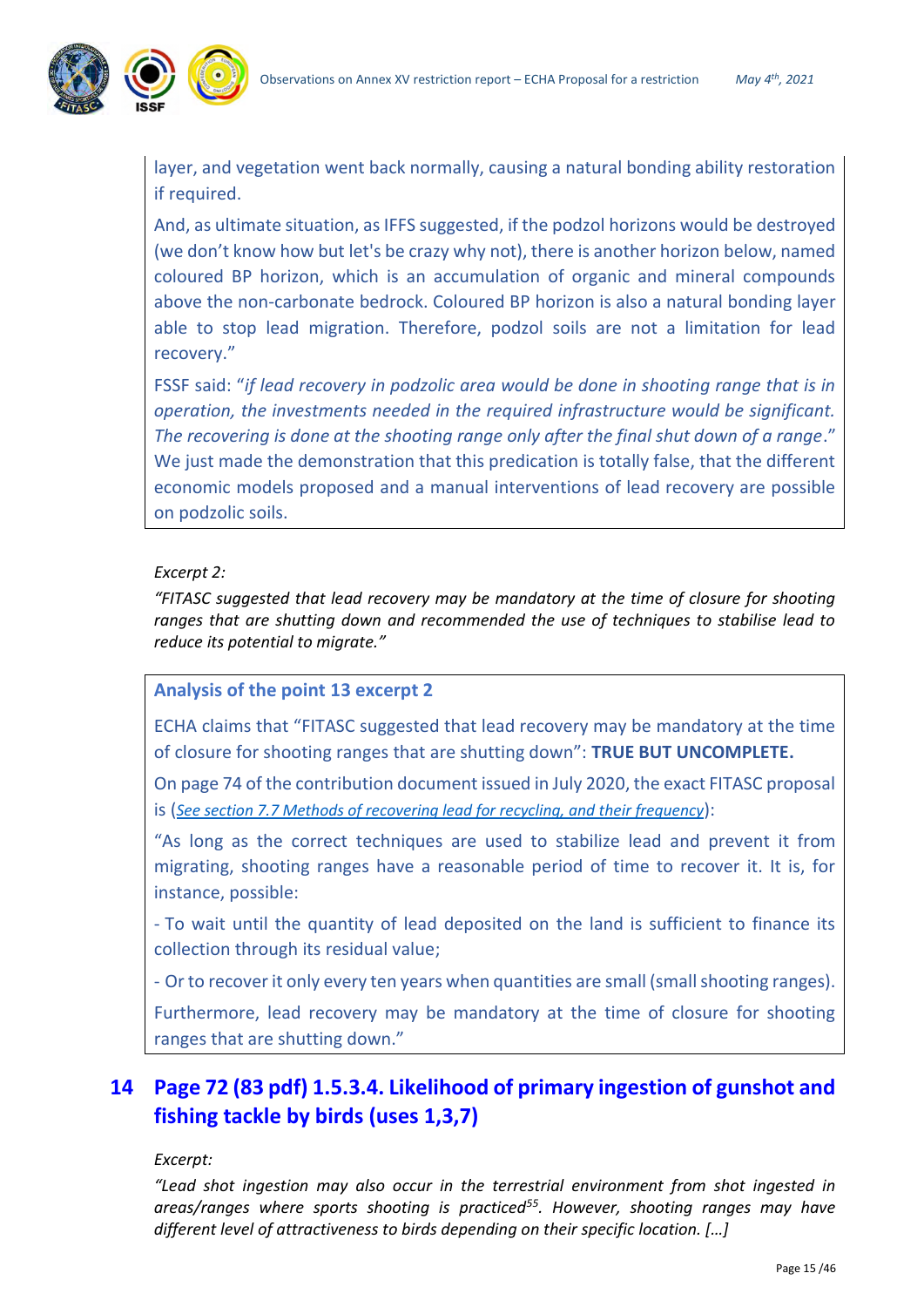

layer, and vegetation went back normally, causing a natural bonding ability restoration if required.

And, as ultimate situation, as IFFS suggested, if the podzol horizons would be destroyed (we don't know how but let's be crazy why not), there is another horizon below, named coloured BP horizon, which is an accumulation of organic and mineral compounds above the non-carbonate bedrock. Coloured BP horizon is also a natural bonding layer able to stop lead migration. Therefore, podzol soils are not a limitation for lead recovery."

FSSF said: "*if lead recovery in podzolic area would be done in shooting range that is in operation, the investments needed in the required infrastructure would be significant. The recovering is done at the shooting range only after the final shut down of a range*." We just made the demonstration that this predication is totally false, that the different economic models proposed and a manual interventions of lead recovery are possible on podzolic soils.

*Excerpt 2:*

*"FITASC suggested that lead recovery may be mandatory at the time of closure for shooting ranges that are shutting down and recommended the use of techniques to stabilise lead to reduce its potential to migrate."*

### <span id="page-14-0"></span>**Analysis of the point 13 excerpt 2**

ECHA claims that "FITASC suggested that lead recovery may be mandatory at the time of closure for shooting ranges that are shutting down": **TRUE BUT UNCOMPLETE.**

On page 74 of the contribution document issued in July 2020, the exact FITASC proposal is (*[See section 7.7 Methods of recovering lead for recycling, and their frequency](https://www.fitasc.com/upload/images/echa_mai_2021/20210504_addendum_may21_to_fitasc_contribution_july20.pdf)*):

"As long as the correct techniques are used to stabilize lead and prevent it from migrating, shooting ranges have a reasonable period of time to recover it. It is, for instance, possible:

- To wait until the quantity of lead deposited on the land is sufficient to finance its collection through its residual value;

- Or to recover it only every ten years when quantities are small (small shooting ranges).

Furthermore, lead recovery may be mandatory at the time of closure for shooting ranges that are shutting down."

### <span id="page-14-1"></span>**14 Page 72 (83 pdf) 1.5.3.4. Likelihood of primary ingestion of gunshot and fishing tackle by birds (uses 1,3,7)**

*Excerpt:*

*"Lead shot ingestion may also occur in the terrestrial environment from shot ingested in areas/ranges where sports shooting is practiced<sup>55</sup>. However, shooting ranges may have different level of attractiveness to birds depending on their specific location. […]*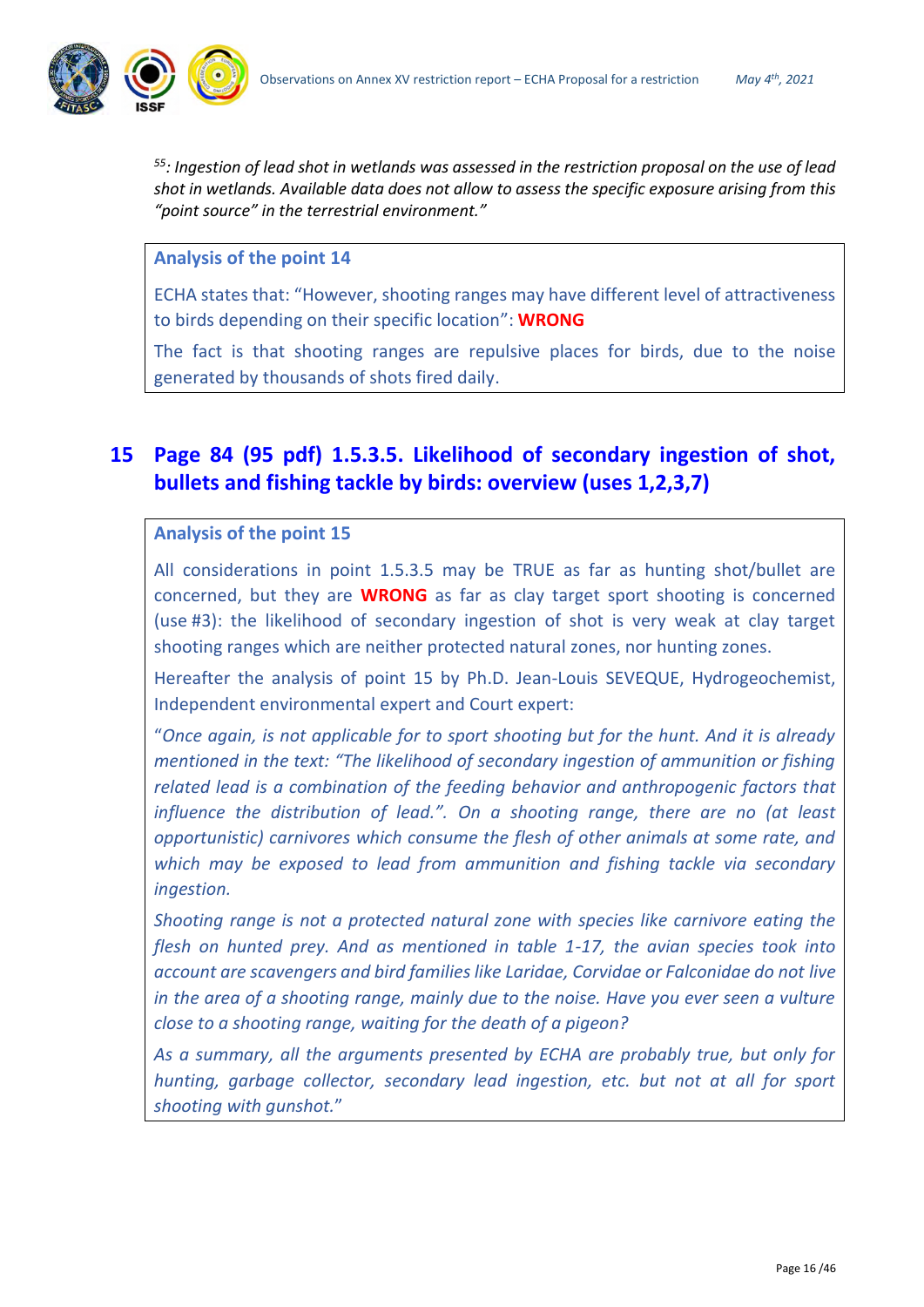

*<sup>55</sup>: Ingestion of lead shot in wetlands was assessed in the restriction proposal on the use of lead shot in wetlands. Available data does not allow to assess the specific exposure arising from this "point source" in the terrestrial environment."*

#### <span id="page-15-0"></span>**Analysis of the point 14**

ECHA states that: "However, shooting ranges may have different level of attractiveness to birds depending on their specific location": **WRONG**

The fact is that shooting ranges are repulsive places for birds, due to the noise generated by thousands of shots fired daily.

### <span id="page-15-1"></span>**15 Page 84 (95 pdf) 1.5.3.5. Likelihood of secondary ingestion of shot, bullets and fishing tackle by birds: overview (uses 1,2,3,7)**

### <span id="page-15-2"></span>**Analysis of the point 15**

All considerations in point 1.5.3.5 may be TRUE as far as hunting shot/bullet are concerned, but they are **WRONG** as far as clay target sport shooting is concerned (use #3): the likelihood of secondary ingestion of shot is very weak at clay target shooting ranges which are neither protected natural zones, nor hunting zones.

Hereafter the analysis of point 15 by Ph.D. Jean-Louis SEVEQUE, Hydrogeochemist, Independent environmental expert and Court expert:

"*Once again, is not applicable for to sport shooting but for the hunt. And it is already mentioned in the text: "The likelihood of secondary ingestion of ammunition or fishing related lead is a combination of the feeding behavior and anthropogenic factors that influence the distribution of lead.". On a shooting range, there are no (at least opportunistic) carnivores which consume the flesh of other animals at some rate, and which may be exposed to lead from ammunition and fishing tackle via secondary ingestion.*

*Shooting range is not a protected natural zone with species like carnivore eating the flesh on hunted prey. And as mentioned in table 1-17, the avian species took into account are scavengers and bird families like Laridae, Corvidae or Falconidae do not live in the area of a shooting range, mainly due to the noise. Have you ever seen a vulture close to a shooting range, waiting for the death of a pigeon?*

*As a summary, all the arguments presented by ECHA are probably true, but only for hunting, garbage collector, secondary lead ingestion, etc. but not at all for sport shooting with gunshot.*"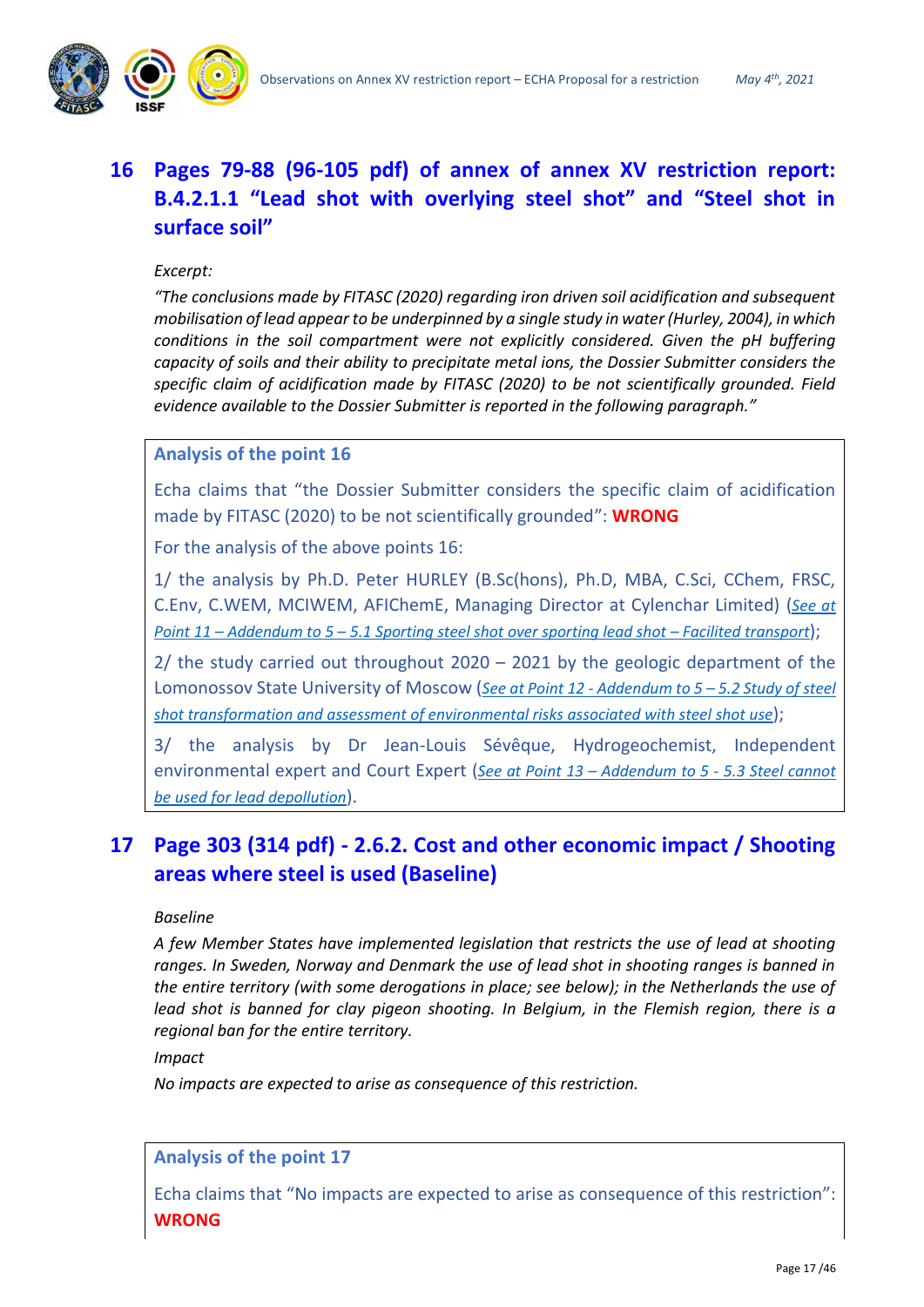

### <span id="page-16-0"></span>**16 Pages 79-88 (96-105 pdf) of annex of annex XV restriction report: B.4.2.1.1 "Lead shot with overlying steel shot" and "Steel shot in surface soil"**

*Excerpt:*

*"The conclusions made by FITASC (2020) regarding iron driven soil acidification and subsequent mobilisation of lead appear to be underpinned by a single study in water (Hurley, 2004), in which conditions in the soil compartment were not explicitly considered. Given the pH buffering capacity of soils and their ability to precipitate metal ions, the Dossier Submitter considers the specific claim of acidification made by FITASC (2020) to be not scientifically grounded. Field evidence available to the Dossier Submitter is reported in the following paragraph."*

### <span id="page-16-1"></span>**Analysis of the point 16**

Echa claims that "the Dossier Submitter considers the specific claim of acidification made by FITASC (2020) to be not scientifically grounded": **WRONG**

For the analysis of the above points 16:

1/ the analysis by Ph.D. Peter HURLEY (B.Sc(hons), Ph.D, MBA, C.Sci, CChem, FRSC, C.Env, C.WEM, MCIWEM, AFIChemE, Managing Director at Cylenchar Limited) (*[See at](https://www.fitasc.com/upload/images/echa_mai_2021/20210504_addendum_may21_to_fitasc_contribution_july20.pdf)  Point 11* – *Addendum to 5* – [5.1 Sporting steel shot over sporting lead shot](https://www.fitasc.com/upload/images/echa_mai_2021/20210504_addendum_may21_to_fitasc_contribution_july20.pdf) – Facilited transport);

2/ the study carried out throughout 2020 – 2021 by the geologic department of the Lomonossov State University of Moscow (*See at Point 12 - Addendum to 5 – [5.2 Study of steel](https://www.fitasc.com/upload/images/echa_mai_2021/20210504_addendum_may21_to_fitasc_contribution_july20.pdf)  [shot transformation and assessment of environmental risks associated with steel shot use](https://www.fitasc.com/upload/images/echa_mai_2021/20210504_addendum_may21_to_fitasc_contribution_july20.pdf)*);

3/ the analysis by Dr Jean-Louis Sévêque, Hydrogeochemist, Independent environmental expert and Court Expert (*See at Point 13 – [Addendum to 5 -](https://www.fitasc.com/upload/images/echa_mai_2021/20210504_addendum_may21_to_fitasc_contribution_july20.pdf) 5.3 Steel cannot [be used for lead depollution](https://www.fitasc.com/upload/images/echa_mai_2021/20210504_addendum_may21_to_fitasc_contribution_july20.pdf)*).

### <span id="page-16-2"></span>**17 Page 303 (314 pdf) - 2.6.2. Cost and other economic impact / Shooting areas where steel is used (Baseline)**

### *Baseline*

*A few Member States have implemented legislation that restricts the use of lead at shooting ranges. In Sweden, Norway and Denmark the use of lead shot in shooting ranges is banned in the entire territory (with some derogations in place; see below); in the Netherlands the use of lead shot is banned for clay pigeon shooting. In Belgium, in the Flemish region, there is a regional ban for the entire territory.*

*Impact*

*No impacts are expected to arise as consequence of this restriction.*

### <span id="page-16-3"></span>**Analysis of the point 17**

Echa claims that "No impacts are expected to arise as consequence of this restriction": **WRONG**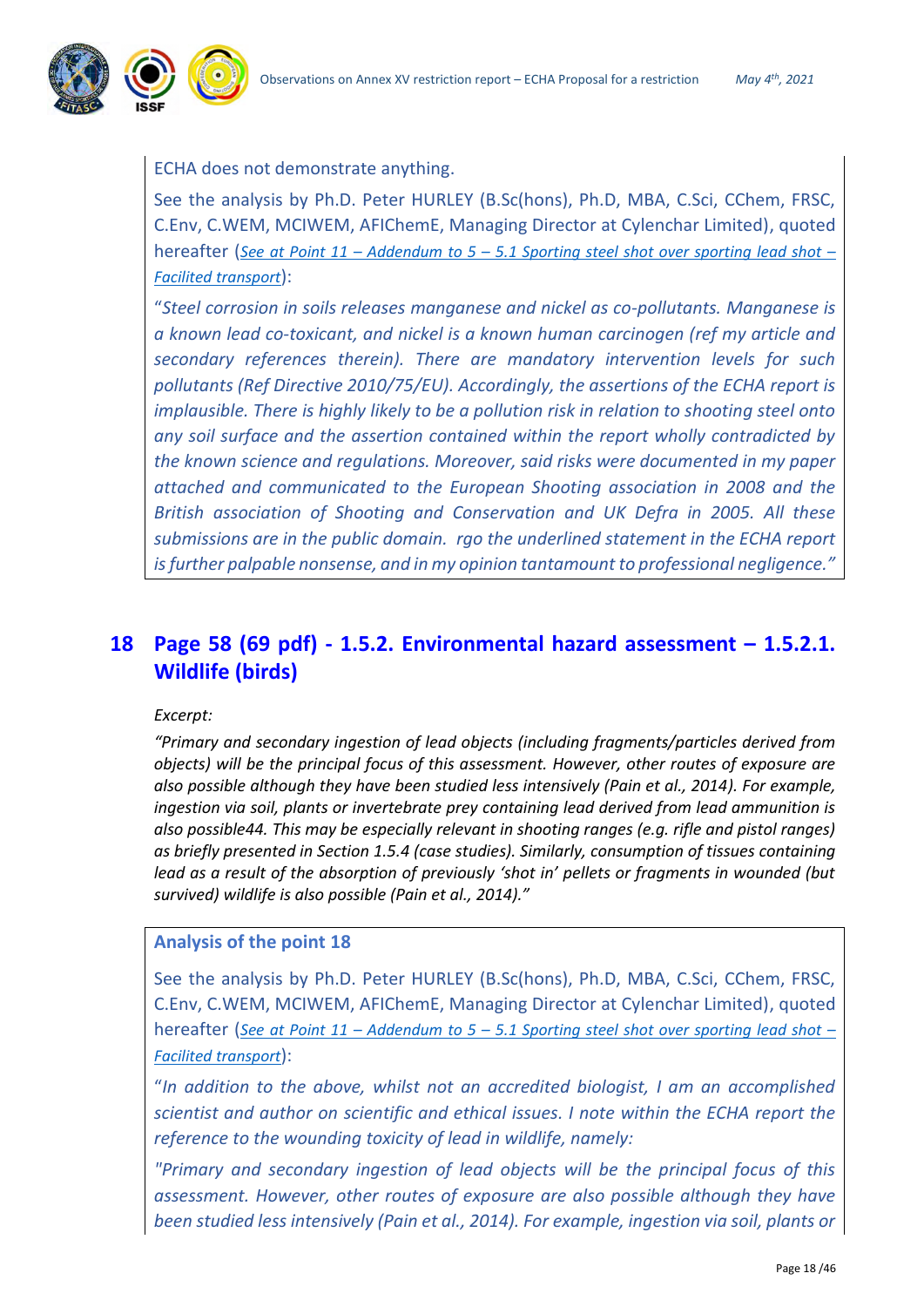

ECHA does not demonstrate anything.

See the analysis by Ph.D. Peter HURLEY (B.Sc(hons), Ph.D, MBA, C.Sci, CChem, FRSC, C.Env, C.WEM, MCIWEM, AFIChemE, Managing Director at Cylenchar Limited), quoted hereafter (*See at Point 11 – Addendum to 5 – [5.1 Sporting steel shot over sporting lead shot](https://www.fitasc.com/upload/images/echa_mai_2021/20210504_addendum_may21_to_fitasc_contribution_july20.pdf) – [Facilited transport](https://www.fitasc.com/upload/images/echa_mai_2021/20210504_addendum_may21_to_fitasc_contribution_july20.pdf)*):

"*Steel corrosion in soils releases manganese and nickel as co-pollutants. Manganese is a known lead co-toxicant, and nickel is a known human carcinogen (ref my article and secondary references therein). There are mandatory intervention levels for such pollutants (Ref Directive 2010/75/EU). Accordingly, the assertions of the ECHA report is implausible. There is highly likely to be a pollution risk in relation to shooting steel onto any soil surface and the assertion contained within the report wholly contradicted by the known science and regulations. Moreover, said risks were documented in my paper attached and communicated to the European Shooting association in 2008 and the British association of Shooting and Conservation and UK Defra in 2005. All these submissions are in the public domain. rgo the underlined statement in the ECHA report is further palpable nonsense, and in my opinion tantamount to professional negligence."*

### <span id="page-17-0"></span>**18 Page 58 (69 pdf) - 1.5.2. Environmental hazard assessment – 1.5.2.1. Wildlife (birds)**

*Excerpt:*

*"Primary and secondary ingestion of lead objects (including fragments/particles derived from objects) will be the principal focus of this assessment. However, other routes of exposure are also possible although they have been studied less intensively (Pain et al., 2014). For example, ingestion via soil, plants or invertebrate prey containing lead derived from lead ammunition is also possible44. This may be especially relevant in shooting ranges (e.g. rifle and pistol ranges) as briefly presented in Section 1.5.4 (case studies). Similarly, consumption of tissues containing lead as a result of the absorption of previously 'shot in' pellets or fragments in wounded (but survived) wildlife is also possible (Pain et al., 2014)."*

### <span id="page-17-1"></span>**Analysis of the point 18**

See the analysis by Ph.D. Peter HURLEY (B.Sc(hons), Ph.D, MBA, C.Sci, CChem, FRSC, C.Env, C.WEM, MCIWEM, AFIChemE, Managing Director at Cylenchar Limited), quoted hereafter (*See at Point 11 – Addendum to 5 – [5.1 Sporting steel shot over sporting lead shot](https://www.fitasc.com/upload/images/echa_mai_2021/20210504_addendum_may21_to_fitasc_contribution_july20.pdf) – [Facilited transport](https://www.fitasc.com/upload/images/echa_mai_2021/20210504_addendum_may21_to_fitasc_contribution_july20.pdf)*):

"*In addition to the above, whilst not an accredited biologist, I am an accomplished scientist and author on scientific and ethical issues. I note within the ECHA report the reference to the wounding toxicity of lead in wildlife, namely:* 

*"Primary and secondary ingestion of lead objects will be the principal focus of this assessment. However, other routes of exposure are also possible although they have been studied less intensively (Pain et al., 2014). For example, ingestion via soil, plants or*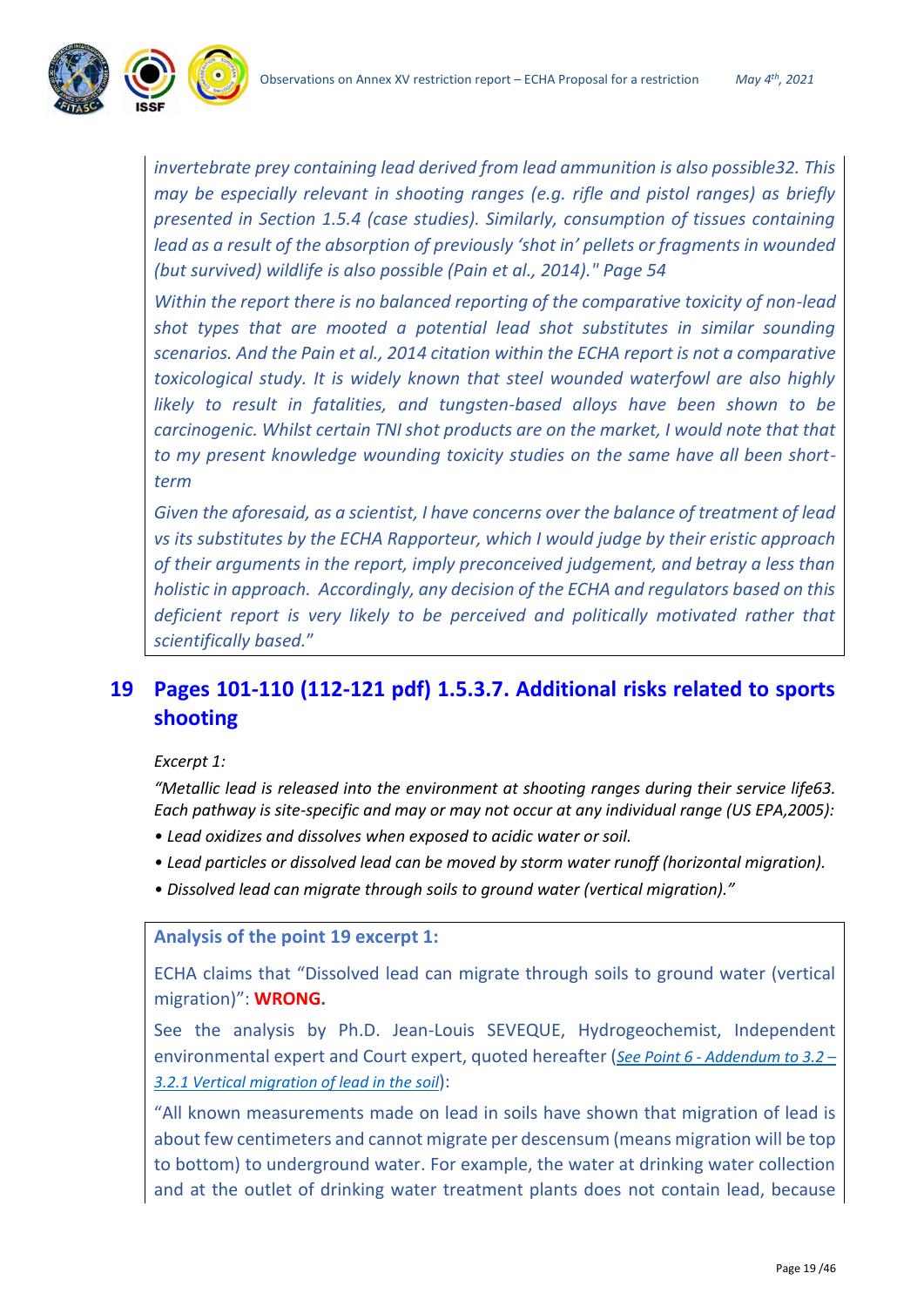

*invertebrate prey containing lead derived from lead ammunition is also possible32. This may be especially relevant in shooting ranges (e.g. rifle and pistol ranges) as briefly presented in Section 1.5.4 (case studies). Similarly, consumption of tissues containing lead as a result of the absorption of previously 'shot in' pellets or fragments in wounded (but survived) wildlife is also possible (Pain et al., 2014)." Page 54*

*Within the report there is no balanced reporting of the comparative toxicity of non-lead shot types that are mooted a potential lead shot substitutes in similar sounding scenarios. And the Pain et al., 2014 citation within the ECHA report is not a comparative toxicological study. It is widely known that steel wounded waterfowl are also highly likely to result in fatalities, and tungsten-based alloys have been shown to be carcinogenic. Whilst certain TNI shot products are on the market, I would note that that to my present knowledge wounding toxicity studies on the same have all been shortterm*

*Given the aforesaid, as a scientist, I have concerns over the balance of treatment of lead vs its substitutes by the ECHA Rapporteur, which I would judge by their eristic approach of their arguments in the report, imply preconceived judgement, and betray a less than holistic in approach. Accordingly, any decision of the ECHA and regulators based on this deficient report is very likely to be perceived and politically motivated rather that scientifically based.*"

### <span id="page-18-0"></span>**19 Pages 101-110 (112-121 pdf) 1.5.3.7. Additional risks related to sports shooting**

### *Excerpt 1:*

*"Metallic lead is released into the environment at shooting ranges during their service life63. Each pathway is site-specific and may or may not occur at any individual range (US EPA,2005):*

- *Lead oxidizes and dissolves when exposed to acidic water or soil.*
- *Lead particles or dissolved lead can be moved by storm water runoff (horizontal migration).*
- *Dissolved lead can migrate through soils to ground water (vertical migration)."*

### <span id="page-18-1"></span>**Analysis of the point 19 excerpt 1:**

ECHA claims that "Dissolved lead can migrate through soils to ground water (vertical migration)": **WRONG.**

See the analysis by Ph.D. Jean-Louis SEVEQUE, Hydrogeochemist, Independent environmental expert and Court expert, quoted hereafter (*See Point 6 - [Addendum to 3.2](https://www.fitasc.com/upload/images/echa_mai_2021/20210504_addendum_may21_to_fitasc_contribution_july20.pdf) – [3.2.1 Vertical migration of lead in the soil](https://www.fitasc.com/upload/images/echa_mai_2021/20210504_addendum_may21_to_fitasc_contribution_july20.pdf)*):

"All known measurements made on lead in soils have shown that migration of lead is about few centimeters and cannot migrate per descensum (means migration will be top to bottom) to underground water. For example, the water at drinking water collection and at the outlet of drinking water treatment plants does not contain lead, because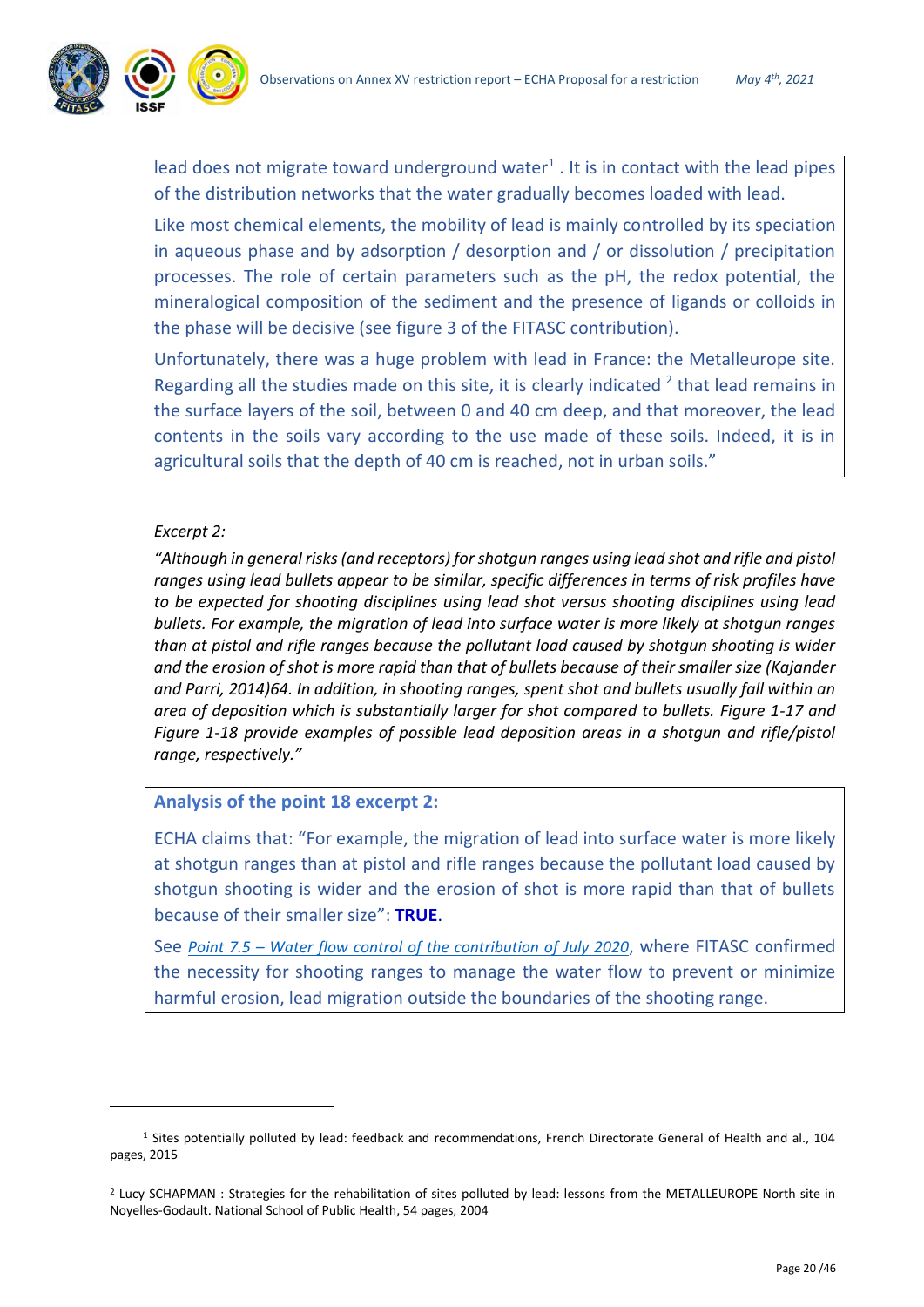



lead does not migrate toward underground water $1$ . It is in contact with the lead pipes of the distribution networks that the water gradually becomes loaded with lead.

Like most chemical elements, the mobility of lead is mainly controlled by its speciation in aqueous phase and by adsorption / desorption and / or dissolution / precipitation processes. The role of certain parameters such as the pH, the redox potential, the mineralogical composition of the sediment and the presence of ligands or colloids in the phase will be decisive (see figure 3 of the FITASC contribution).

Unfortunately, there was a huge problem with lead in France: the Metalleurope site. Regarding all the studies made on this site, it is clearly indicated  $2$  that lead remains in the surface layers of the soil, between 0 and 40 cm deep, and that moreover, the lead contents in the soils vary according to the use made of these soils. Indeed, it is in agricultural soils that the depth of 40 cm is reached, not in urban soils."

#### *Excerpt 2:*

*"Although in general risks (and receptors) for shotgun ranges using lead shot and rifle and pistol ranges using lead bullets appear to be similar, specific differences in terms of risk profiles have to be expected for shooting disciplines using lead shot versus shooting disciplines using lead bullets. For example, the migration of lead into surface water is more likely at shotgun ranges than at pistol and rifle ranges because the pollutant load caused by shotgun shooting is wider and the erosion of shot is more rapid than that of bullets because of their smaller size (Kajander and Parri, 2014)64. In addition, in shooting ranges, spent shot and bullets usually fall within an area of deposition which is substantially larger for shot compared to bullets. Figure 1-17 and Figure 1-18 provide examples of possible lead deposition areas in a shotgun and rifle/pistol range, respectively."*

### <span id="page-19-0"></span>**Analysis of the point 18 excerpt 2:**

ECHA claims that: "For example, the migration of lead into surface water is more likely at shotgun ranges than at pistol and rifle ranges because the pollutant load caused by shotgun shooting is wider and the erosion of shot is more rapid than that of bullets because of their smaller size": **TRUE**.

See *Point 7.5 – [Water flow control of the contribution of July 2020](https://www.fitasc.com/upload/images/echa_mai_2021/20200720_eng_fitasc_doc_contribution_echa.pdf)*, where FITASC confirmed the necessity for shooting ranges to manage the water flow to prevent or minimize harmful erosion, lead migration outside the boundaries of the shooting range.

<sup>1</sup> Sites potentially polluted by lead: feedback and recommendations, French Directorate General of Health and al., 104 pages, 2015

<sup>&</sup>lt;sup>2</sup> Lucy SCHAPMAN : Strategies for the rehabilitation of sites polluted by lead: lessons from the METALLEUROPE North site in Noyelles-Godault. National School of Public Health, 54 pages, 2004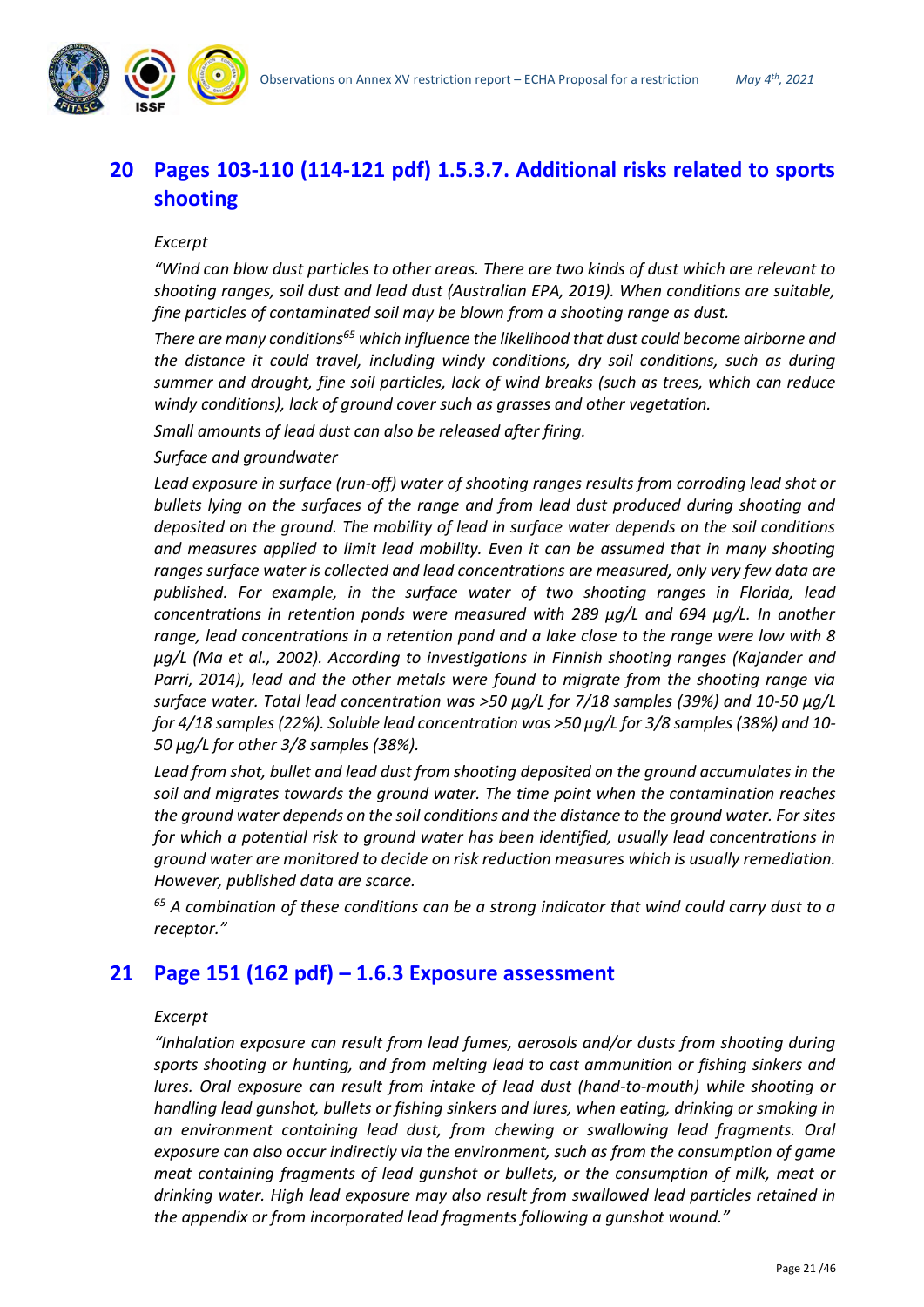

### <span id="page-20-0"></span>**20 Pages 103-110 (114-121 pdf) 1.5.3.7. Additional risks related to sports shooting**

#### *Excerpt*

*"Wind can blow dust particles to other areas. There are two kinds of dust which are relevant to shooting ranges, soil dust and lead dust (Australian EPA, 2019). When conditions are suitable, fine particles of contaminated soil may be blown from a shooting range as dust.*

*There are many conditions<sup>65</sup> which influence the likelihood that dust could become airborne and the distance it could travel, including windy conditions, dry soil conditions, such as during summer and drought, fine soil particles, lack of wind breaks (such as trees, which can reduce windy conditions), lack of ground cover such as grasses and other vegetation.*

*Small amounts of lead dust can also be released after firing.*

#### *Surface and groundwater*

*Lead exposure in surface (run-off) water of shooting ranges results from corroding lead shot or bullets lying on the surfaces of the range and from lead dust produced during shooting and deposited on the ground. The mobility of lead in surface water depends on the soil conditions and measures applied to limit lead mobility. Even it can be assumed that in many shooting ranges surface water is collected and lead concentrations are measured, only very few data are published. For example, in the surface water of two shooting ranges in Florida, lead concentrations in retention ponds were measured with 289 μg/L and 694 μg/L. In another range, lead concentrations in a retention pond and a lake close to the range were low with 8 μg/L (Ma et al., 2002). According to investigations in Finnish shooting ranges (Kajander and Parri, 2014), lead and the other metals were found to migrate from the shooting range via surface water. Total lead concentration was >50 μg/L for 7/18 samples (39%) and 10-50 μg/L for 4/18 samples (22%). Soluble lead concentration was >50 μg/L for 3/8 samples (38%) and 10- 50 μg/L for other 3/8 samples (38%).*

*Lead from shot, bullet and lead dust from shooting deposited on the ground accumulates in the soil and migrates towards the ground water. The time point when the contamination reaches the ground water depends on the soil conditions and the distance to the ground water. For sites for which a potential risk to ground water has been identified, usually lead concentrations in ground water are monitored to decide on risk reduction measures which is usually remediation. However, published data are scarce.*

*<sup>65</sup> A combination of these conditions can be a strong indicator that wind could carry dust to a receptor."*

### <span id="page-20-1"></span>**21 Page 151 (162 pdf) – 1.6.3 Exposure assessment**

#### *Excerpt*

*"Inhalation exposure can result from lead fumes, aerosols and/or dusts from shooting during sports shooting or hunting, and from melting lead to cast ammunition or fishing sinkers and lures. Oral exposure can result from intake of lead dust (hand-to-mouth) while shooting or handling lead gunshot, bullets or fishing sinkers and lures, when eating, drinking or smoking in an environment containing lead dust, from chewing or swallowing lead fragments. Oral exposure can also occur indirectly via the environment, such as from the consumption of game meat containing fragments of lead gunshot or bullets, or the consumption of milk, meat or drinking water. High lead exposure may also result from swallowed lead particles retained in the appendix or from incorporated lead fragments following a gunshot wound."*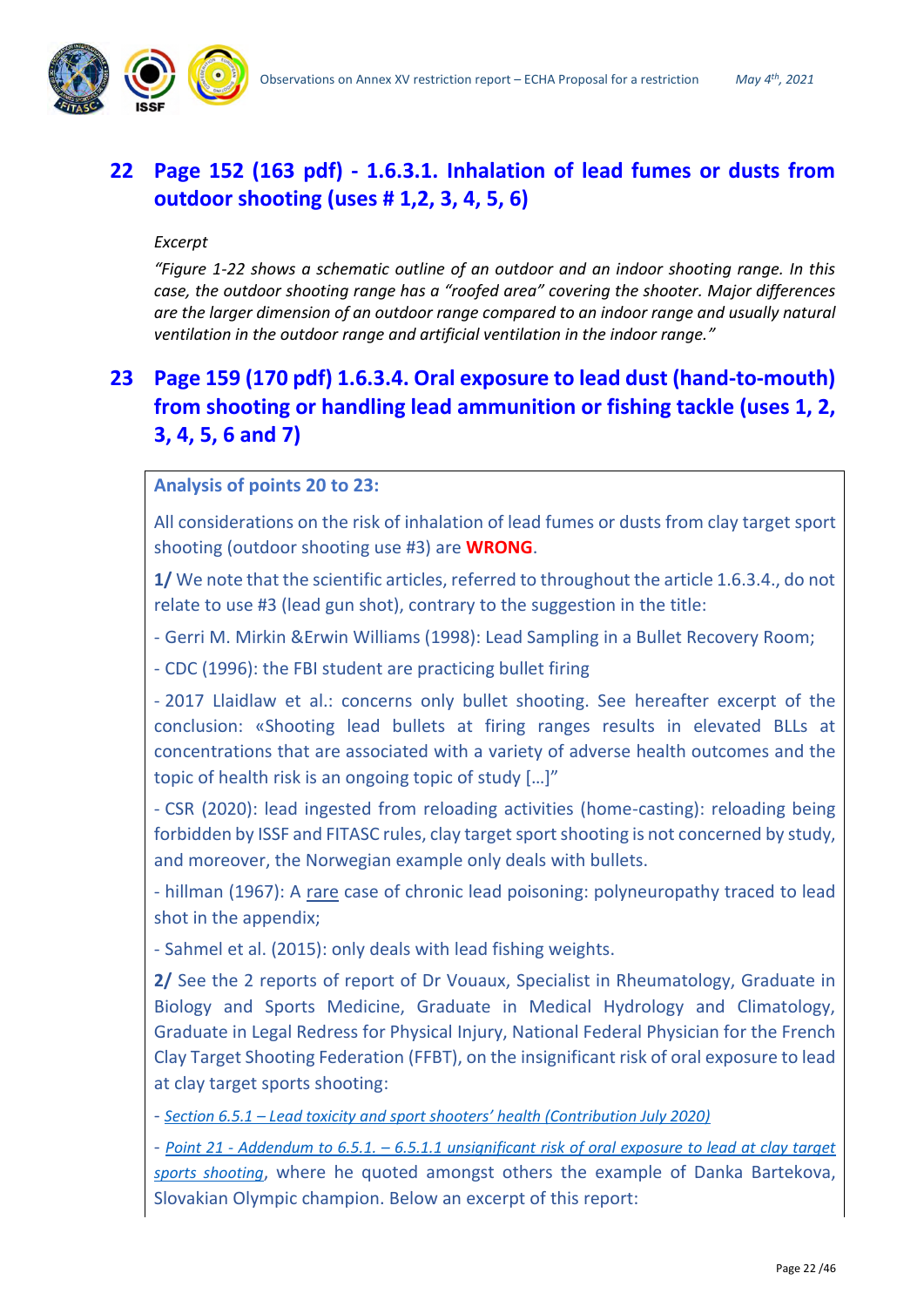

### <span id="page-21-0"></span>**22 Page 152 (163 pdf) - 1.6.3.1. Inhalation of lead fumes or dusts from outdoor shooting (uses # 1,2, 3, 4, 5, 6)**

#### *Excerpt*

*"Figure 1-22 shows a schematic outline of an outdoor and an indoor shooting range. In this case, the outdoor shooting range has a "roofed area" covering the shooter. Major differences are the larger dimension of an outdoor range compared to an indoor range and usually natural ventilation in the outdoor range and artificial ventilation in the indoor range."*

### <span id="page-21-1"></span>**23 Page 159 (170 pdf) 1.6.3.4. Oral exposure to lead dust (hand-to-mouth) from shooting or handling lead ammunition or fishing tackle (uses 1, 2, 3, 4, 5, 6 and 7)**

### <span id="page-21-2"></span>**Analysis of points 20 to 23:**

All considerations on the risk of inhalation of lead fumes or dusts from clay target sport shooting (outdoor shooting use #3) are **WRONG**.

**1/** We note that the scientific articles, referred to throughout the article 1.6.3.4., do not relate to use #3 (lead gun shot), contrary to the suggestion in the title:

- Gerri M. Mirkin &Erwin Williams (1998): Lead Sampling in a Bullet Recovery Room;

- CDC (1996): the FBI student are practicing bullet firing

- 2017 Llaidlaw et al.: concerns only bullet shooting. See hereafter excerpt of the conclusion: «Shooting lead bullets at firing ranges results in elevated BLLs at concentrations that are associated with a variety of adverse health outcomes and the topic of health risk is an ongoing topic of study […]"

- CSR (2020): lead ingested from reloading activities (home-casting): reloading being forbidden by ISSF and FITASC rules, clay target sport shooting is not concerned by study, and moreover, the Norwegian example only deals with bullets.

- hillman (1967): A rare case of chronic lead poisoning: polyneuropathy traced to lead shot in the appendix;

- Sahmel et al. (2015): only deals with lead fishing weights.

**2/** See the 2 reports of report of Dr Vouaux, Specialist in Rheumatology, Graduate in Biology and Sports Medicine, Graduate in Medical Hydrology and Climatology, Graduate in Legal Redress for Physical Injury, National Federal Physician for the French Clay Target Shooting Federation (FFBT), on the insignificant risk of oral exposure to lead at clay target sports shooting:

- *Section 6.5.1 – [Lead toxicity and sport shooters' health \(Contribution July 2020\)](https://www.fitasc.com/upload/images/echa_mai_2021/20200720_eng_fitasc_doc_contribution_echa.pdf)*

- *Point 21 - Addendum to 6.5.1. – [6.5.1.1 unsignificant risk of oral exposure to lead at clay target](https://www.fitasc.com/upload/images/echa_mai_2021/20210504_addendum_may21_to_fitasc_contribution_july20.pdf)  [sports shooting](https://www.fitasc.com/upload/images/echa_mai_2021/20210504_addendum_may21_to_fitasc_contribution_july20.pdf)*, where he quoted amongst others the example of Danka Bartekova, Slovakian Olympic champion. Below an excerpt of this report: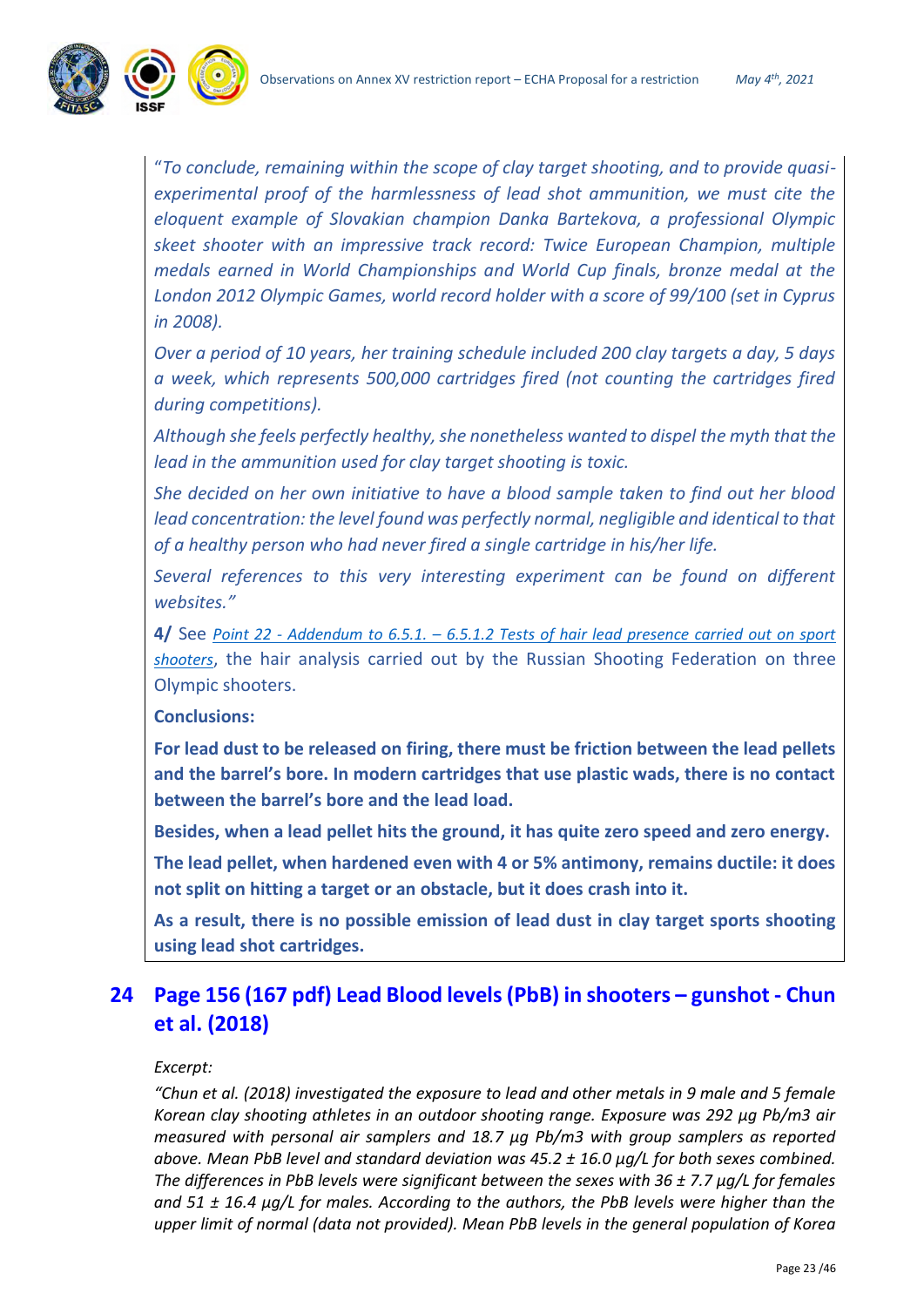

"*To conclude, remaining within the scope of clay target shooting, and to provide quasiexperimental proof of the harmlessness of lead shot ammunition, we must cite the eloquent example of Slovakian champion Danka Bartekova, a professional Olympic skeet shooter with an impressive track record: Twice European Champion, multiple medals earned in World Championships and World Cup finals, bronze medal at the London 2012 Olympic Games, world record holder with a score of 99/100 (set in Cyprus in 2008).*

*Over a period of 10 years, her training schedule included 200 clay targets a day, 5 days a week, which represents 500,000 cartridges fired (not counting the cartridges fired during competitions).*

*Although she feels perfectly healthy, she nonetheless wanted to dispel the myth that the lead in the ammunition used for clay target shooting is toxic.*

*She decided on her own initiative to have a blood sample taken to find out her blood lead concentration: the level found was perfectly normal, negligible and identical to that of a healthy person who had never fired a single cartridge in his/her life.*

*Several references to this very interesting experiment can be found on different websites."*

**4/** See *Point 22 - Addendum to 6.5.1. – [6.5.1.2 Tests of hair lead presence carried out on sport](https://www.fitasc.com/upload/images/echa_mai_2021/20210504_addendum_may21_to_fitasc_contribution_july20.pdf)  [shooters](https://www.fitasc.com/upload/images/echa_mai_2021/20210504_addendum_may21_to_fitasc_contribution_july20.pdf)*, the hair analysis carried out by the Russian Shooting Federation on three Olympic shooters.

**Conclusions:**

**For lead dust to be released on firing, there must be friction between the lead pellets and the barrel's bore. In modern cartridges that use plastic wads, there is no contact between the barrel's bore and the lead load.**

**Besides, when a lead pellet hits the ground, it has quite zero speed and zero energy.**

**The lead pellet, when hardened even with 4 or 5% antimony, remains ductile: it does not split on hitting a target or an obstacle, but it does crash into it.**

**As a result, there is no possible emission of lead dust in clay target sports shooting using lead shot cartridges.**

### <span id="page-22-0"></span>**24 Page 156 (167 pdf) Lead Blood levels (PbB) in shooters – gunshot - Chun et al. (2018)**

### *Excerpt:*

*"Chun et al. (2018) investigated the exposure to lead and other metals in 9 male and 5 female Korean clay shooting athletes in an outdoor shooting range. Exposure was 292 μg Pb/m3 air measured with personal air samplers and 18.7 μg Pb/m3 with group samplers as reported above. Mean PbB level and standard deviation was 45.2 ± 16.0 μg/L for both sexes combined. The differences in PbB levels were significant between the sexes with 36 ± 7.7 μg/L for females and 51 ± 16.4 μg/L for males. According to the authors, the PbB levels were higher than the upper limit of normal (data not provided). Mean PbB levels in the general population of Korea*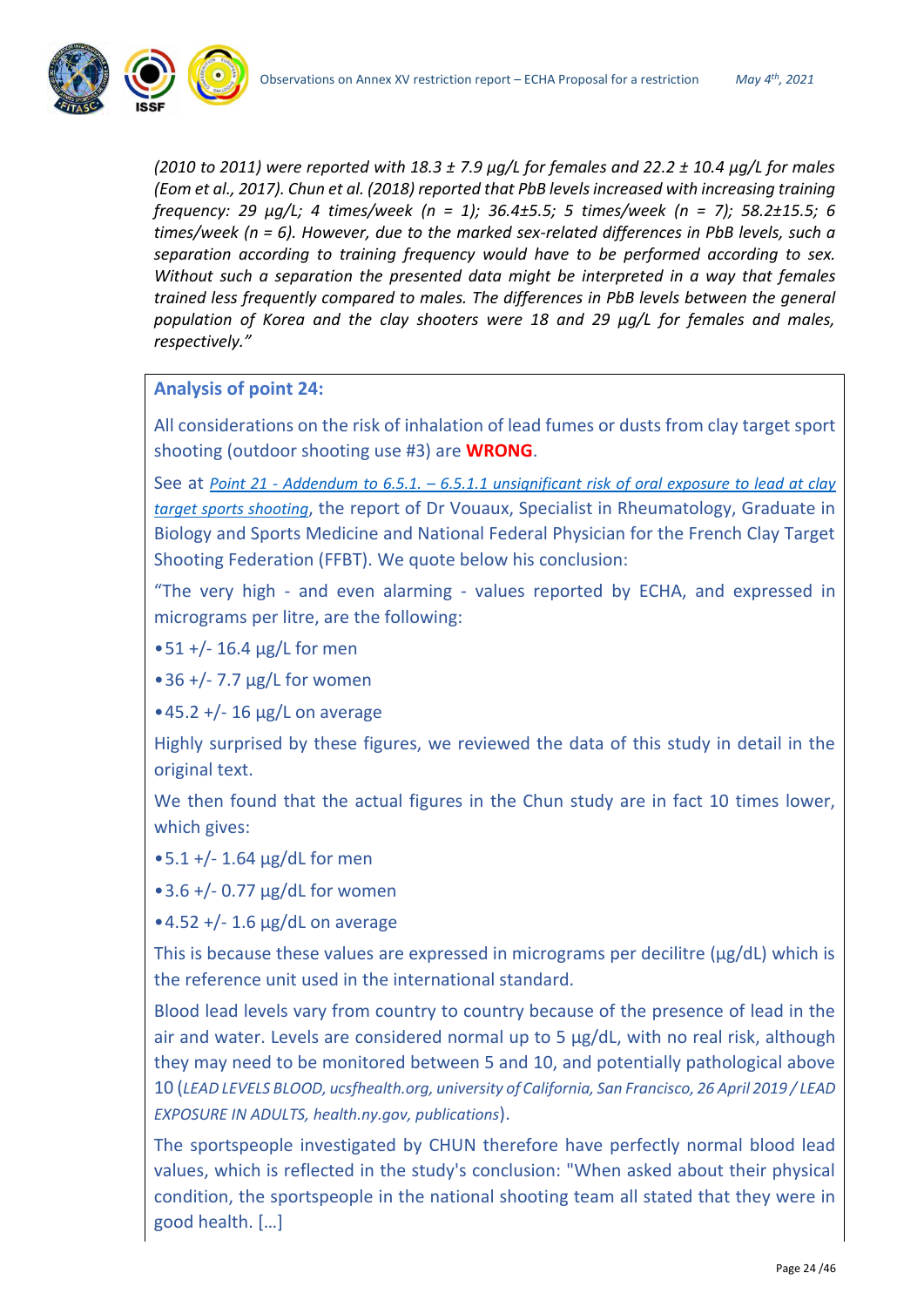

*(2010 to 2011) were reported with 18.3 ± 7.9 μg/L for females and 22.2 ± 10.4 μg/L for males (Eom et al., 2017). Chun et al. (2018) reported that PbB levels increased with increasing training frequency: 29 μg/L; 4 times/week (n = 1); 36.4±5.5; 5 times/week (n = 7); 58.2±15.5; 6 times/week (n = 6). However, due to the marked sex-related differences in PbB levels, such a separation according to training frequency would have to be performed according to sex. Without such a separation the presented data might be interpreted in a way that females trained less frequently compared to males. The differences in PbB levels between the general population of Korea and the clay shooters were 18 and 29 μg/L for females and males, respectively."*

### <span id="page-23-0"></span>**Analysis of point 24:**

All considerations on the risk of inhalation of lead fumes or dusts from clay target sport shooting (outdoor shooting use #3) are **WRONG**.

See at *Point 21 - Addendum to 6.5.1. – [6.5.1.1 unsignificant risk of oral exposure to lead at clay](https://www.fitasc.com/upload/images/echa_mai_2021/20210504_addendum_may21_to_fitasc_contribution_july20.pdf)  [target sports shooting](https://www.fitasc.com/upload/images/echa_mai_2021/20210504_addendum_may21_to_fitasc_contribution_july20.pdf)*, the report of Dr Vouaux, Specialist in Rheumatology, Graduate in Biology and Sports Medicine and National Federal Physician for the French Clay Target Shooting Federation (FFBT). We quote below his conclusion:

"The very high - and even alarming - values reported by ECHA, and expressed in micrograms per litre, are the following:

•  $51 +$   $- 16.4$  μg/L for men

• 36 +/- 7.7 μg/L for women

• 45.2 +/- 16 μg/L on average

Highly surprised by these figures, we reviewed the data of this study in detail in the original text.

We then found that the actual figures in the Chun study are in fact 10 times lower, which gives:

•5.1 +/- 1.64 μg/dL for men

•3.6 +/- 0.77 μg/dL for women

 $\cdot$  4.52 +/- 1.6  $\mu$ g/dL on average

This is because these values are expressed in micrograms per decilitre  $(\mu g/dL)$  which is the reference unit used in the international standard.

Blood lead levels vary from country to country because of the presence of lead in the air and water. Levels are considered normal up to 5 μg/dL, with no real risk, although they may need to be monitored between 5 and 10, and potentially pathological above 10 (*LEAD LEVELS BLOOD, ucsfhealth.org, university of California, San Francisco, 26 April 2019 / LEAD EXPOSURE IN ADULTS, health.ny.gov, publications*).

The sportspeople investigated by CHUN therefore have perfectly normal blood lead values, which is reflected in the study's conclusion: "When asked about their physical condition, the sportspeople in the national shooting team all stated that they were in good health. […]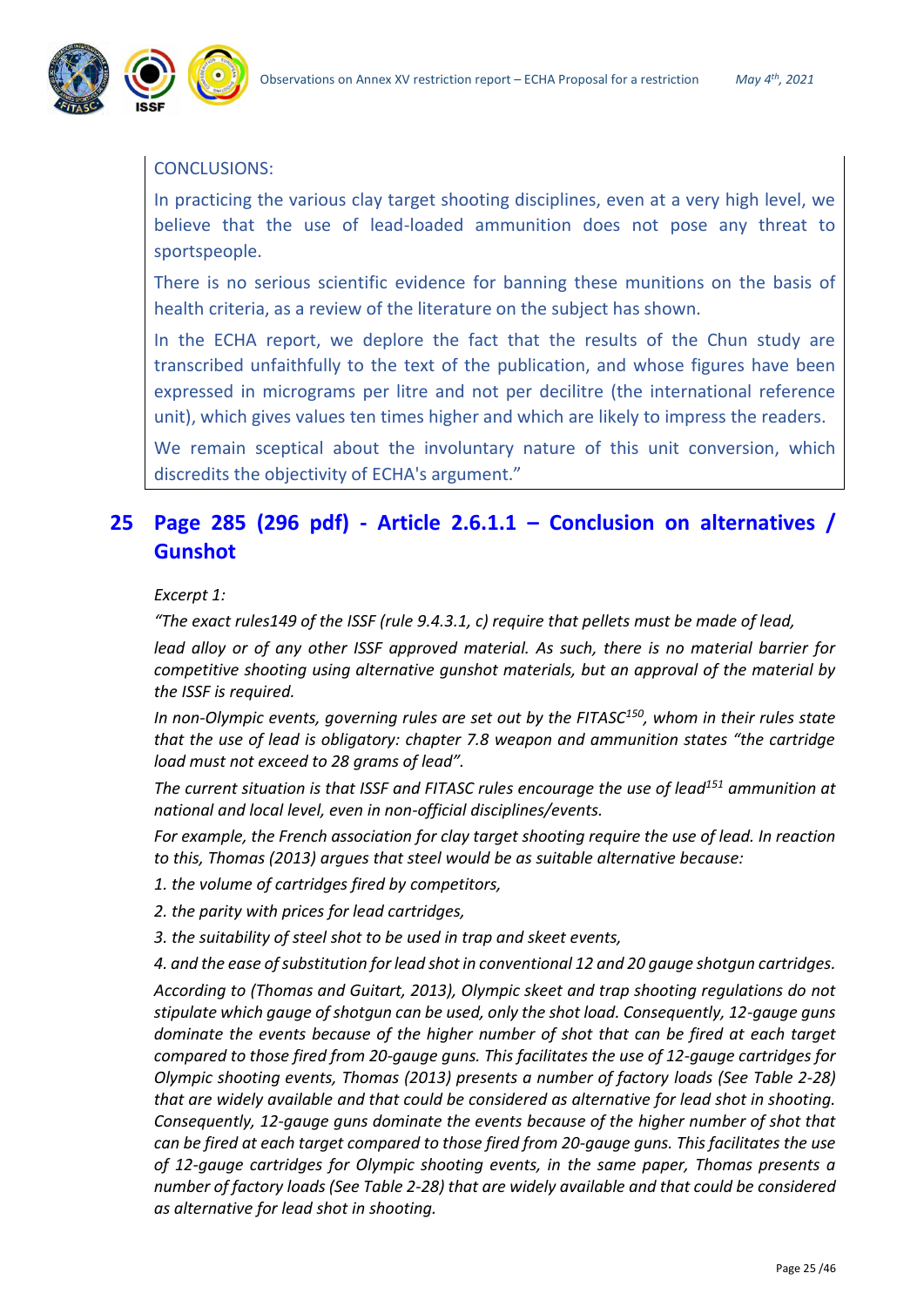

### CONCLUSIONS:

In practicing the various clay target shooting disciplines, even at a very high level, we believe that the use of lead-loaded ammunition does not pose any threat to sportspeople.

There is no serious scientific evidence for banning these munitions on the basis of health criteria, as a review of the literature on the subject has shown.

In the ECHA report, we deplore the fact that the results of the Chun study are transcribed unfaithfully to the text of the publication, and whose figures have been expressed in micrograms per litre and not per decilitre (the international reference unit), which gives values ten times higher and which are likely to impress the readers.

We remain sceptical about the involuntary nature of this unit conversion, which discredits the objectivity of ECHA's argument."

### <span id="page-24-0"></span>**25 Page 285 (296 pdf) - Article 2.6.1.1 – Conclusion on alternatives / Gunshot**

*Excerpt 1:*

*"The exact rules149 of the ISSF (rule 9.4.3.1, c) require that pellets must be made of lead,*

*lead alloy or of any other ISSF approved material. As such, there is no material barrier for competitive shooting using alternative gunshot materials, but an approval of the material by the ISSF is required.*

*In non-Olympic events, governing rules are set out by the FITASC<sup>150</sup>, whom in their rules state that the use of lead is obligatory: chapter 7.8 weapon and ammunition states "the cartridge load must not exceed to 28 grams of lead".*

*The current situation is that ISSF and FITASC rules encourage the use of lead<sup>151</sup> ammunition at national and local level, even in non-official disciplines/events.*

*For example, the French association for clay target shooting require the use of lead. In reaction to this, Thomas (2013) argues that steel would be as suitable alternative because:*

*1. the volume of cartridges fired by competitors,*

*2. the parity with prices for lead cartridges,*

*3. the suitability of steel shot to be used in trap and skeet events,*

*4. and the ease of substitution for lead shot in conventional 12 and 20 gauge shotgun cartridges.*

*According to (Thomas and Guitart, 2013), Olympic skeet and trap shooting regulations do not stipulate which gauge of shotgun can be used, only the shot load. Consequently, 12-gauge guns dominate the events because of the higher number of shot that can be fired at each target compared to those fired from 20-gauge guns. This facilitates the use of 12-gauge cartridges for Olympic shooting events, Thomas (2013) presents a number of factory loads (See Table 2-28) that are widely available and that could be considered as alternative for lead shot in shooting. Consequently, 12-gauge guns dominate the events because of the higher number of shot that can be fired at each target compared to those fired from 20-gauge guns. This facilitates the use of 12-gauge cartridges for Olympic shooting events, in the same paper, Thomas presents a number of factory loads (See Table 2-28) that are widely available and that could be considered as alternative for lead shot in shooting.*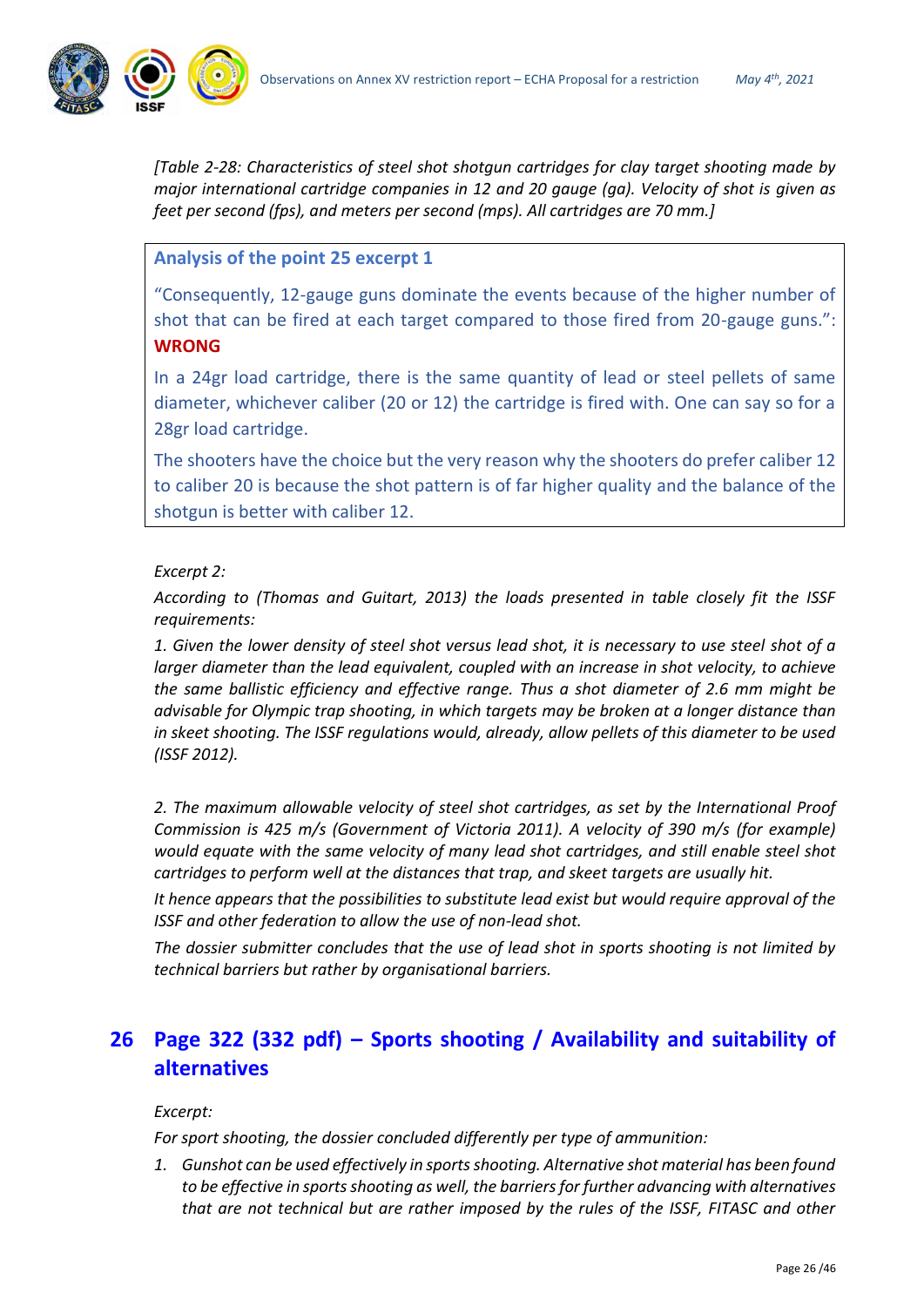



*[Table 2-28: Characteristics of steel shot shotgun cartridges for clay target shooting made by major international cartridge companies in 12 and 20 gauge (ga). Velocity of shot is given as feet per second (fps), and meters per second (mps). All cartridges are 70 mm.]*

### <span id="page-25-0"></span>**Analysis of the point 25 excerpt 1**

"Consequently, 12-gauge guns dominate the events because of the higher number of shot that can be fired at each target compared to those fired from 20-gauge guns.": **WRONG**

In a 24gr load cartridge, there is the same quantity of lead or steel pellets of same diameter, whichever caliber (20 or 12) the cartridge is fired with. One can say so for a 28gr load cartridge.

The shooters have the choice but the very reason why the shooters do prefer caliber 12 to caliber 20 is because the shot pattern is of far higher quality and the balance of the shotgun is better with caliber 12.

### *Excerpt 2:*

*According to (Thomas and Guitart, 2013) the loads presented in table closely fit the ISSF requirements:*

*1. Given the lower density of steel shot versus lead shot, it is necessary to use steel shot of a larger diameter than the lead equivalent, coupled with an increase in shot velocity, to achieve the same ballistic efficiency and effective range. Thus a shot diameter of 2.6 mm might be advisable for Olympic trap shooting, in which targets may be broken at a longer distance than in skeet shooting. The ISSF regulations would, already, allow pellets of this diameter to be used (ISSF 2012).*

*2. The maximum allowable velocity of steel shot cartridges, as set by the International Proof Commission is 425 m/s (Government of Victoria 2011). A velocity of 390 m/s (for example) would equate with the same velocity of many lead shot cartridges, and still enable steel shot cartridges to perform well at the distances that trap, and skeet targets are usually hit.*

*It hence appears that the possibilities to substitute lead exist but would require approval of the ISSF and other federation to allow the use of non-lead shot.*

*The dossier submitter concludes that the use of lead shot in sports shooting is not limited by technical barriers but rather by organisational barriers.*

### <span id="page-25-1"></span>**26 Page 322 (332 pdf) – Sports shooting / Availability and suitability of alternatives**

*Excerpt:*

*For sport shooting, the dossier concluded differently per type of ammunition:*

*1. Gunshot can be used effectively in sports shooting. Alternative shot material has been found to be effective in sports shooting as well, the barriers for further advancing with alternatives that are not technical but are rather imposed by the rules of the ISSF, FITASC and other*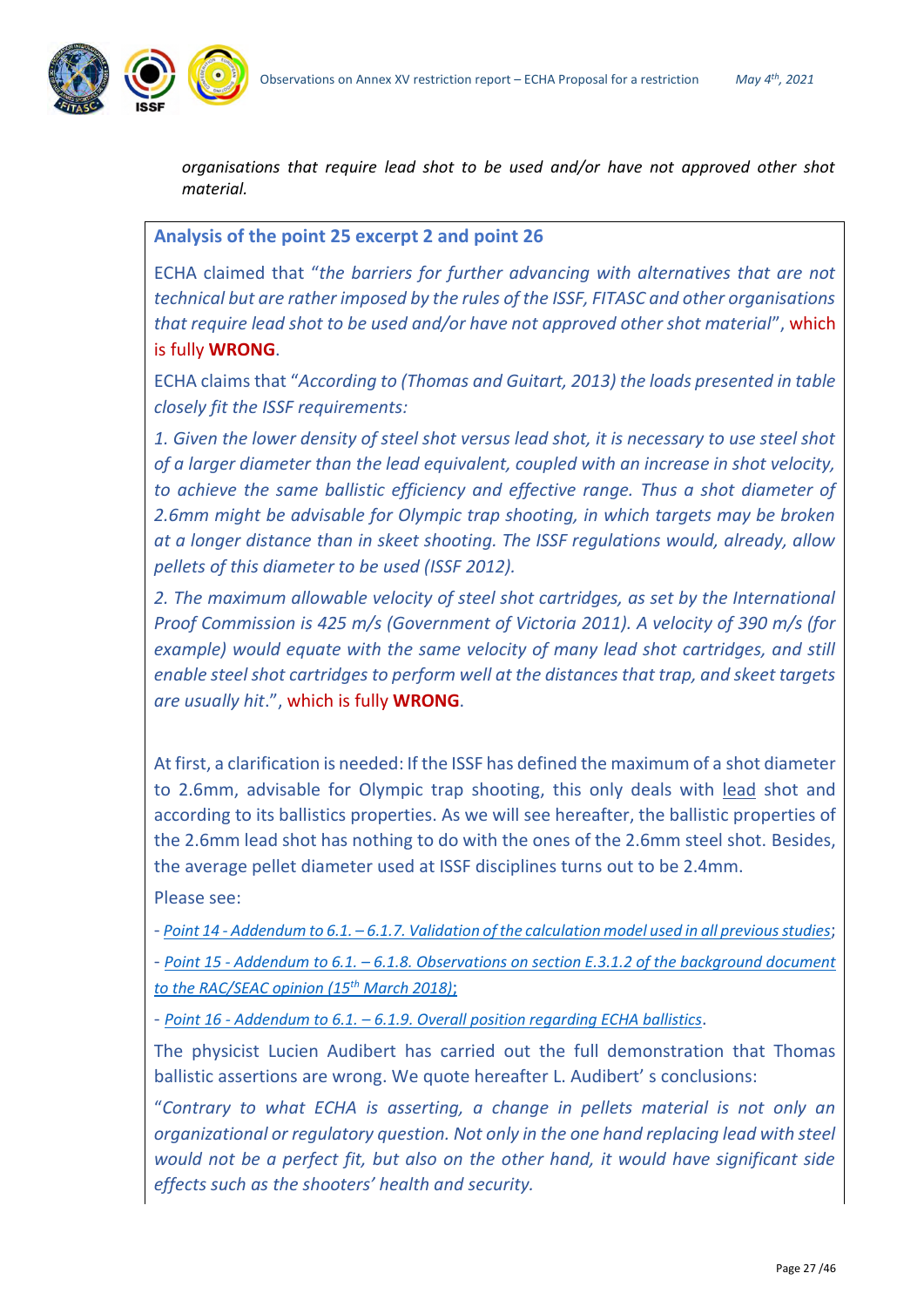

*organisations that require lead shot to be used and/or have not approved other shot material.*

#### <span id="page-26-0"></span>**Analysis of the point 25 excerpt 2 and point 26**

ECHA claimed that "*the barriers for further advancing with alternatives that are not technical but are rather imposed by the rules of the ISSF, FITASC and other organisations that require lead shot to be used and/or have not approved other shot material*", which is fully **WRONG**.

ECHA claims that "*According to (Thomas and Guitart, 2013) the loads presented in table closely fit the ISSF requirements:*

*1. Given the lower density of steel shot versus lead shot, it is necessary to use steel shot of a larger diameter than the lead equivalent, coupled with an increase in shot velocity, to achieve the same ballistic efficiency and effective range. Thus a shot diameter of 2.6mm might be advisable for Olympic trap shooting, in which targets may be broken at a longer distance than in skeet shooting. The ISSF regulations would, already, allow pellets of this diameter to be used (ISSF 2012).*

*2. The maximum allowable velocity of steel shot cartridges, as set by the International Proof Commission is 425 m/s (Government of Victoria 2011). A velocity of 390 m/s (for example) would equate with the same velocity of many lead shot cartridges, and still enable steel shot cartridges to perform well at the distances that trap, and skeet targets are usually hit*.", which is fully **WRONG**.

At first, a clarification is needed: If the ISSF has defined the maximum of a shot diameter to 2.6mm, advisable for Olympic trap shooting, this only deals with lead shot and according to its ballistics properties. As we will see hereafter, the ballistic properties of the 2.6mm lead shot has nothing to do with the ones of the 2.6mm steel shot. Besides, the average pellet diameter used at ISSF disciplines turns out to be 2.4mm.

Please see:

- *Point 14 - Addendum to 6.1. – [6.1.7. Validation of the calculation model used in all previous studies](https://www.fitasc.com/upload/images/echa_mai_2021/20210504_addendum_may21_to_fitasc_contribution_july20.pdf)*;

- *Point 15 - Addendum to 6.1. – [6.1.8. Observations on section E.3.1.2 of the background document](https://www.fitasc.com/upload/images/echa_mai_2021/20210504_addendum_may21_to_fitasc_contribution_july20.pdf)  [to the RAC/SEAC opinion \(15](https://www.fitasc.com/upload/images/echa_mai_2021/20210504_addendum_may21_to_fitasc_contribution_july20.pdf)th March 2018)*;

- *Point 16 - Addendum to 6.1. – [6.1.9. Overall position regarding ECHA ballistics](https://www.fitasc.com/upload/images/echa_mai_2021/20210504_addendum_may21_to_fitasc_contribution_july20.pdf)*.

The physicist Lucien Audibert has carried out the full demonstration that Thomas ballistic assertions are wrong. We quote hereafter L. Audibert' s conclusions:

"*Contrary to what ECHA is asserting, a change in pellets material is not only an organizational or regulatory question. Not only in the one hand replacing lead with steel would not be a perfect fit, but also on the other hand, it would have significant side effects such as the shooters' health and security.*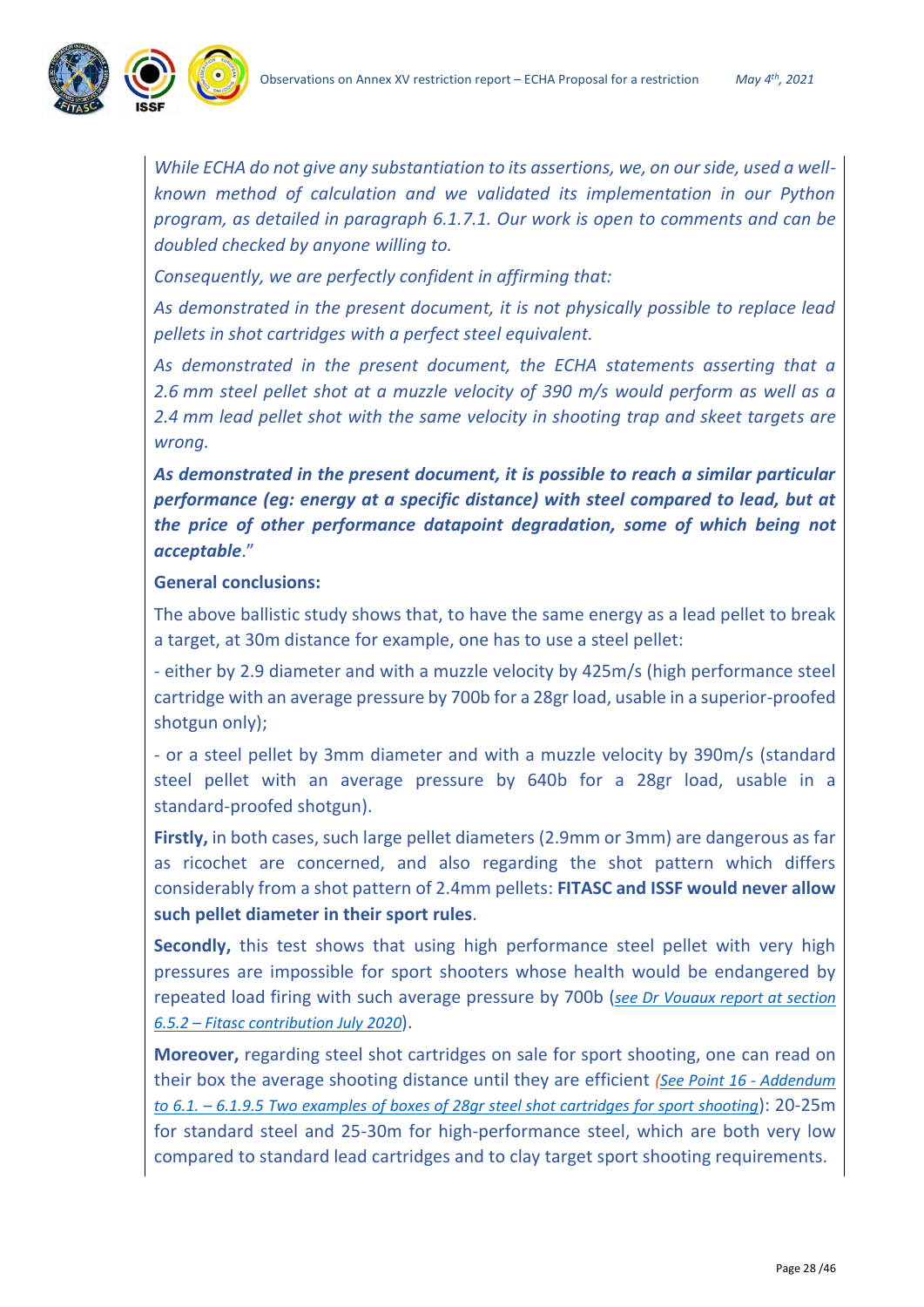

*While ECHA do not give any substantiation to its assertions, we, on our side, used a wellknown method of calculation and we validated its implementation in our Python program, as detailed in paragraph 6.1.7.1. Our work is open to comments and can be doubled checked by anyone willing to.*

*Consequently, we are perfectly confident in affirming that:*

*As demonstrated in the present document, it is not physically possible to replace lead pellets in shot cartridges with a perfect steel equivalent.*

*As demonstrated in the present document, the ECHA statements asserting that a 2.6 mm steel pellet shot at a muzzle velocity of 390 m/s would perform as well as a 2.4 mm lead pellet shot with the same velocity in shooting trap and skeet targets are wrong.*

*As demonstrated in the present document, it is possible to reach a similar particular performance (eg: energy at a specific distance) with steel compared to lead, but at the price of other performance datapoint degradation, some of which being not acceptable*."

### **General conclusions:**

The above ballistic study shows that, to have the same energy as a lead pellet to break a target, at 30m distance for example, one has to use a steel pellet:

- either by 2.9 diameter and with a muzzle velocity by 425m/s (high performance steel cartridge with an average pressure by 700b for a 28gr load, usable in a superior-proofed shotgun only);

- or a steel pellet by 3mm diameter and with a muzzle velocity by 390m/s (standard steel pellet with an average pressure by 640b for a 28gr load, usable in a standard-proofed shotgun).

**Firstly,** in both cases, such large pellet diameters (2.9mm or 3mm) are dangerous as far as ricochet are concerned, and also regarding the shot pattern which differs considerably from a shot pattern of 2.4mm pellets: **FITASC and ISSF would never allow such pellet diameter in their sport rules**.

**Secondly,** this test shows that using high performance steel pellet with very high pressures are impossible for sport shooters whose health would be endangered by repeated load firing with such average pressure by 700b (*[see Dr Vouaux report at](https://www.fitasc.com/upload/images/echa_mai_2021/20200720_eng_fitasc_doc_contribution_echa.pdf) section 6.5.2 – [Fitasc contribution July 2020](https://www.fitasc.com/upload/images/echa_mai_2021/20200720_eng_fitasc_doc_contribution_echa.pdf)*).

**Moreover,** regarding steel shot cartridges on sale for sport shooting, one can read on their box the average shooting distance until they are efficient *[\(See Point 16](https://www.fitasc.com/upload/images/echa_mai_2021/20210504_addendum_may21_to_fitasc_contribution_july20.pdf) - Addendum to 6.1. – 6.1.9.5 [Two examples of boxes of 28gr steel shot cartridges for sport shooting](https://www.fitasc.com/upload/images/echa_mai_2021/20210504_addendum_may21_to_fitasc_contribution_july20.pdf)*): 20-25m for standard steel and 25-30m for high-performance steel, which are both very low compared to standard lead cartridges and to clay target sport shooting requirements.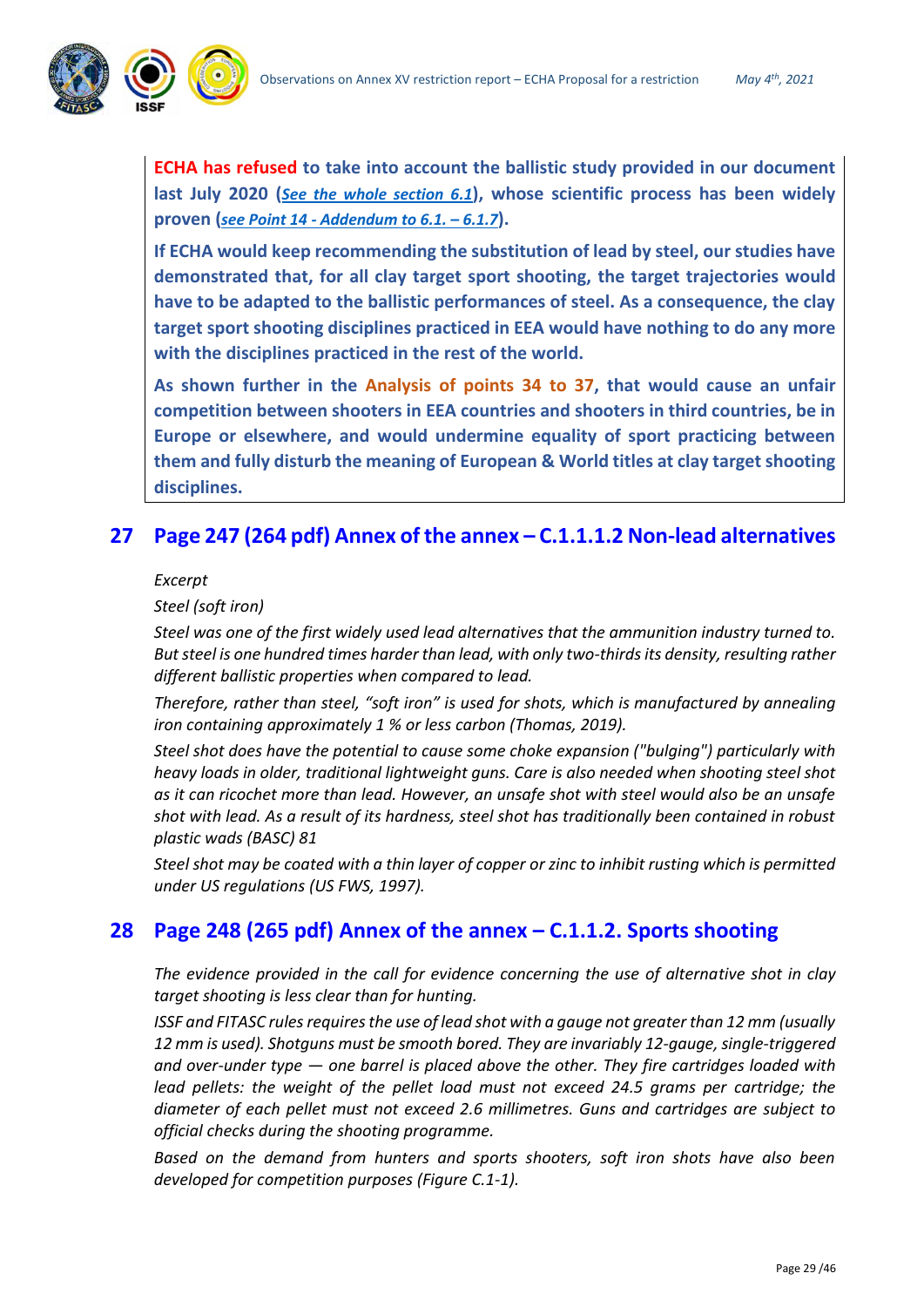

**ECHA has refused to take into account the ballistic study provided in our document last July 2020 (***[See the whole section 6.1](https://www.fitasc.com/upload/images/echa_mai_2021/20200720_eng_fitasc_doc_contribution_echa.pdf)***), whose scientific process has been widely proven (***see Point 14 - [Addendum to 6.1.](https://www.fitasc.com/upload/images/echa_mai_2021/20210504_addendum_may21_to_fitasc_contribution_july20.pdf) – 6.1.7***).**

**If ECHA would keep recommending the substitution of lead by steel, our studies have demonstrated that, for all clay target sport shooting, the target trajectories would have to be adapted to the ballistic performances of steel. As a consequence, the clay target sport shooting disciplines practiced in EEA would have nothing to do any more with the disciplines practiced in the rest of the world.**

**As shown further in the Analysis of points 34 to 37, that would cause an unfair competition between shooters in EEA countries and shooters in third countries, be in Europe or elsewhere, and would undermine equality of sport practicing between them and fully disturb the meaning of European & World titles at clay target shooting disciplines.**

### <span id="page-28-0"></span>**27 Page 247 (264 pdf) Annex of the annex – C.1.1.1.2 Non-lead alternatives**

*Excerpt*

*Steel (soft iron)*

*Steel was one of the first widely used lead alternatives that the ammunition industry turned to. But steel is one hundred times harder than lead, with only two-thirds its density, resulting rather different ballistic properties when compared to lead.*

*Therefore, rather than steel, "soft iron" is used for shots, which is manufactured by annealing iron containing approximately 1 % or less carbon (Thomas, 2019).*

*Steel shot does have the potential to cause some choke expansion ("bulging") particularly with heavy loads in older, traditional lightweight guns. Care is also needed when shooting steel shot as it can ricochet more than lead. However, an unsafe shot with steel would also be an unsafe shot with lead. As a result of its hardness, steel shot has traditionally been contained in robust plastic wads (BASC) 81*

*Steel shot may be coated with a thin layer of copper or zinc to inhibit rusting which is permitted under US regulations (US FWS, 1997).*

### <span id="page-28-1"></span>**28 Page 248 (265 pdf) Annex of the annex – C.1.1.2. Sports shooting**

*The evidence provided in the call for evidence concerning the use of alternative shot in clay target shooting is less clear than for hunting.*

*ISSF and FITASC rules requires the use of lead shot with a gauge not greater than 12 mm (usually 12 mm is used). Shotguns must be smooth bored. They are invariably 12-gauge, single-triggered and over-under type — one barrel is placed above the other. They fire cartridges loaded with lead pellets: the weight of the pellet load must not exceed 24.5 grams per cartridge; the diameter of each pellet must not exceed 2.6 millimetres. Guns and cartridges are subject to official checks during the shooting programme.*

*Based on the demand from hunters and sports shooters, soft iron shots have also been developed for competition purposes (Figure C.1-1).*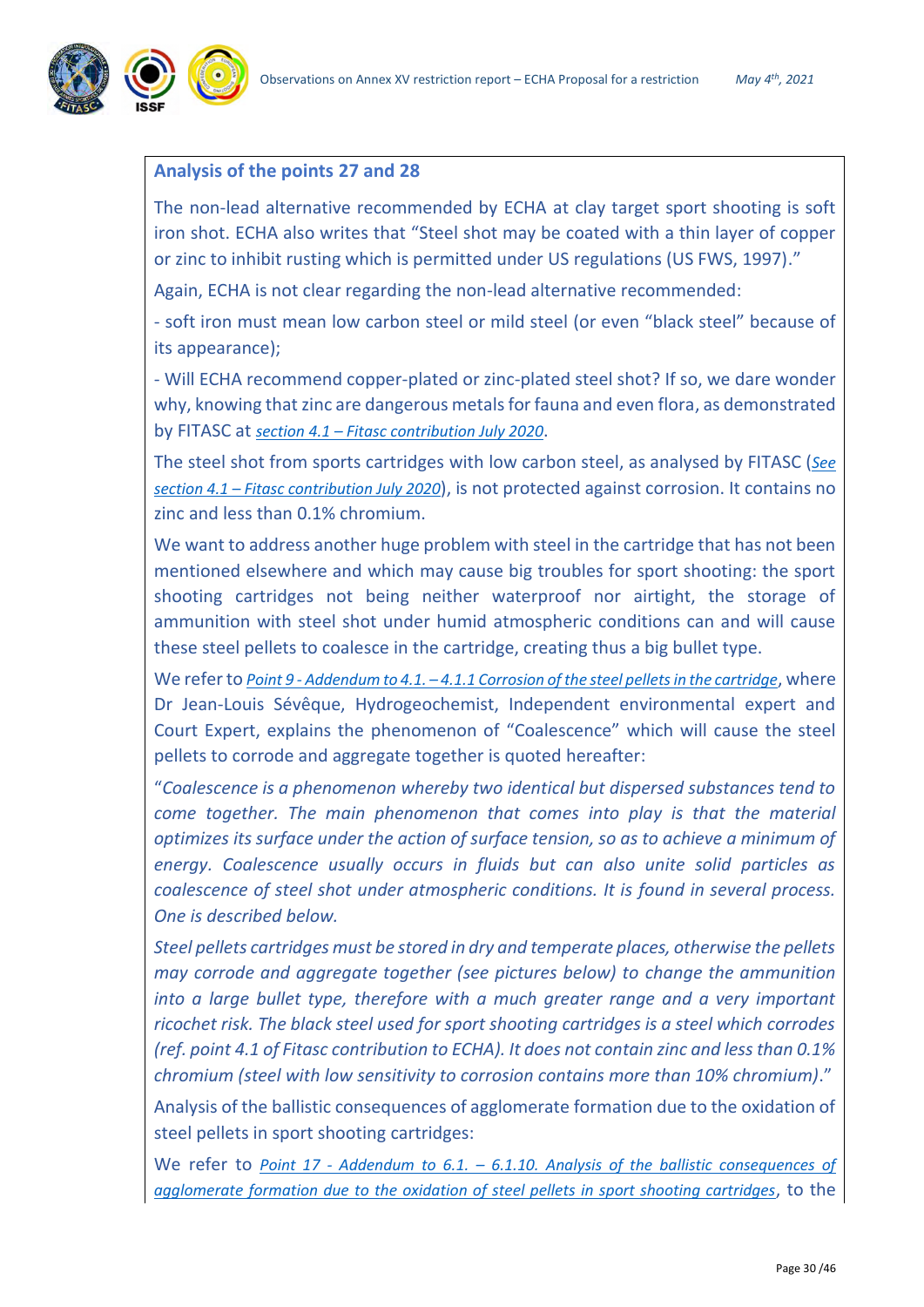

### <span id="page-29-0"></span>**Analysis of the points 27 and 28**

The non-lead alternative recommended by ECHA at clay target sport shooting is soft iron shot. ECHA also writes that "Steel shot may be coated with a thin layer of copper or zinc to inhibit rusting which is permitted under US regulations (US FWS, 1997)."

Again, ECHA is not clear regarding the non-lead alternative recommended:

- soft iron must mean low carbon steel or mild steel (or even "black steel" because of its appearance);

- Will ECHA recommend copper-plated or zinc-plated steel shot? If so, we dare wonder why, knowing that zinc are dangerous metals for fauna and even flora, as demonstrated by FITASC at *section 4.1 – [Fitasc contribution July 2020](https://www.fitasc.com/upload/images/echa_mai_2021/20200720_eng_fitasc_doc_contribution_echa.pdf)*.

The steel shot from sports cartridges with low carbon steel, as analysed by FITASC (*[See](https://www.fitasc.com/upload/images/echa_mai_2021/20200720_eng_fitasc_doc_contribution_echa.pdf)  section 4.1 – [Fitasc contribution July 2020](https://www.fitasc.com/upload/images/echa_mai_2021/20200720_eng_fitasc_doc_contribution_echa.pdf)*), is not protected against corrosion. It contains no zinc and less than 0.1% chromium.

We want to address another huge problem with steel in the cartridge that has not been mentioned elsewhere and which may cause big troubles for sport shooting: the sport shooting cartridges not being neither waterproof nor airtight, the storage of ammunition with steel shot under humid atmospheric conditions can and will cause these steel pellets to coalesce in the cartridge, creating thus a big bullet type.

We refer to *Point 9 - Addendum to 4.1. – [4.1.1 Corrosion of the steel pellets in the cartridge](https://www.fitasc.com/upload/images/echa_mai_2021/20210504_addendum_may21_to_fitasc_contribution_july20.pdf)*, where Dr Jean-Louis Sévêque, Hydrogeochemist, Independent environmental expert and Court Expert, explains the phenomenon of "Coalescence" which will cause the steel pellets to corrode and aggregate together is quoted hereafter:

"*Coalescence is a phenomenon whereby two identical but dispersed substances tend to come together. The main phenomenon that comes into play is that the material optimizes its surface under the action of surface tension, so as to achieve a minimum of energy. Coalescence usually occurs in fluids but can also unite solid particles as coalescence of steel shot under atmospheric conditions. It is found in several process. One is described below.*

*Steel pellets cartridges must be stored in dry and temperate places, otherwise the pellets may corrode and aggregate together (see pictures below) to change the ammunition into a large bullet type, therefore with a much greater range and a very important ricochet risk. The black steel used for sport shooting cartridges is a steel which corrodes (ref. point 4.1 of Fitasc contribution to ECHA). It does not contain zinc and less than 0.1% chromium (steel with low sensitivity to corrosion contains more than 10% chromium)*."

Analysis of the ballistic consequences of agglomerate formation due to the oxidation of steel pellets in sport shooting cartridges:

We refer to *Point 17 - Addendum to 6.1. - 6.1.10. Analysis of the ballistic consequences of [agglomerate formation due to the oxidation of steel pellets in sport shooting cartridges](https://www.fitasc.com/upload/images/echa_mai_2021/20210504_addendum_may21_to_fitasc_contribution_july20.pdf)*, to the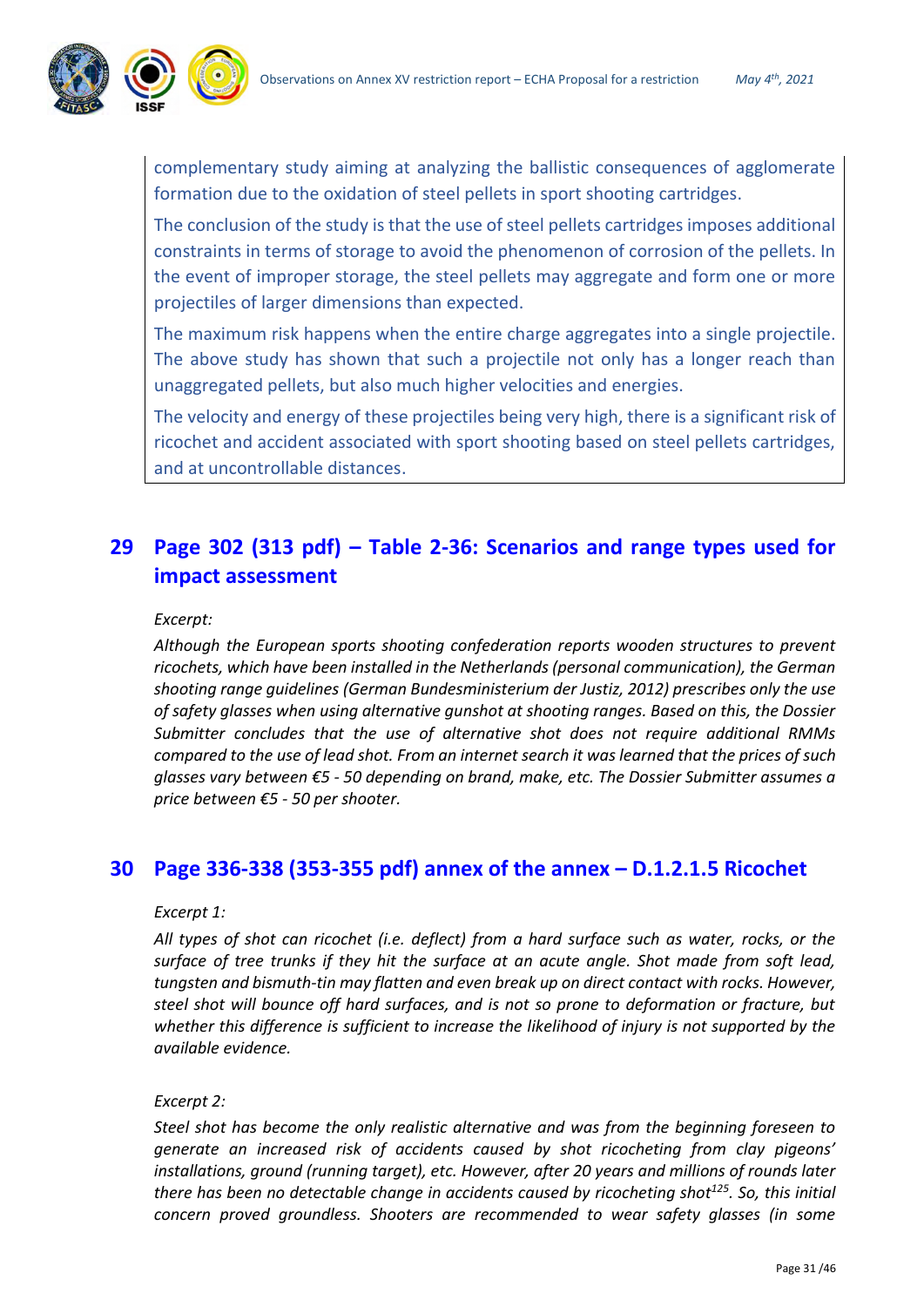



complementary study aiming at analyzing the ballistic consequences of agglomerate formation due to the oxidation of steel pellets in sport shooting cartridges.

The conclusion of the study is that the use of steel pellets cartridges imposes additional constraints in terms of storage to avoid the phenomenon of corrosion of the pellets. In the event of improper storage, the steel pellets may aggregate and form one or more projectiles of larger dimensions than expected.

The maximum risk happens when the entire charge aggregates into a single projectile. The above study has shown that such a projectile not only has a longer reach than unaggregated pellets, but also much higher velocities and energies.

The velocity and energy of these projectiles being very high, there is a significant risk of ricochet and accident associated with sport shooting based on steel pellets cartridges, and at uncontrollable distances.

### <span id="page-30-0"></span>**29 Page 302 (313 pdf) – Table 2-36: Scenarios and range types used for impact assessment**

#### *Excerpt:*

*Although the European sports shooting confederation reports wooden structures to prevent ricochets, which have been installed in the Netherlands (personal communication), the German shooting range guidelines (German Bundesministerium der Justiz, 2012) prescribes only the use of safety glasses when using alternative gunshot at shooting ranges. Based on this, the Dossier Submitter concludes that the use of alternative shot does not require additional RMMs compared to the use of lead shot. From an internet search it was learned that the prices of such glasses vary between €5 - 50 depending on brand, make, etc. The Dossier Submitter assumes a price between €5 - 50 per shooter.*

### <span id="page-30-1"></span>**30 Page 336-338 (353-355 pdf) annex of the annex – D.1.2.1.5 Ricochet**

#### *Excerpt 1:*

*All types of shot can ricochet (i.e. deflect) from a hard surface such as water, rocks, or the surface of tree trunks if they hit the surface at an acute angle. Shot made from soft lead, tungsten and bismuth-tin may flatten and even break up on direct contact with rocks. However, steel shot will bounce off hard surfaces, and is not so prone to deformation or fracture, but whether this difference is sufficient to increase the likelihood of injury is not supported by the available evidence.*

#### *Excerpt 2:*

*Steel shot has become the only realistic alternative and was from the beginning foreseen to generate an increased risk of accidents caused by shot ricocheting from clay pigeons' installations, ground (running target), etc. However, after 20 years and millions of rounds later there has been no detectable change in accidents caused by ricocheting shot<sup>125</sup>. So, this initial concern proved groundless. Shooters are recommended to wear safety glasses (in some*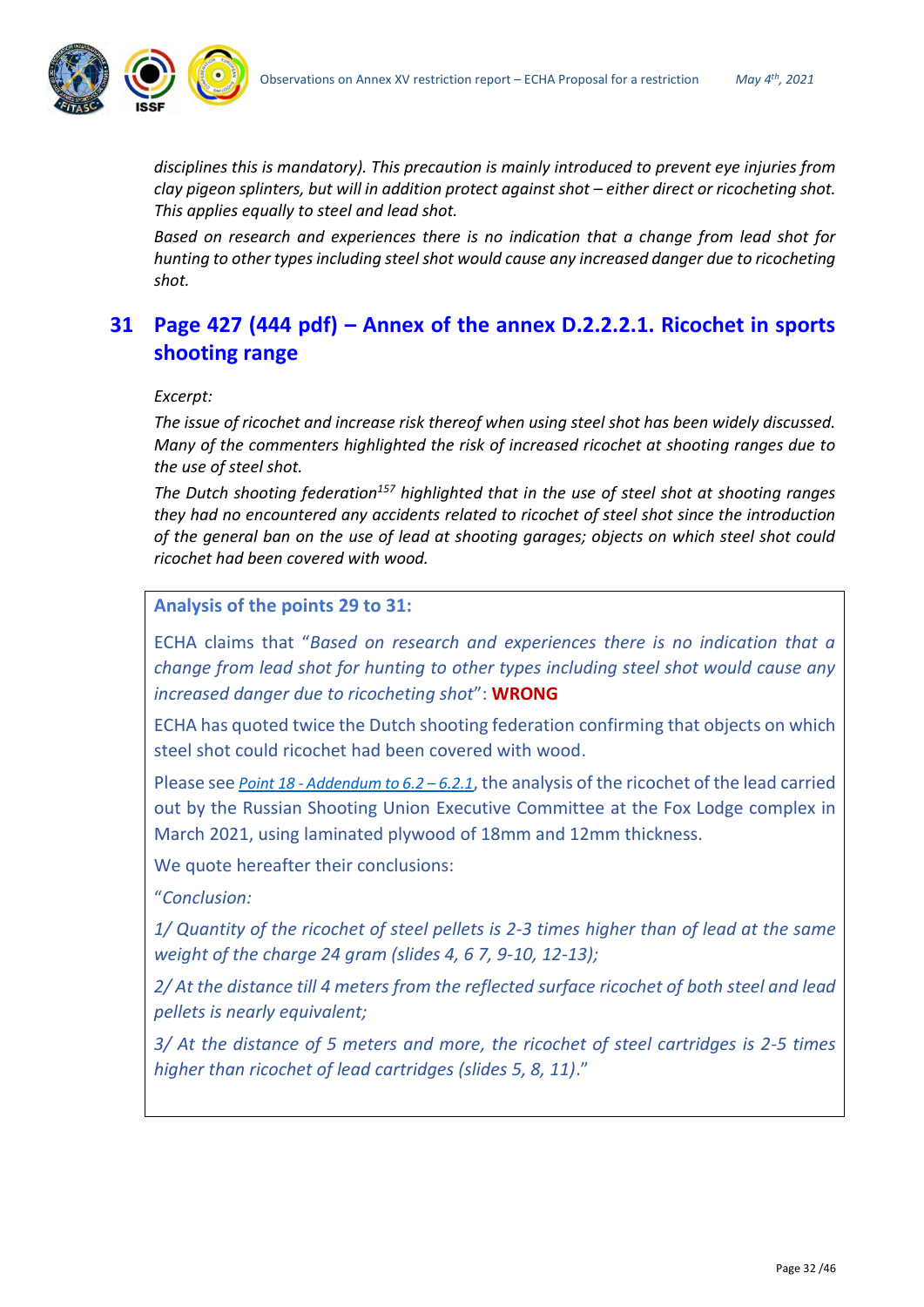

*disciplines this is mandatory). This precaution is mainly introduced to prevent eye injuries from clay pigeon splinters, but will in addition protect against shot – either direct or ricocheting shot. This applies equally to steel and lead shot.*

*Based on research and experiences there is no indication that a change from lead shot for hunting to other types including steel shot would cause any increased danger due to ricocheting shot.*

### <span id="page-31-0"></span>**31 Page 427 (444 pdf) – Annex of the annex D.2.2.2.1. Ricochet in sports shooting range**

#### *Excerpt:*

*The issue of ricochet and increase risk thereof when using steel shot has been widely discussed. Many of the commenters highlighted the risk of increased ricochet at shooting ranges due to the use of steel shot.*

*The Dutch shooting federation<sup>157</sup> highlighted that in the use of steel shot at shooting ranges they had no encountered any accidents related to ricochet of steel shot since the introduction of the general ban on the use of lead at shooting garages; objects on which steel shot could ricochet had been covered with wood.*

### <span id="page-31-1"></span>**Analysis of the points 29 to 31:**

ECHA claims that "*Based on research and experiences there is no indication that a change from lead shot for hunting to other types including steel shot would cause any increased danger due to ricocheting shot*": **WRONG**

ECHA has quoted twice the Dutch shooting federation confirming that objects on which steel shot could ricochet had been covered with wood.

Please see *Point 18 - [Addendum to 6.2](https://www.fitasc.com/upload/images/echa_mai_2021/20210504_addendum_may21_to_fitasc_contribution_july20.pdf) – 6.2.1*, the analysis of the ricochet of the lead carried out by the Russian Shooting Union Executive Committee at the Fox Lodge complex in March 2021, using laminated plywood of 18mm and 12mm thickness.

We quote hereafter their conclusions:

"*Conclusion:*

*1/ Quantity of the ricochet of steel pellets is 2-3 times higher than of lead at the same weight of the charge 24 gram (slides 4, 6 7, 9-10, 12-13);*

*2/ At the distance till 4 meters from the reflected surface ricochet of both steel and lead pellets is nearly equivalent;*

*3/ At the distance of 5 meters and more, the ricochet of steel cartridges is 2-5 times higher than ricochet of lead cartridges (slides 5, 8, 11)*."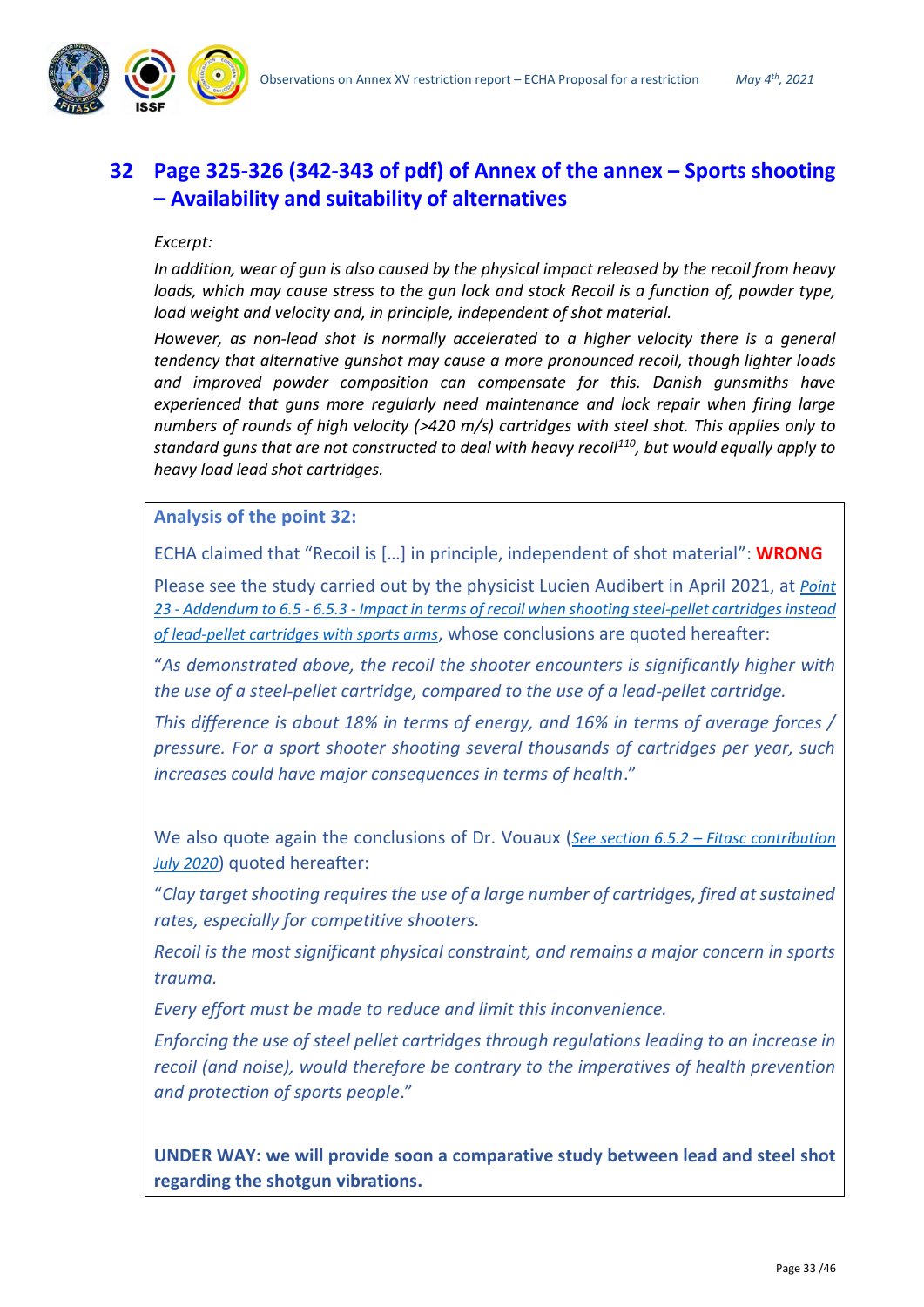

### <span id="page-32-0"></span>**32 Page 325-326 (342-343 of pdf) of Annex of the annex – Sports shooting – Availability and suitability of alternatives**

#### *Excerpt:*

*In addition, wear of gun is also caused by the physical impact released by the recoil from heavy loads, which may cause stress to the gun lock and stock Recoil is a function of, powder type, load weight and velocity and, in principle, independent of shot material.*

*However, as non-lead shot is normally accelerated to a higher velocity there is a general tendency that alternative gunshot may cause a more pronounced recoil, though lighter loads and improved powder composition can compensate for this. Danish gunsmiths have experienced that guns more regularly need maintenance and lock repair when firing large numbers of rounds of high velocity (>420 m/s) cartridges with steel shot. This applies only to standard guns that are not constructed to deal with heavy recoil<sup>110</sup>, but would equally apply to heavy load lead shot cartridges.*

### <span id="page-32-1"></span>**Analysis of the point 32:**

ECHA claimed that "Recoil is […] in principle, independent of shot material": **WRONG**

Please see the study carried out by the physicist Lucien Audibert in April 2021, at *[Point](https://www.fitasc.com/upload/images/echa_mai_2021/20210504_addendum_may21_to_fitasc_contribution_july20.pdf)  23 - Addendum to 6.5 - 6.5.3 - [Impact in terms of recoil when shooting steel-pellet cartridges instead](https://www.fitasc.com/upload/images/echa_mai_2021/20210504_addendum_may21_to_fitasc_contribution_july20.pdf)  [of lead-pellet cartridges with sports arms](https://www.fitasc.com/upload/images/echa_mai_2021/20210504_addendum_may21_to_fitasc_contribution_july20.pdf)*, whose conclusions are quoted hereafter:

"*As demonstrated above, the recoil the shooter encounters is significantly higher with the use of a steel-pellet cartridge, compared to the use of a lead-pellet cartridge.*

*This difference is about 18% in terms of energy, and 16% in terms of average forces / pressure. For a sport shooter shooting several thousands of cartridges per year, such increases could have major consequences in terms of health*."

We also quote again the conclusions of Dr. Vouaux (*See section 6.5.2 – [Fitasc contribution](https://www.fitasc.com/upload/images/echa_mai_2021/20200720_eng_fitasc_doc_contribution_echa.pdf)  [July 2020](https://www.fitasc.com/upload/images/echa_mai_2021/20200720_eng_fitasc_doc_contribution_echa.pdf)*) quoted hereafter:

"*Clay target shooting requires the use of a large number of cartridges, fired at sustained rates, especially for competitive shooters.*

*Recoil is the most significant physical constraint, and remains a major concern in sports trauma.*

*Every effort must be made to reduce and limit this inconvenience.*

*Enforcing the use of steel pellet cartridges through regulations leading to an increase in recoil (and noise), would therefore be contrary to the imperatives of health prevention and protection of sports people*."

**UNDER WAY: we will provide soon a comparative study between lead and steel shot regarding the shotgun vibrations.**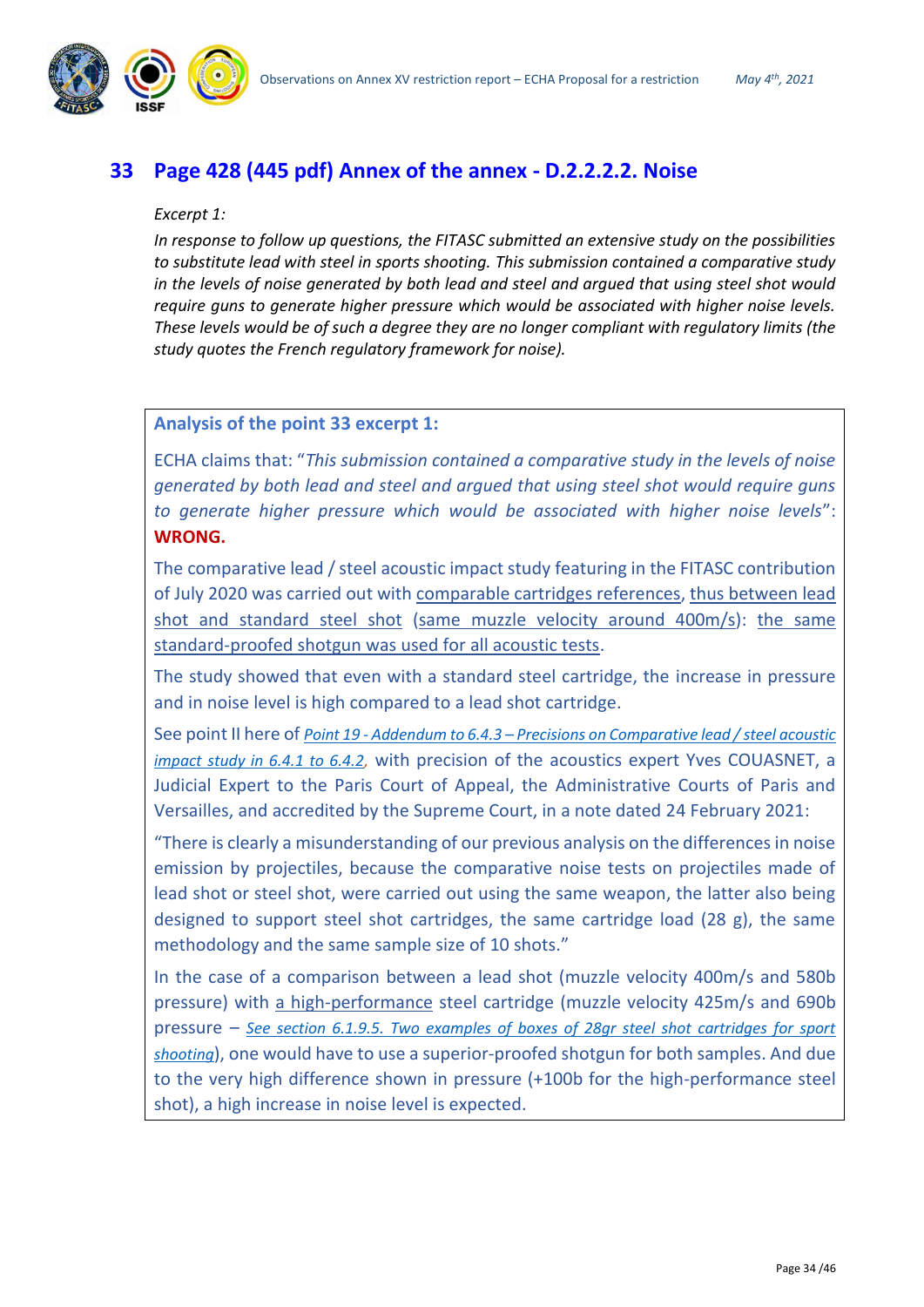

### <span id="page-33-0"></span>**33 Page 428 (445 pdf) Annex of the annex - D.2.2.2.2. Noise**

#### *Excerpt 1:*

*In response to follow up questions, the FITASC submitted an extensive study on the possibilities to substitute lead with steel in sports shooting. This submission contained a comparative study in the levels of noise generated by both lead and steel and argued that using steel shot would require guns to generate higher pressure which would be associated with higher noise levels. These levels would be of such a degree they are no longer compliant with regulatory limits (the study quotes the French regulatory framework for noise).*

### <span id="page-33-1"></span>**Analysis of the point 33 excerpt 1:**

ECHA claims that: "*This submission contained a comparative study in the levels of noise generated by both lead and steel and argued that using steel shot would require guns to generate higher pressure which would be associated with higher noise levels*": **WRONG.**

The comparative lead / steel acoustic impact study featuring in the FITASC contribution of July 2020 was carried out with comparable cartridges references, thus between lead shot and standard steel shot (same muzzle velocity around 400m/s): the same standard-proofed shotgun was used for all acoustic tests.

The study showed that even with a standard steel cartridge, the increase in pressure and in noise level is high compared to a lead shot cartridge.

See point II here of *Point 19 - Addendum to 6.4.3 – [Precisions on Comparative lead / steel acoustic](https://www.fitasc.com/upload/images/echa_mai_2021/20210504_addendum_may21_to_fitasc_contribution_july20.pdf)  [impact study in 6.4.1 to 6.4.2,](https://www.fitasc.com/upload/images/echa_mai_2021/20210504_addendum_may21_to_fitasc_contribution_july20.pdf)* with precision of the acoustics expert Yves COUASNET, a Judicial Expert to the Paris Court of Appeal, the Administrative Courts of Paris and Versailles, and accredited by the Supreme Court, in a note dated 24 February 2021:

"There is clearly a misunderstanding of our previous analysis on the differences in noise emission by projectiles, because the comparative noise tests on projectiles made of lead shot or steel shot, were carried out using the same weapon, the latter also being designed to support steel shot cartridges, the same cartridge load (28 g), the same methodology and the same sample size of 10 shots."

In the case of a comparison between a lead shot (muzzle velocity 400m/s and 580b pressure) with a high-performance steel cartridge (muzzle velocity 425m/s and 690b pressure – *[See section 6.1.9.5. Two examples of boxes of 28gr steel shot cartridges for sport](https://www.fitasc.com/upload/images/echa_mai_2021/20210504_addendum_may21_to_fitasc_contribution_july20.pdf)  [shooting](https://www.fitasc.com/upload/images/echa_mai_2021/20210504_addendum_may21_to_fitasc_contribution_july20.pdf)*), one would have to use a superior-proofed shotgun for both samples. And due to the very high difference shown in pressure (+100b for the high-performance steel shot), a high increase in noise level is expected.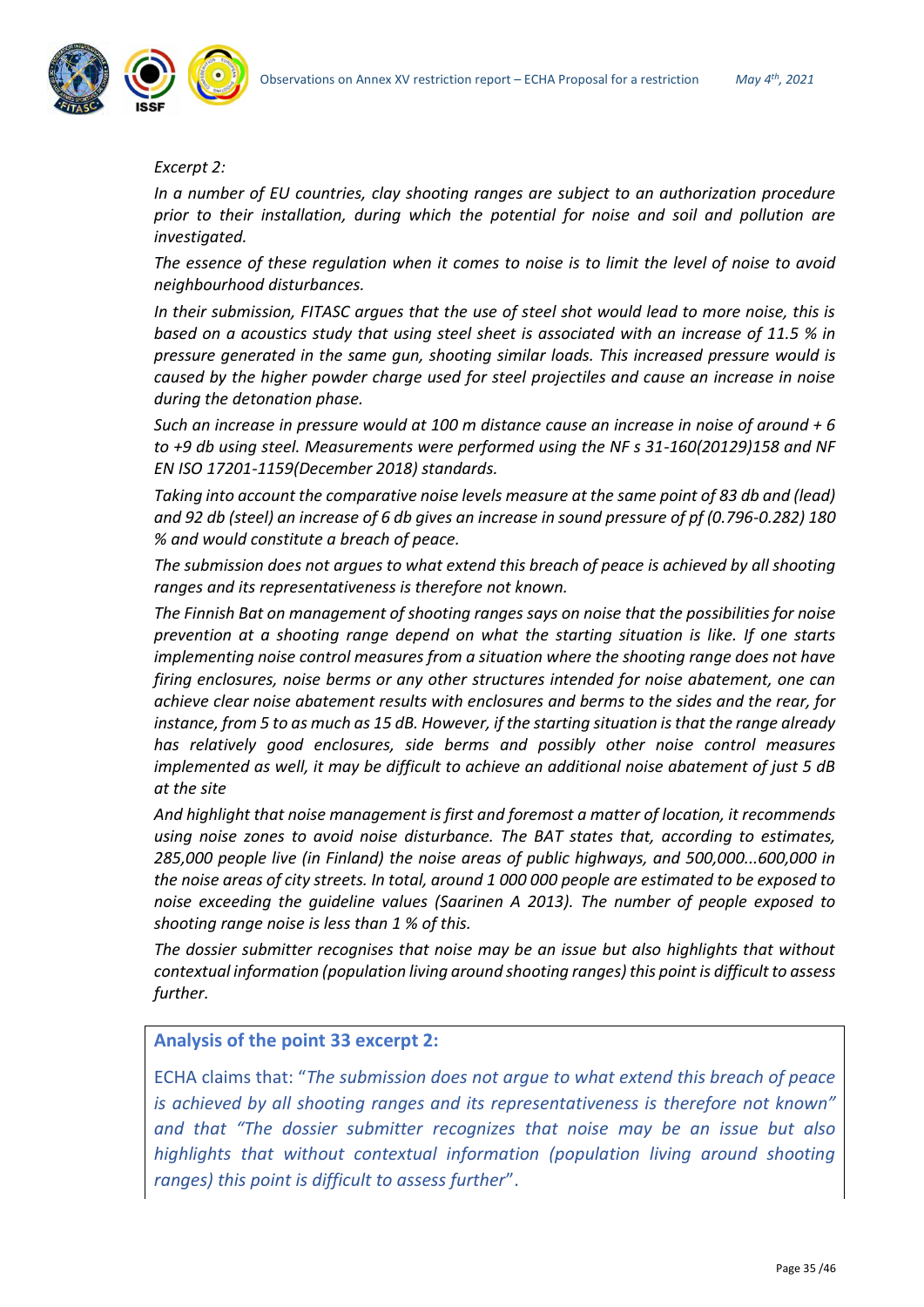

#### *Excerpt 2:*

*In a number of EU countries, clay shooting ranges are subject to an authorization procedure prior to their installation, during which the potential for noise and soil and pollution are investigated.*

*The essence of these regulation when it comes to noise is to limit the level of noise to avoid neighbourhood disturbances.*

*In their submission, FITASC argues that the use of steel shot would lead to more noise, this is based on a acoustics study that using steel sheet is associated with an increase of 11.5 % in pressure generated in the same gun, shooting similar loads. This increased pressure would is caused by the higher powder charge used for steel projectiles and cause an increase in noise during the detonation phase.*

*Such an increase in pressure would at 100 m distance cause an increase in noise of around + 6 to +9 db using steel. Measurements were performed using the NF s 31-160(20129)158 and NF EN ISO 17201-1159(December 2018) standards.*

*Taking into account the comparative noise levels measure at the same point of 83 db and (lead) and 92 db (steel) an increase of 6 db gives an increase in sound pressure of pf (0.796-0.282) 180 % and would constitute a breach of peace.*

*The submission does not argues to what extend this breach of peace is achieved by all shooting ranges and its representativeness is therefore not known.*

*The Finnish Bat on management of shooting ranges says on noise that the possibilities for noise prevention at a shooting range depend on what the starting situation is like. If one starts implementing noise control measures from a situation where the shooting range does not have firing enclosures, noise berms or any other structures intended for noise abatement, one can achieve clear noise abatement results with enclosures and berms to the sides and the rear, for instance, from 5 to as much as 15 dB. However, if the starting situation is that the range already has relatively good enclosures, side berms and possibly other noise control measures implemented as well, it may be difficult to achieve an additional noise abatement of just 5 dB at the site* 

*And highlight that noise management is first and foremost a matter of location, it recommends using noise zones to avoid noise disturbance. The BAT states that, according to estimates, 285,000 people live (in Finland) the noise areas of public highways, and 500,000...600,000 in the noise areas of city streets. In total, around 1 000 000 people are estimated to be exposed to noise exceeding the guideline values (Saarinen A 2013). The number of people exposed to shooting range noise is less than 1 % of this.*

*The dossier submitter recognises that noise may be an issue but also highlights that without contextual information (population living around shooting ranges) this point is difficult to assess further.*

### <span id="page-34-0"></span>**Analysis of the point 33 excerpt 2:**

ECHA claims that: "*The submission does not argue to what extend this breach of peace is achieved by all shooting ranges and its representativeness is therefore not known" and that "The dossier submitter recognizes that noise may be an issue but also highlights that without contextual information (population living around shooting ranges) this point is difficult to assess further*".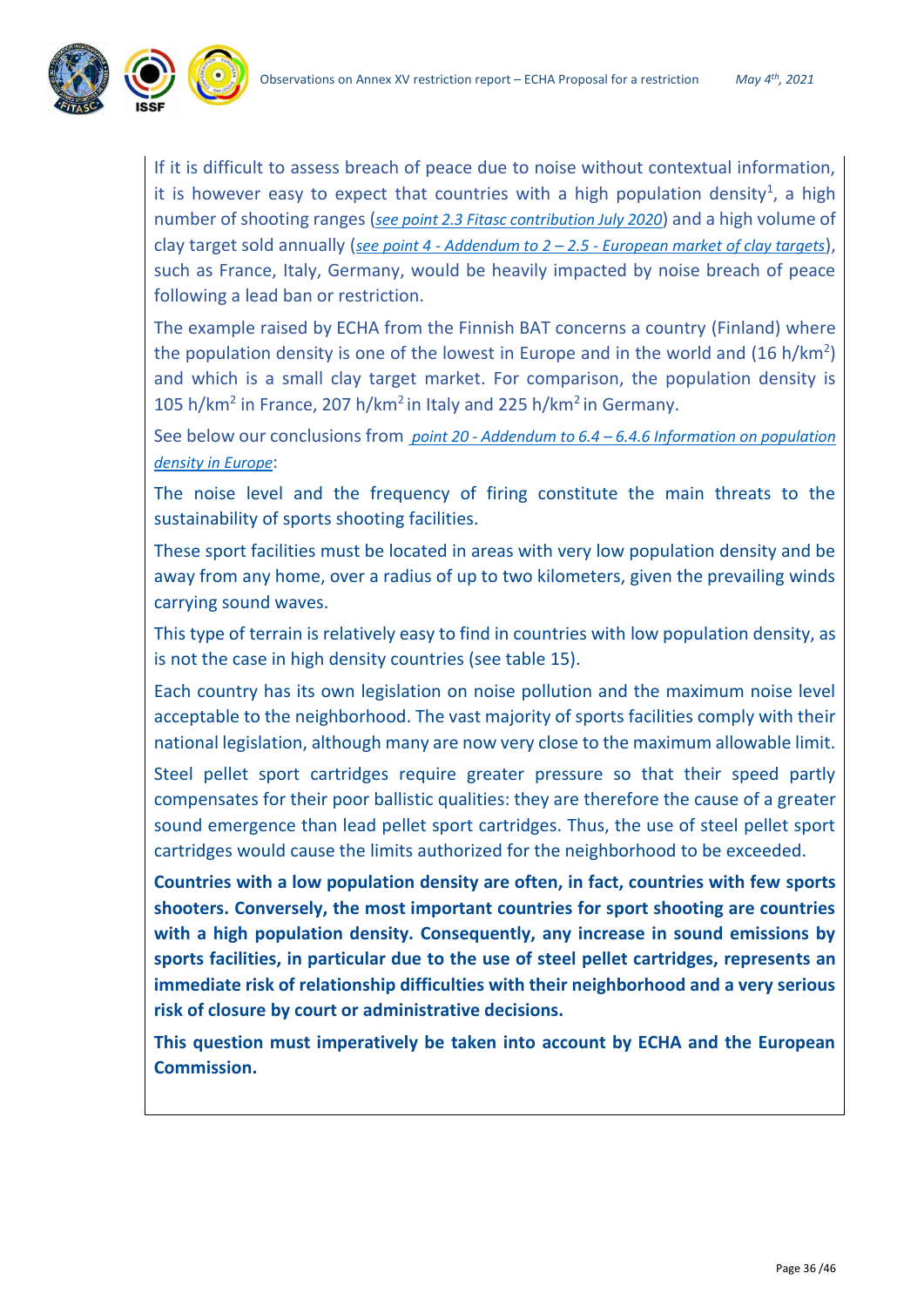

If it is difficult to assess breach of peace due to noise without contextual information, it is however easy to expect that countries with a high population density<sup>1</sup>, a high number of shooting ranges (*[see point 2.3 Fitasc contribution July 2020](https://www.fitasc.com/upload/images/echa_mai_2021/20200720_eng_fitasc_doc_contribution_echa.pdf)*) and a high volume of clay target sold annually (*see point 4 - Addendum to 2 – 2.5 - [European market of clay targets](https://www.fitasc.com/upload/images/echa_mai_2021/20210504_addendum_may21_to_fitasc_contribution_july20.pdf)*), such as France, Italy, Germany, would be heavily impacted by noise breach of peace following a lead ban or restriction.

The example raised by ECHA from the Finnish BAT concerns a country (Finland) where the population density is one of the lowest in Europe and in the world and  $(16 \text{ h/km}^2)$ and which is a small clay target market. For comparison, the population density is 105 h/km<sup>2</sup> in France, 207 h/km<sup>2</sup> in Italy and 225 h/km<sup>2</sup> in Germany.

See below our conclusions from *point 20 - Addendum to 6.4 – [6.4.6 Information on population](https://www.fitasc.com/upload/images/echa_mai_2021/20210504_addendum_may21_to_fitasc_contribution_july20.pdf)  [density in Europe](https://www.fitasc.com/upload/images/echa_mai_2021/20210504_addendum_may21_to_fitasc_contribution_july20.pdf)*:

The noise level and the frequency of firing constitute the main threats to the sustainability of sports shooting facilities.

These sport facilities must be located in areas with very low population density and be away from any home, over a radius of up to two kilometers, given the prevailing winds carrying sound waves.

This type of terrain is relatively easy to find in countries with low population density, as is not the case in high density countries (see table 15).

Each country has its own legislation on noise pollution and the maximum noise level acceptable to the neighborhood. The vast majority of sports facilities comply with their national legislation, although many are now very close to the maximum allowable limit.

Steel pellet sport cartridges require greater pressure so that their speed partly compensates for their poor ballistic qualities: they are therefore the cause of a greater sound emergence than lead pellet sport cartridges. Thus, the use of steel pellet sport cartridges would cause the limits authorized for the neighborhood to be exceeded.

**Countries with a low population density are often, in fact, countries with few sports shooters. Conversely, the most important countries for sport shooting are countries with a high population density. Consequently, any increase in sound emissions by sports facilities, in particular due to the use of steel pellet cartridges, represents an immediate risk of relationship difficulties with their neighborhood and a very serious risk of closure by court or administrative decisions.**

**This question must imperatively be taken into account by ECHA and the European Commission.**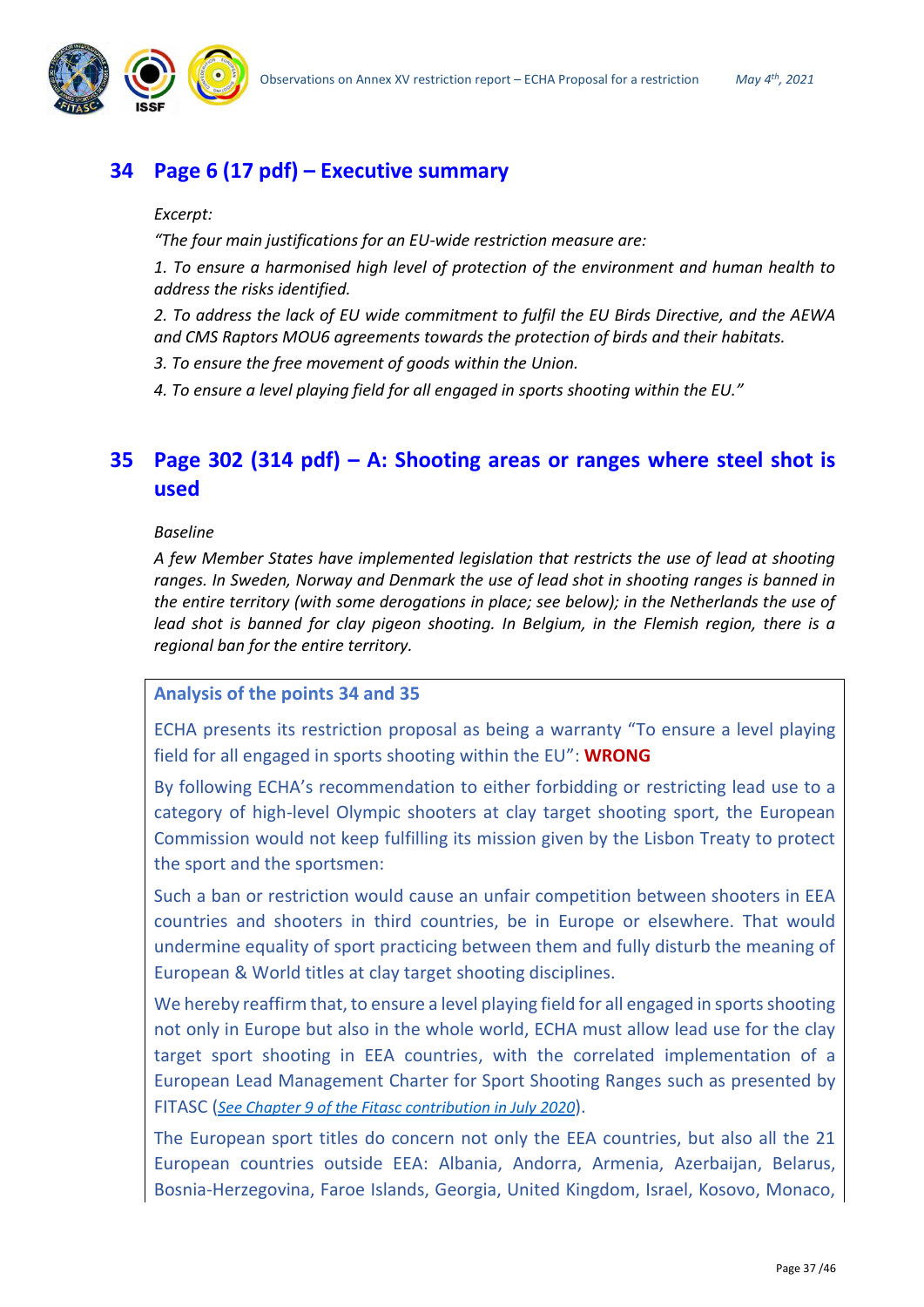

### <span id="page-36-0"></span>**34 Page 6 (17 pdf) – Executive summary**

#### *Excerpt:*

*"The four main justifications for an EU-wide restriction measure are:*

*1. To ensure a harmonised high level of protection of the environment and human health to address the risks identified.*

*2. To address the lack of EU wide commitment to fulfil the EU Birds Directive, and the AEWA and CMS Raptors MOU6 agreements towards the protection of birds and their habitats.*

*3. To ensure the free movement of goods within the Union.*

*4. To ensure a level playing field for all engaged in sports shooting within the EU."*

### <span id="page-36-1"></span>**35 Page 302 (314 pdf) – A: Shooting areas or ranges where steel shot is used**

#### *Baseline*

*A few Member States have implemented legislation that restricts the use of lead at shooting ranges. In Sweden, Norway and Denmark the use of lead shot in shooting ranges is banned in the entire territory (with some derogations in place; see below); in the Netherlands the use of lead shot is banned for clay pigeon shooting. In Belgium, in the Flemish region, there is a regional ban for the entire territory.*

### <span id="page-36-2"></span>**Analysis of the points 34 and 35**

ECHA presents its restriction proposal as being a warranty "To ensure a level playing field for all engaged in sports shooting within the EU": **WRONG**

By following ECHA's recommendation to either forbidding or restricting lead use to a category of high-level Olympic shooters at clay target shooting sport, the European Commission would not keep fulfilling its mission given by the Lisbon Treaty to protect the sport and the sportsmen:

Such a ban or restriction would cause an unfair competition between shooters in EEA countries and shooters in third countries, be in Europe or elsewhere. That would undermine equality of sport practicing between them and fully disturb the meaning of European & World titles at clay target shooting disciplines.

We hereby reaffirm that, to ensure a level playing field for all engaged in sports shooting not only in Europe but also in the whole world, ECHA must allow lead use for the clay target sport shooting in EEA countries, with the correlated implementation of a European Lead Management Charter for Sport Shooting Ranges such as presented by FITASC (*[See Chapter 9 of the Fitasc contribution in July 2020](https://www.fitasc.com/upload/images/echa_mai_2021/20200720_eng_fitasc_doc_contribution_echa.pdf)*).

The European sport titles do concern not only the EEA countries, but also all the 21 European countries outside EEA: Albania, Andorra, Armenia, Azerbaijan, Belarus, Bosnia-Herzegovina, Faroe Islands, Georgia, United Kingdom, Israel, Kosovo, Monaco,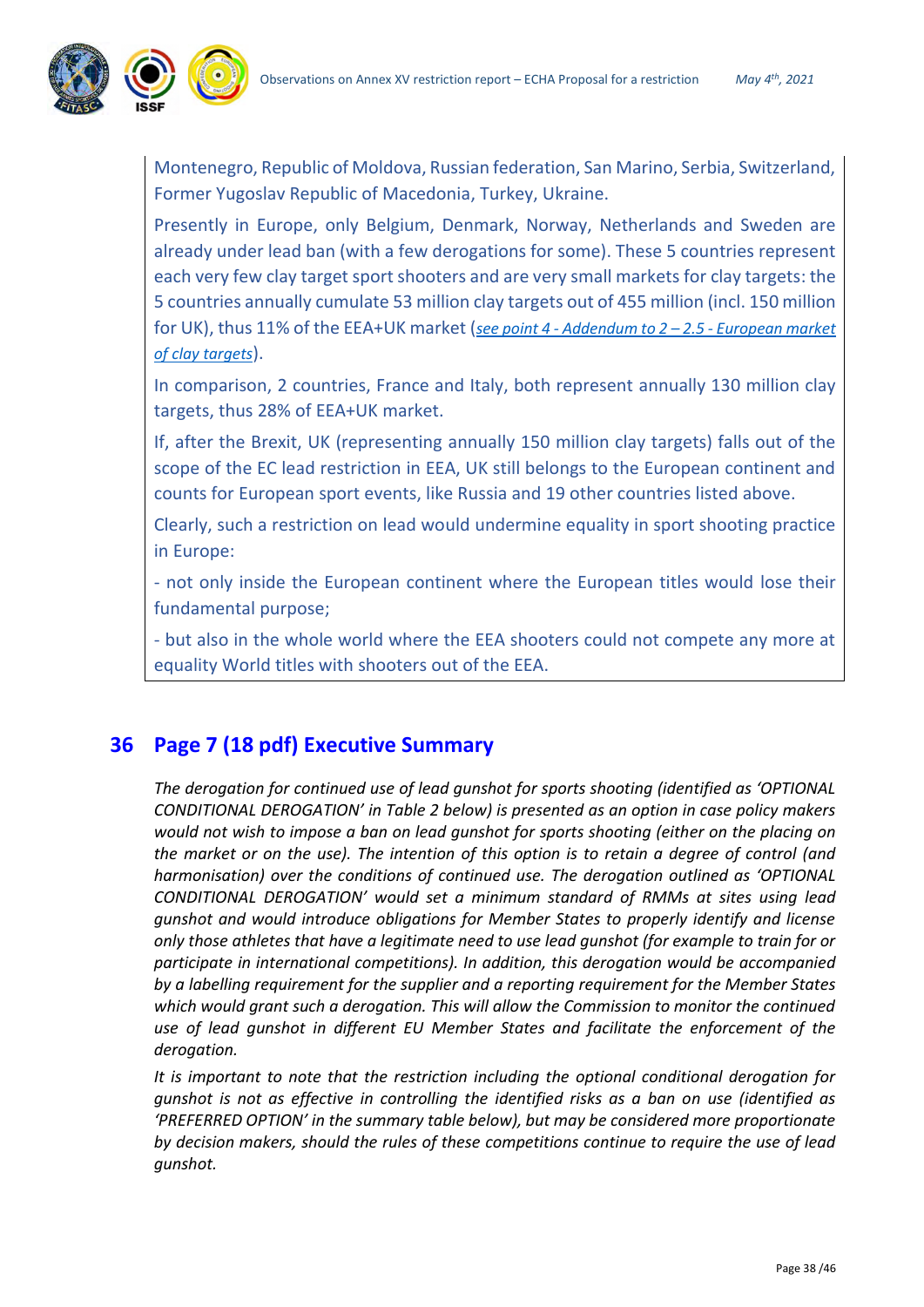

Montenegro, Republic of Moldova, Russian federation, San Marino, Serbia, Switzerland, Former Yugoslav Republic of Macedonia, Turkey, Ukraine.

Presently in Europe, only Belgium, Denmark, Norway, Netherlands and Sweden are already under lead ban (with a few derogations for some). These 5 countries represent each very few clay target sport shooters and are very small markets for clay targets: the 5 countries annually cumulate 53 million clay targets out of 455 million (incl. 150 million for UK), thus 11% of the EEA+UK market (*see point 4 - Addendum to 2 – 2.5 - [European market](https://www.fitasc.com/upload/images/echa_mai_2021/20210504_addendum_may21_to_fitasc_contribution_july20.pdf)  [of clay targets](https://www.fitasc.com/upload/images/echa_mai_2021/20210504_addendum_may21_to_fitasc_contribution_july20.pdf)*).

In comparison, 2 countries, France and Italy, both represent annually 130 million clay targets, thus 28% of EEA+UK market.

If, after the Brexit, UK (representing annually 150 million clay targets) falls out of the scope of the EC lead restriction in EEA, UK still belongs to the European continent and counts for European sport events, like Russia and 19 other countries listed above.

Clearly, such a restriction on lead would undermine equality in sport shooting practice in Europe:

- not only inside the European continent where the European titles would lose their fundamental purpose;

- but also in the whole world where the EEA shooters could not compete any more at equality World titles with shooters out of the EEA.

### <span id="page-37-0"></span>**36 Page 7 (18 pdf) Executive Summary**

*The derogation for continued use of lead gunshot for sports shooting (identified as 'OPTIONAL CONDITIONAL DEROGATION' in Table 2 below) is presented as an option in case policy makers would not wish to impose a ban on lead gunshot for sports shooting (either on the placing on the market or on the use). The intention of this option is to retain a degree of control (and harmonisation) over the conditions of continued use. The derogation outlined as 'OPTIONAL CONDITIONAL DEROGATION' would set a minimum standard of RMMs at sites using lead gunshot and would introduce obligations for Member States to properly identify and license only those athletes that have a legitimate need to use lead gunshot (for example to train for or participate in international competitions). In addition, this derogation would be accompanied by a labelling requirement for the supplier and a reporting requirement for the Member States which would grant such a derogation. This will allow the Commission to monitor the continued use of lead gunshot in different EU Member States and facilitate the enforcement of the derogation.*

*It is important to note that the restriction including the optional conditional derogation for gunshot is not as effective in controlling the identified risks as a ban on use (identified as 'PREFERRED OPTION' in the summary table below), but may be considered more proportionate by decision makers, should the rules of these competitions continue to require the use of lead gunshot.*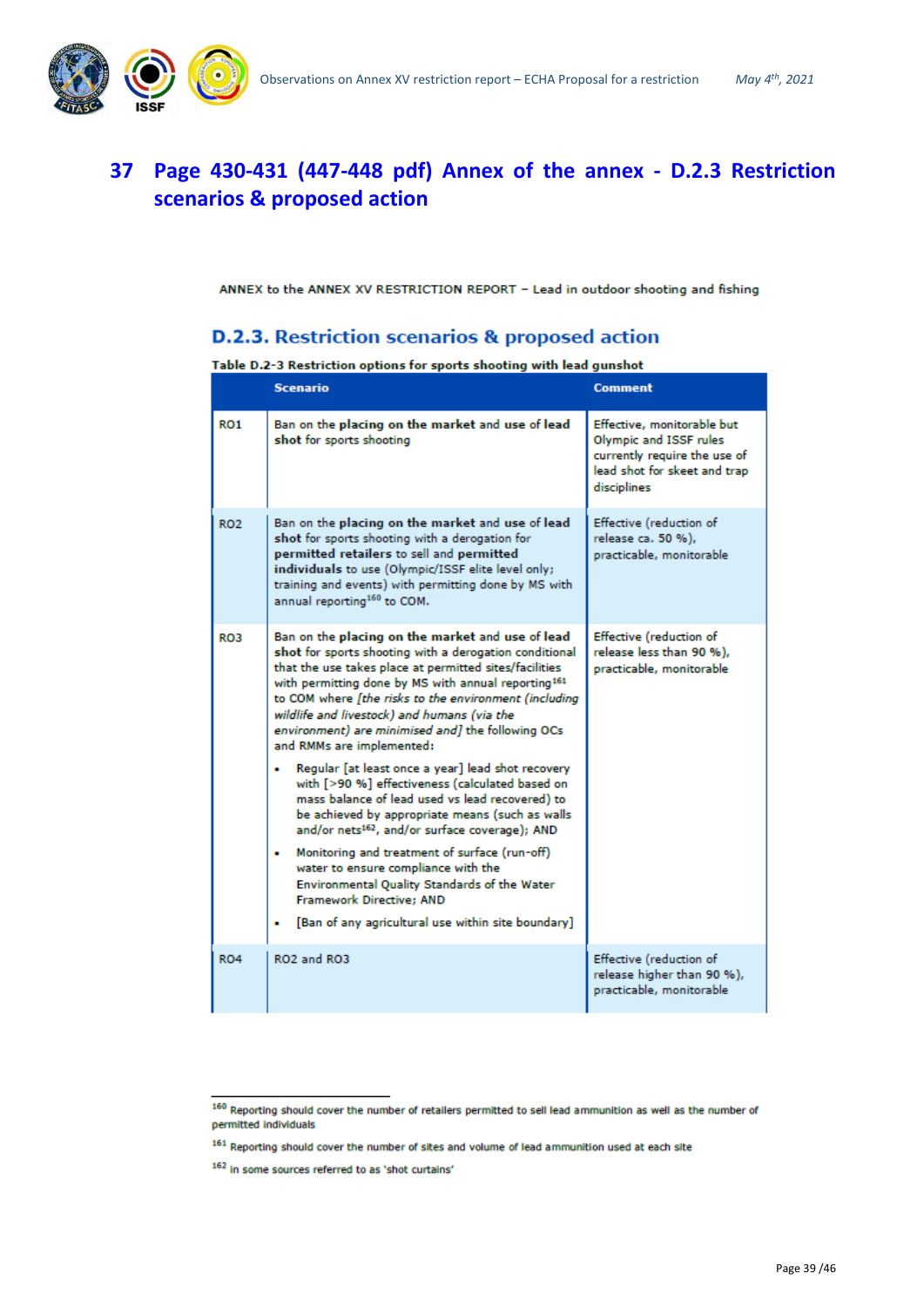

### <span id="page-38-0"></span>**37 Page 430-431 (447-448 pdf) Annex of the annex - D.2.3 Restriction scenarios & proposed action**

ANNEX to the ANNEX XV RESTRICTION REPORT - Lead in outdoor shooting and fishing

### **D.2.3. Restriction scenarios & proposed action**

| Table D.2-3 Restriction options for sports shooting with lead gunshot |  |  |  |  |
|-----------------------------------------------------------------------|--|--|--|--|
|-----------------------------------------------------------------------|--|--|--|--|

|            | <b>Scenario</b>                                                                                                                                                                                                                                                                                                                                                                                                                                                                                                                                                                                                                                                                                                                                                                                                                                                                                                                                       | <b>Comment</b>                                                                                                                      |
|------------|-------------------------------------------------------------------------------------------------------------------------------------------------------------------------------------------------------------------------------------------------------------------------------------------------------------------------------------------------------------------------------------------------------------------------------------------------------------------------------------------------------------------------------------------------------------------------------------------------------------------------------------------------------------------------------------------------------------------------------------------------------------------------------------------------------------------------------------------------------------------------------------------------------------------------------------------------------|-------------------------------------------------------------------------------------------------------------------------------------|
| RO1        | Ban on the placing on the market and use of lead<br>shot for sports shooting                                                                                                                                                                                                                                                                                                                                                                                                                                                                                                                                                                                                                                                                                                                                                                                                                                                                          | Effective, monitorable but<br>Olympic and ISSF rules<br>currently require the use of<br>lead shot for skeet and trap<br>disciplines |
| <b>RO2</b> | Ban on the placing on the market and use of lead<br>shot for sports shooting with a derogation for<br>permitted retailers to sell and permitted<br>individuals to use (Olympic/ISSF elite level only;<br>training and events) with permitting done by MS with<br>annual reporting <sup>160</sup> to COM.                                                                                                                                                                                                                                                                                                                                                                                                                                                                                                                                                                                                                                              | Effective (reduction of<br>release ca. 50 %),<br>practicable, monitorable                                                           |
| RO3        | Ban on the placing on the market and use of lead<br>shot for sports shooting with a derogation conditional<br>that the use takes place at permitted sites/facilities<br>with permitting done by MS with annual reporting <sup>161</sup><br>to COM where [the risks to the environment (including<br>wildlife and livestock) and humans (via the<br>environment) are minimised and] the following OCs<br>and RMMs are implemented:<br>Regular [at least once a year] lead shot recovery<br>٠<br>with [>90 %] effectiveness (calculated based on<br>mass balance of lead used vs lead recovered) to<br>be achieved by appropriate means (such as walls<br>and/or nets <sup>162</sup> , and/or surface coverage); AND<br>• Monitoring and treatment of surface (run-off)<br>water to ensure compliance with the<br>Environmental Quality Standards of the Water<br><b>Framework Directive: AND</b><br>[Ban of any agricultural use within site boundary] | <b>Effective</b> (reduction of<br>release less than 90 %),<br>practicable, monitorable                                              |
| <b>RO4</b> | RO2 and RO3                                                                                                                                                                                                                                                                                                                                                                                                                                                                                                                                                                                                                                                                                                                                                                                                                                                                                                                                           | Effective (reduction of<br>release higher than 90 %),<br>practicable, monitorable                                                   |

 $160$  Reporting should cover the number of retailers permitted to sell lead ammunition as well as the number of permitted individuals

<sup>161</sup> Reporting should cover the number of sites and volume of lead ammunition used at each site

<sup>162</sup> in some sources referred to as 'shot curtains'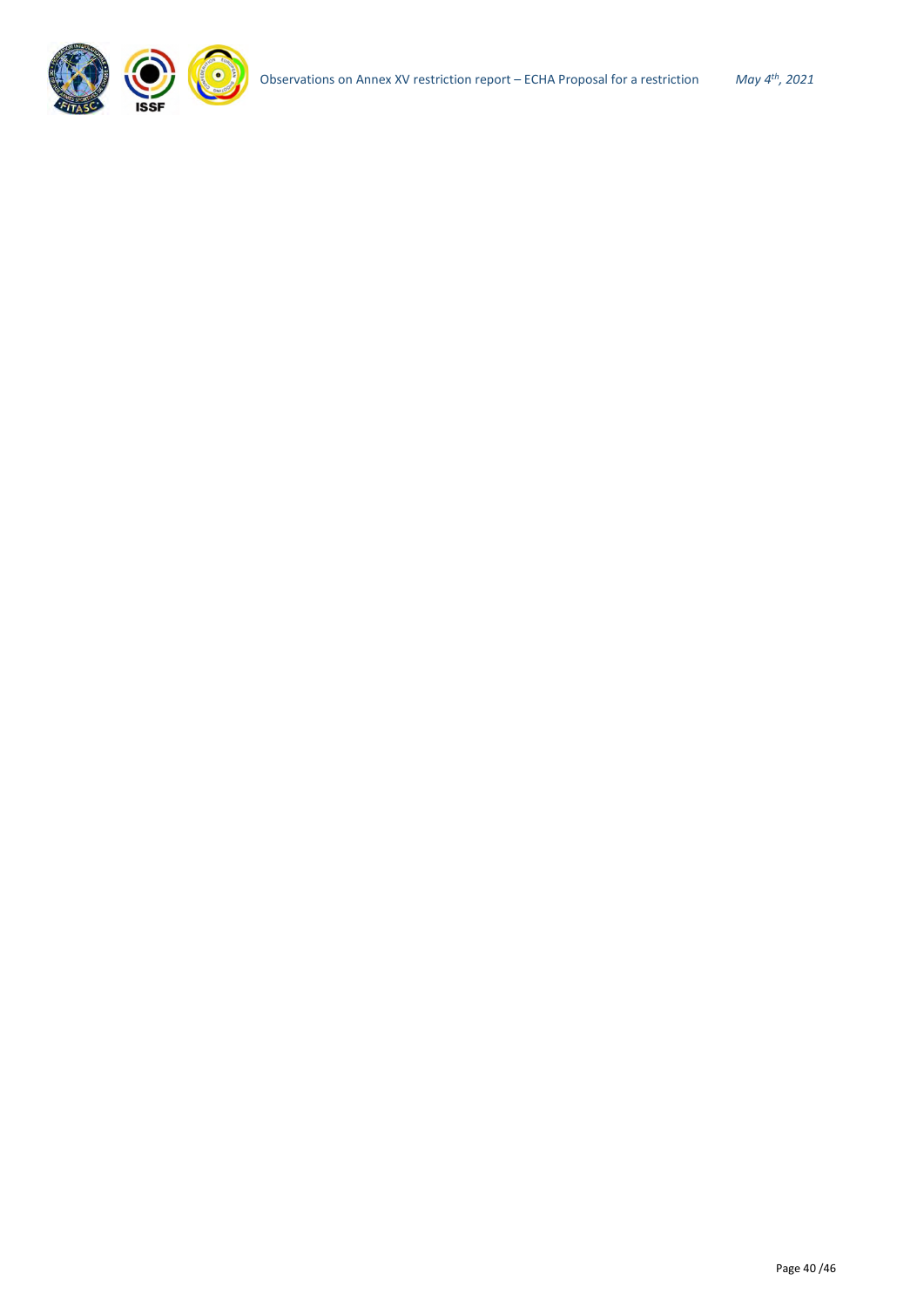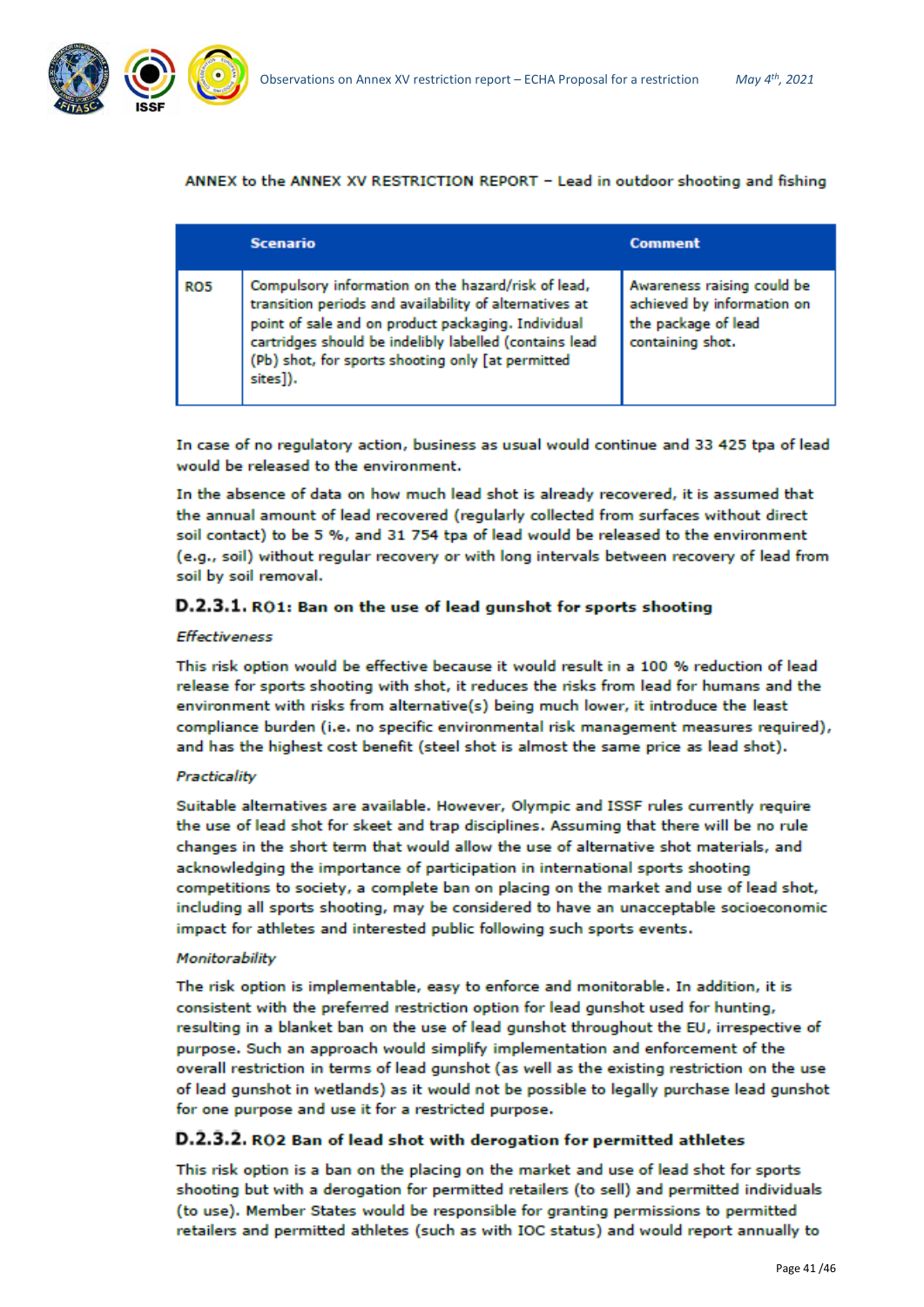

#### ANNEX to the ANNEX XV RESTRICTION REPORT - Lead in outdoor shooting and fishing

|     | <b>Scenario</b>                                                                                                                                                                                                                                                                               | Comment                                                                                             |
|-----|-----------------------------------------------------------------------------------------------------------------------------------------------------------------------------------------------------------------------------------------------------------------------------------------------|-----------------------------------------------------------------------------------------------------|
| RO5 | Compulsory information on the hazard/risk of lead,<br>transition periods and availability of alternatives at<br>point of sale and on product packaging. Individual<br>cartridges should be indelibly labelled (contains lead<br>(Pb) shot, for sports shooting only [at permitted<br>sites]). | Awareness raising could be<br>achieved by information on<br>the package of lead<br>containing shot. |

In case of no regulatory action, business as usual would continue and 33 425 tpa of lead would be released to the environment.

In the absence of data on how much lead shot is already recovered, it is assumed that the annual amount of lead recovered (regularly collected from surfaces without direct soil contact) to be 5 %, and 31 754 tpa of lead would be released to the environment (e.g., soil) without regular recovery or with long intervals between recovery of lead from soil by soil removal.

#### D.2.3.1. RO1: Ban on the use of lead gunshot for sports shooting

#### **Effectiveness**

This risk option would be effective because it would result in a 100 % reduction of lead release for sports shooting with shot, it reduces the risks from lead for humans and the environment with risks from alternative(s) being much lower, it introduce the least compliance burden (i.e. no specific environmental risk management measures required), and has the highest cost benefit (steel shot is almost the same price as lead shot).

#### Practicality

Suitable alternatives are available. However, Olympic and ISSF rules currently require the use of lead shot for skeet and trap disciplines. Assuming that there will be no rule changes in the short term that would allow the use of alternative shot materials, and acknowledging the importance of participation in international sports shooting competitions to society, a complete ban on placing on the market and use of lead shot, including all sports shooting, may be considered to have an unacceptable socioeconomic impact for athletes and interested public following such sports events.

#### Monitorability

The risk option is implementable, easy to enforce and monitorable. In addition, it is consistent with the preferred restriction option for lead gunshot used for hunting, resulting in a blanket ban on the use of lead gunshot throughout the EU, irrespective of purpose. Such an approach would simplify implementation and enforcement of the overall restriction in terms of lead gunshot (as well as the existing restriction on the use of lead gunshot in wetlands) as it would not be possible to legally purchase lead gunshot for one purpose and use it for a restricted purpose.

#### D.2.3.2. RO2 Ban of lead shot with derogation for permitted athletes

This risk option is a ban on the placing on the market and use of lead shot for sports shooting but with a derogation for permitted retailers (to sell) and permitted individuals (to use). Member States would be responsible for granting permissions to permitted retailers and permitted athletes (such as with IOC status) and would report annually to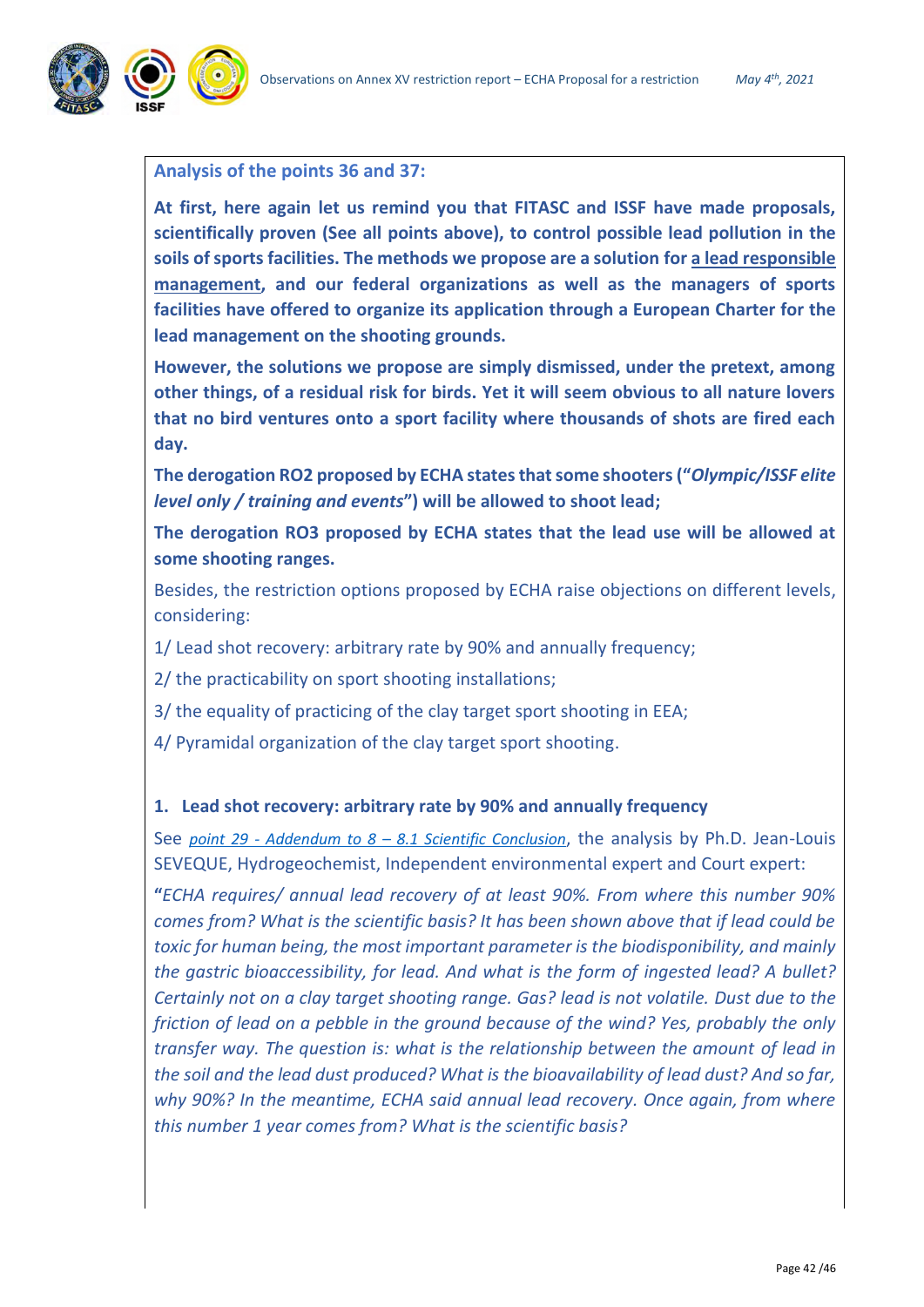

### <span id="page-41-0"></span>**Analysis of the points 36 and 37:**

**At first, here again let us remind you that FITASC and ISSF have made proposals, scientifically proven (See all points above), to control possible lead pollution in the soils of sports facilities. The methods we propose are a solution for a lead responsible management, and our federal organizations as well as the managers of sports facilities have offered to organize its application through a European Charter for the lead management on the shooting grounds.**

**However, the solutions we propose are simply dismissed, under the pretext, among other things, of a residual risk for birds. Yet it will seem obvious to all nature lovers that no bird ventures onto a sport facility where thousands of shots are fired each day.**

**The derogation RO2 proposed by ECHA states that some shooters ("***Olympic/ISSF elite level only / training and events***") will be allowed to shoot lead;**

**The derogation RO3 proposed by ECHA states that the lead use will be allowed at some shooting ranges.**

Besides, the restriction options proposed by ECHA raise objections on different levels, considering:

- 1/ Lead shot recovery: arbitrary rate by 90% and annually frequency;
- 2/ the practicability on sport shooting installations;
- 3/ the equality of practicing of the clay target sport shooting in EEA;
- 4/ Pyramidal organization of the clay target sport shooting.

### **1. Lead shot recovery: arbitrary rate by 90% and annually frequency**

See *point 29 - Addendum to 8 – [8.1 Scientific Conclusion](https://www.fitasc.com/upload/images/echa_mai_2021/20210504_addendum_may21_to_fitasc_contribution_july20.pdf)*, the analysis by Ph.D. Jean-Louis SEVEQUE, Hydrogeochemist, Independent environmental expert and Court expert:

**"***ECHA requires/ annual lead recovery of at least 90%. From where this number 90% comes from? What is the scientific basis? It has been shown above that if lead could be toxic for human being, the most important parameter is the biodisponibility, and mainly the gastric bioaccessibility, for lead. And what is the form of ingested lead? A bullet? Certainly not on a clay target shooting range. Gas? lead is not volatile. Dust due to the friction of lead on a pebble in the ground because of the wind? Yes, probably the only transfer way. The question is: what is the relationship between the amount of lead in the soil and the lead dust produced? What is the bioavailability of lead dust? And so far, why 90%? In the meantime, ECHA said annual lead recovery. Once again, from where this number 1 year comes from? What is the scientific basis?*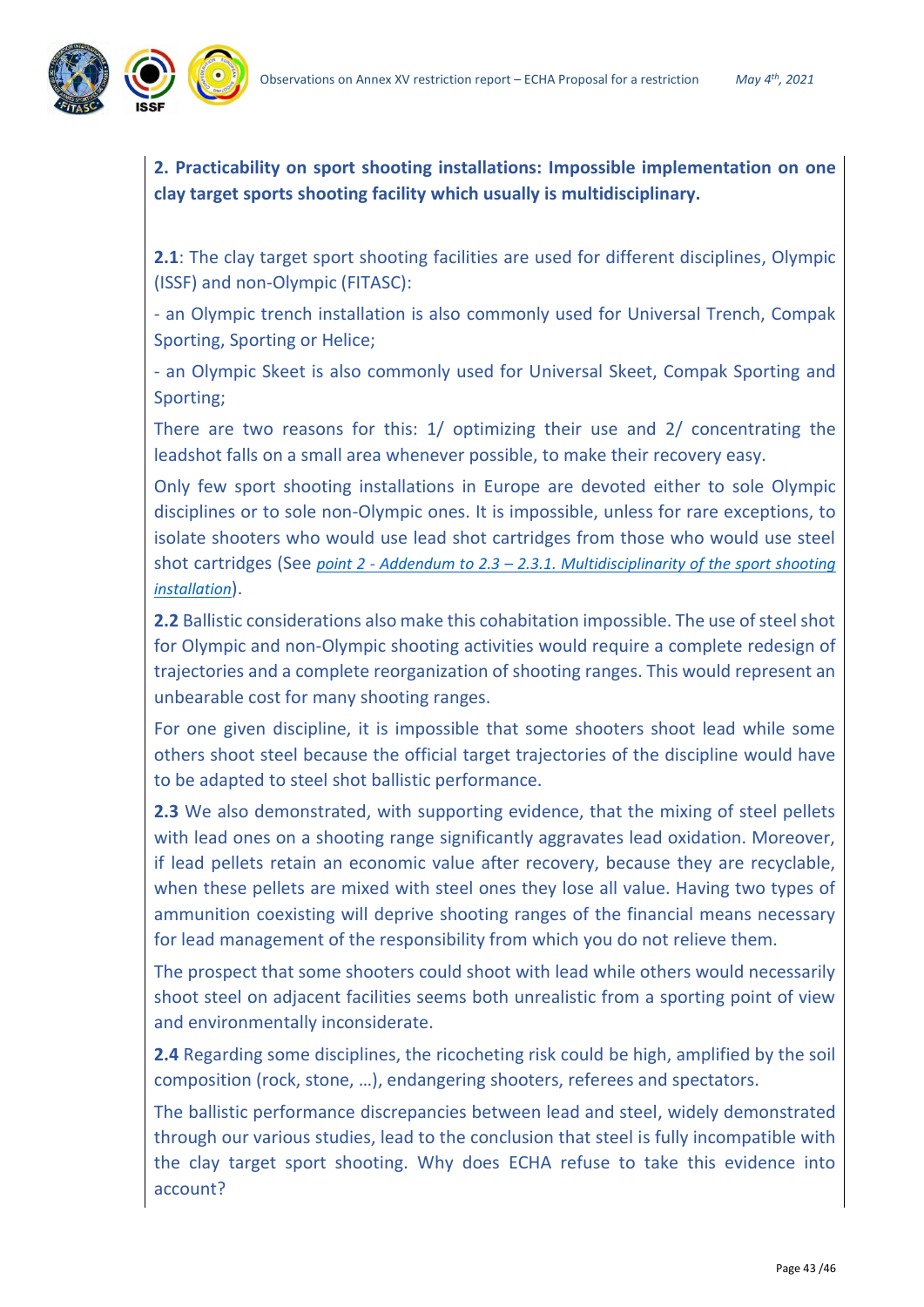

**2. Practicability on sport shooting installations: Impossible implementation on one clay target sports shooting facility which usually is multidisciplinary.**

**2.1**: The clay target sport shooting facilities are used for different disciplines, Olympic (ISSF) and non-Olympic (FITASC):

- an Olympic trench installation is also commonly used for Universal Trench, Compak Sporting, Sporting or Helice;

- an Olympic Skeet is also commonly used for Universal Skeet, Compak Sporting and Sporting;

There are two reasons for this: 1/ optimizing their use and 2/ concentrating the leadshot falls on a small area whenever possible, to make their recovery easy.

Only few sport shooting installations in Europe are devoted either to sole Olympic disciplines or to sole non-Olympic ones. It is impossible, unless for rare exceptions, to isolate shooters who would use lead shot cartridges from those who would use steel shot cartridges (See *point 2 - Addendum to 2.3 – [2.3.1. Multidisciplinarity of the sport shooting](https://www.fitasc.com/upload/images/echa_mai_2021/20210504_addendum_may21_to_fitasc_contribution_july20.pdf)  [installation](https://www.fitasc.com/upload/images/echa_mai_2021/20210504_addendum_may21_to_fitasc_contribution_july20.pdf)*).

**2.2** Ballistic considerations also make this cohabitation impossible. The use of steel shot for Olympic and non-Olympic shooting activities would require a complete redesign of trajectories and a complete reorganization of shooting ranges. This would represent an unbearable cost for many shooting ranges.

For one given discipline, it is impossible that some shooters shoot lead while some others shoot steel because the official target trajectories of the discipline would have to be adapted to steel shot ballistic performance.

**2.3** We also demonstrated, with supporting evidence, that the mixing of steel pellets with lead ones on a shooting range significantly aggravates lead oxidation. Moreover, if lead pellets retain an economic value after recovery, because they are recyclable, when these pellets are mixed with steel ones they lose all value. Having two types of ammunition coexisting will deprive shooting ranges of the financial means necessary for lead management of the responsibility from which you do not relieve them.

The prospect that some shooters could shoot with lead while others would necessarily shoot steel on adjacent facilities seems both unrealistic from a sporting point of view and environmentally inconsiderate.

**2.4** Regarding some disciplines, the ricocheting risk could be high, amplified by the soil composition (rock, stone, …), endangering shooters, referees and spectators.

The ballistic performance discrepancies between lead and steel, widely demonstrated through our various studies, lead to the conclusion that steel is fully incompatible with the clay target sport shooting. Why does ECHA refuse to take this evidence into account?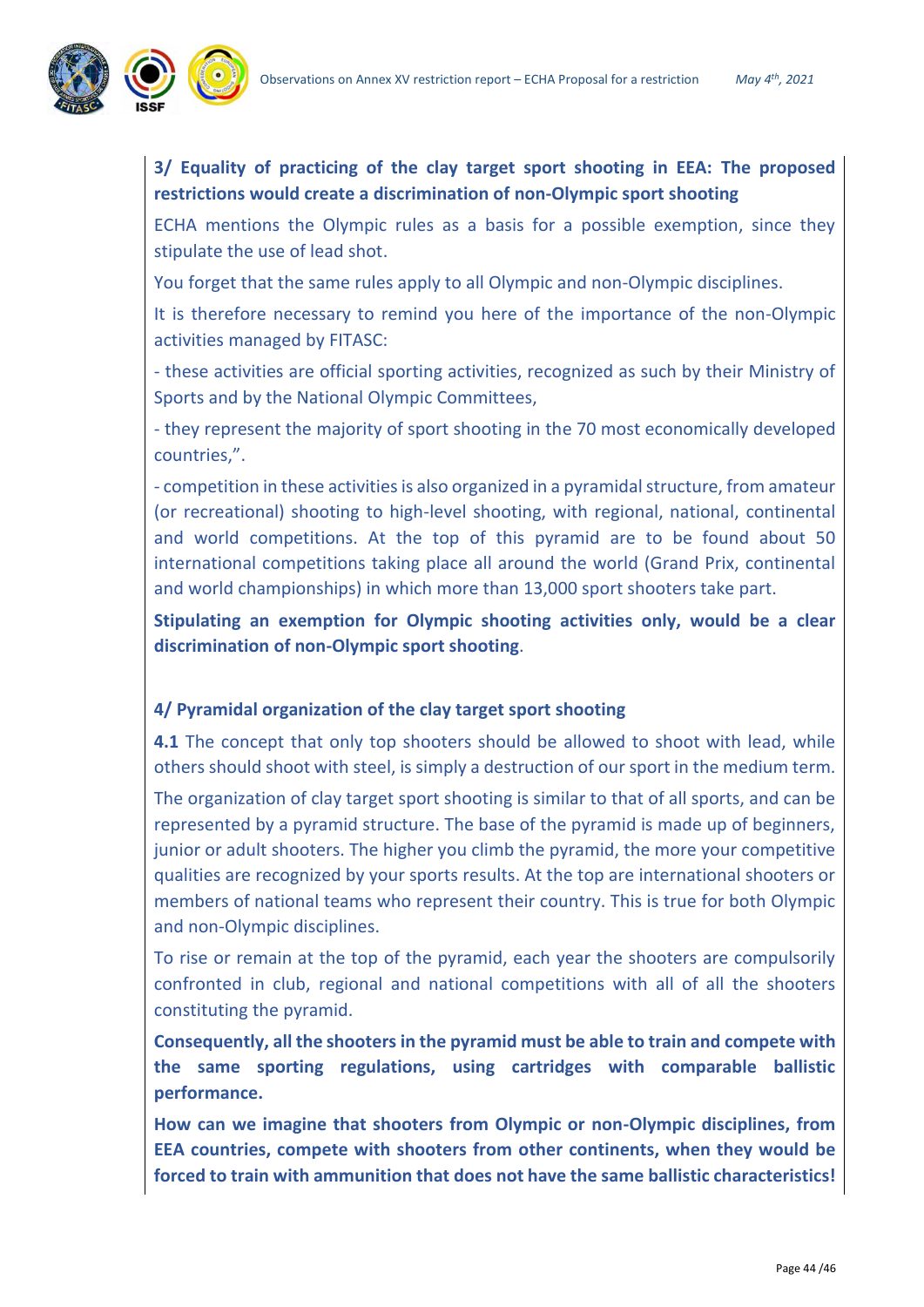

**3/ Equality of practicing of the clay target sport shooting in EEA: The proposed restrictions would create a discrimination of non-Olympic sport shooting**

ECHA mentions the Olympic rules as a basis for a possible exemption, since they stipulate the use of lead shot.

You forget that the same rules apply to all Olympic and non-Olympic disciplines.

It is therefore necessary to remind you here of the importance of the non-Olympic activities managed by FITASC:

- these activities are official sporting activities, recognized as such by their Ministry of Sports and by the National Olympic Committees,

- they represent the majority of sport shooting in the 70 most economically developed countries,".

- competition in these activities is also organized in a pyramidal structure, from amateur (or recreational) shooting to high-level shooting, with regional, national, continental and world competitions. At the top of this pyramid are to be found about 50 international competitions taking place all around the world (Grand Prix, continental and world championships) in which more than 13,000 sport shooters take part.

**Stipulating an exemption for Olympic shooting activities only, would be a clear discrimination of non-Olympic sport shooting**.

### **4/ Pyramidal organization of the clay target sport shooting**

**4.1** The concept that only top shooters should be allowed to shoot with lead, while others should shoot with steel, is simply a destruction of our sport in the medium term.

The organization of clay target sport shooting is similar to that of all sports, and can be represented by a pyramid structure. The base of the pyramid is made up of beginners, junior or adult shooters. The higher you climb the pyramid, the more your competitive qualities are recognized by your sports results. At the top are international shooters or members of national teams who represent their country. This is true for both Olympic and non-Olympic disciplines.

To rise or remain at the top of the pyramid, each year the shooters are compulsorily confronted in club, regional and national competitions with all of all the shooters constituting the pyramid.

**Consequently, all the shooters in the pyramid must be able to train and compete with the same sporting regulations, using cartridges with comparable ballistic performance.**

**How can we imagine that shooters from Olympic or non-Olympic disciplines, from EEA countries, compete with shooters from other continents, when they would be forced to train with ammunition that does not have the same ballistic characteristics!**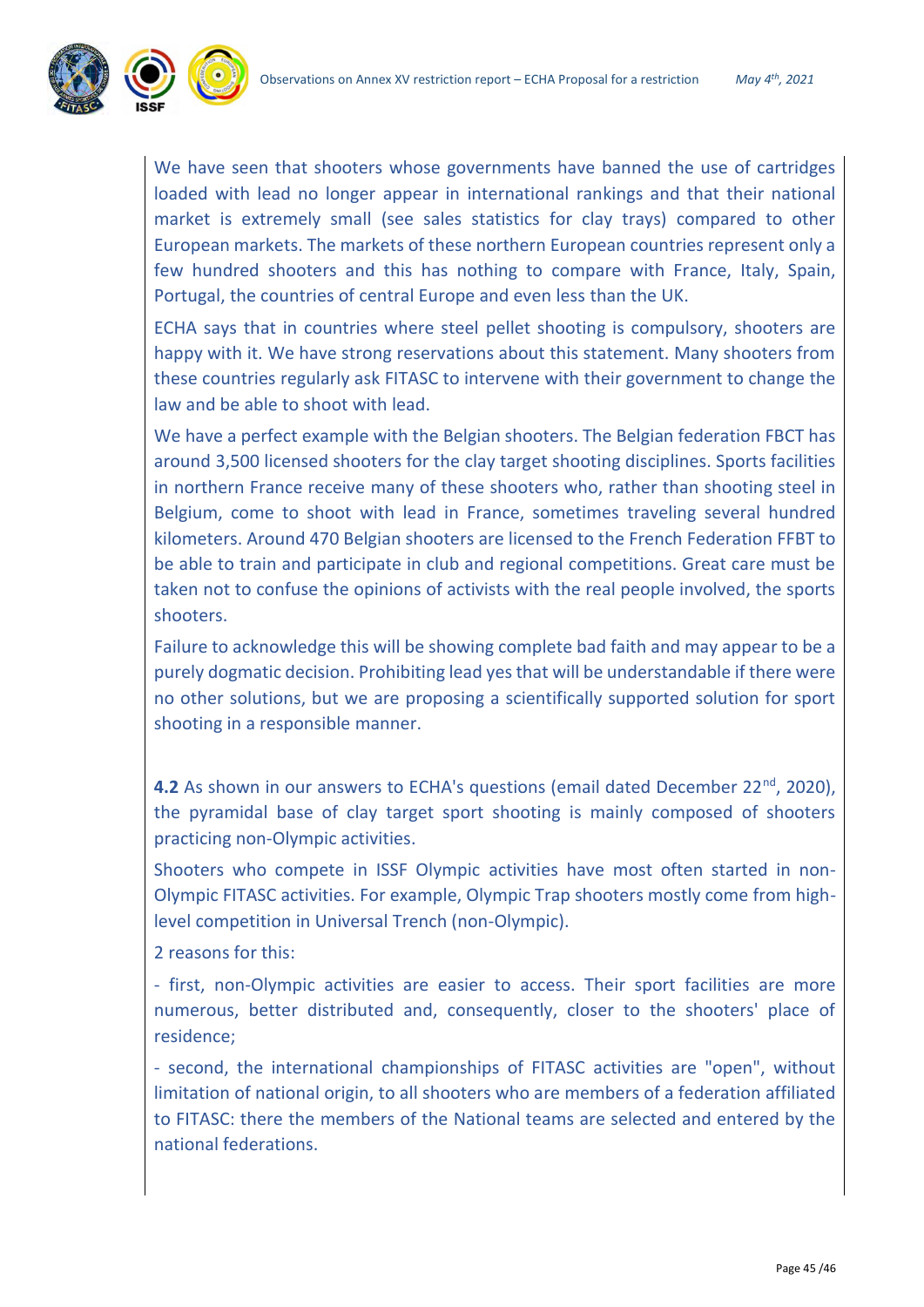

We have seen that shooters whose governments have banned the use of cartridges loaded with lead no longer appear in international rankings and that their national market is extremely small (see sales statistics for clay trays) compared to other European markets. The markets of these northern European countries represent only a few hundred shooters and this has nothing to compare with France, Italy, Spain, Portugal, the countries of central Europe and even less than the UK.

ECHA says that in countries where steel pellet shooting is compulsory, shooters are happy with it. We have strong reservations about this statement. Many shooters from these countries regularly ask FITASC to intervene with their government to change the law and be able to shoot with lead.

We have a perfect example with the Belgian shooters. The Belgian federation FBCT has around 3,500 licensed shooters for the clay target shooting disciplines. Sports facilities in northern France receive many of these shooters who, rather than shooting steel in Belgium, come to shoot with lead in France, sometimes traveling several hundred kilometers. Around 470 Belgian shooters are licensed to the French Federation FFBT to be able to train and participate in club and regional competitions. Great care must be taken not to confuse the opinions of activists with the real people involved, the sports shooters.

Failure to acknowledge this will be showing complete bad faith and may appear to be a purely dogmatic decision. Prohibiting lead yes that will be understandable if there were no other solutions, but we are proposing a scientifically supported solution for sport shooting in a responsible manner.

**4.2** As shown in our answers to ECHA's questions (email dated December 22<sup>nd</sup>, 2020), the pyramidal base of clay target sport shooting is mainly composed of shooters practicing non-Olympic activities.

Shooters who compete in ISSF Olympic activities have most often started in non-Olympic FITASC activities. For example, Olympic Trap shooters mostly come from highlevel competition in Universal Trench (non-Olympic).

2 reasons for this:

- first, non-Olympic activities are easier to access. Their sport facilities are more numerous, better distributed and, consequently, closer to the shooters' place of residence;

- second, the international championships of FITASC activities are "open", without limitation of national origin, to all shooters who are members of a federation affiliated to FITASC: there the members of the National teams are selected and entered by the national federations.